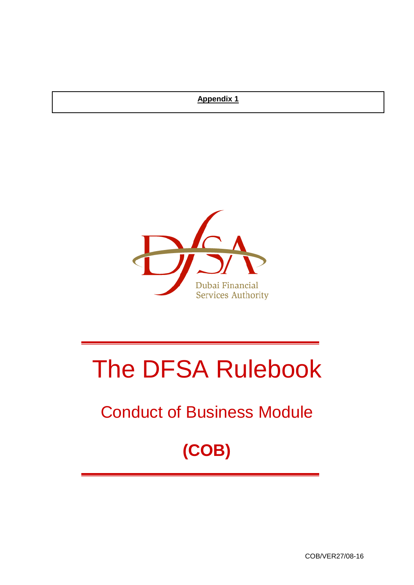# **Appendix 1**



# The DFSA Rulebook

# Conduct of Business Module

**(COB)**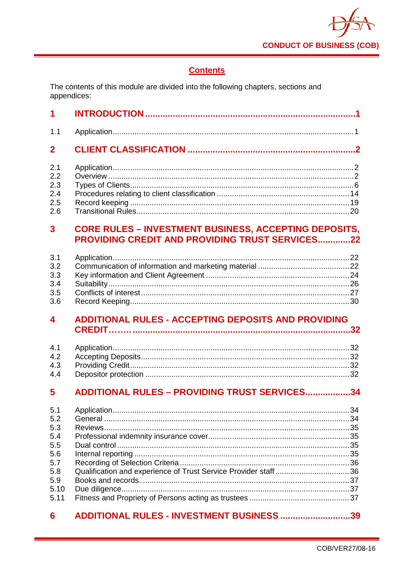

# **Contents**

The contents of this module are divided into the following chapters, sections and appendices:

| 1                                                                           |                                                                                                                 |
|-----------------------------------------------------------------------------|-----------------------------------------------------------------------------------------------------------------|
| 1.1                                                                         |                                                                                                                 |
| $\mathbf 2$                                                                 |                                                                                                                 |
| 2.1<br>2.2<br>2.3<br>2.4<br>2.5<br>2.6                                      |                                                                                                                 |
| 3                                                                           | <b>CORE RULES - INVESTMENT BUSINESS, ACCEPTING DEPOSITS,</b><br>PROVIDING CREDIT AND PROVIDING TRUST SERVICES22 |
| 3.1<br>3.2<br>3.3<br>3.4<br>3.5<br>3.6                                      |                                                                                                                 |
| 4                                                                           | <b>ADDITIONAL RULES - ACCEPTING DEPOSITS AND PROVIDING</b>                                                      |
|                                                                             |                                                                                                                 |
| 4.1<br>4.2<br>4.3<br>4.4                                                    |                                                                                                                 |
| 5                                                                           | <b>ADDITIONAL RULES - PROVIDING TRUST SERVICES34</b>                                                            |
| 5.1<br>5.2<br>5.3<br>5.4<br>5.5<br>5.6<br>5.7<br>5.8<br>5.9<br>5.10<br>5.11 | Qualification and experience of Trust Service Provider staff36                                                  |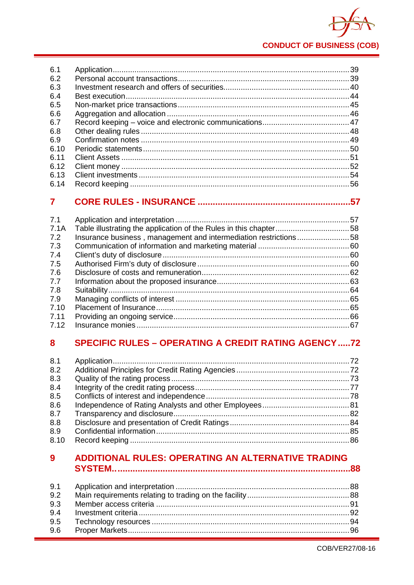

| 6.1  |  |
|------|--|
| 6.2  |  |
| 6.3  |  |
| 6.4  |  |
| 6.5  |  |
| 6.6  |  |
| 6.7  |  |
| 6.8  |  |
| 6.9  |  |
| 6.10 |  |
| 6.11 |  |
| 6.12 |  |
| 6.13 |  |
| 6.14 |  |

#### $\overline{7}$

| Insurance business, management and intermediation restrictions58 |  |
|------------------------------------------------------------------|--|
|                                                                  |  |
|                                                                  |  |
|                                                                  |  |
|                                                                  |  |
|                                                                  |  |
|                                                                  |  |
|                                                                  |  |
|                                                                  |  |
|                                                                  |  |
|                                                                  |  |
|                                                                  |  |

#### **SPECIFIC RULES - OPERATING A CREDIT RATING AGENCY .....72** 8

| 8.1  |  |
|------|--|
| 8.2  |  |
| 8.3  |  |
| 8.4  |  |
| 8.5  |  |
| 8.6  |  |
| 8.7  |  |
| 8.8  |  |
| 8.9  |  |
| 8.10 |  |
|      |  |

#### ADDITIONAL RULES: OPERATING AN ALTERNATIVE TRADING  $\overline{9}$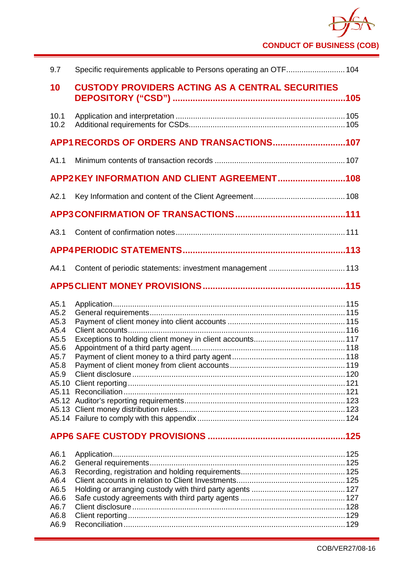**CONDUCT OF BUSINESS (COB)**

| 9.7                                                                  | Specific requirements applicable to Persons operating an OTF 104 |  |
|----------------------------------------------------------------------|------------------------------------------------------------------|--|
| 10                                                                   | <b>CUSTODY PROVIDERS ACTING AS A CENTRAL SECURITIES</b>          |  |
| 10.1<br>10.2                                                         |                                                                  |  |
|                                                                      | APP1 RECORDS OF ORDERS AND TRANSACTIONS107                       |  |
| A1.1                                                                 |                                                                  |  |
|                                                                      | APP2KEY INFORMATION AND CLIENT AGREEMENT108                      |  |
| A2.1                                                                 |                                                                  |  |
|                                                                      |                                                                  |  |
| A3.1                                                                 |                                                                  |  |
|                                                                      |                                                                  |  |
| A4.1                                                                 |                                                                  |  |
|                                                                      |                                                                  |  |
| A5.1<br>A5.2<br>A5.3<br>A5.4<br>A5.5<br>A5.6<br>A5.7<br>A5.8<br>A5.9 |                                                                  |  |
|                                                                      |                                                                  |  |
| A6.1<br>A6.2<br>A6.3<br>A6.4<br>A6.5<br>A6.6<br>A6.7<br>A6.8<br>A6.9 |                                                                  |  |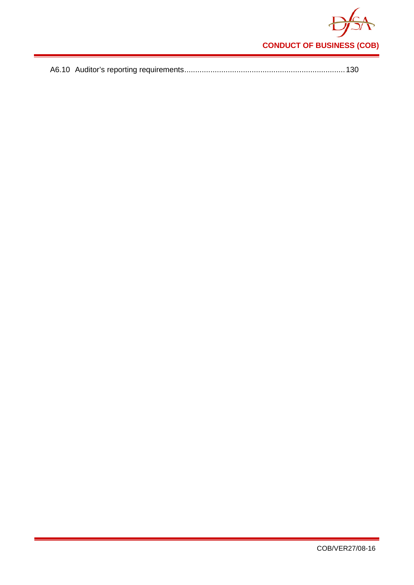

|--|--|--|--|--|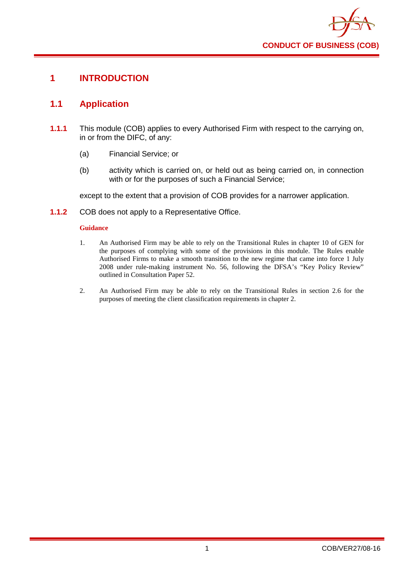

# <span id="page-5-0"></span>**1 INTRODUCTION**

# <span id="page-5-1"></span>**1.1 Application**

- **1.1.1** This module (COB) applies to every Authorised Firm with respect to the carrying on, in or from the DIFC, of any:
	- (a) Financial Service; or
	- (b) activity which is carried on, or held out as being carried on, in connection with or for the purposes of such a Financial Service;

except to the extent that a provision of COB provides for a narrower application.

**1.1.2** COB does not apply to a Representative Office.

#### **Guidance**

- 1. An Authorised Firm may be able to rely on the Transitional Rules in chapter 10 of GEN for the purposes of complying with some of the provisions in this module. The Rules enable Authorised Firms to make a smooth transition to the new regime that came into force 1 July 2008 under rule-making instrument No. 56, following the DFSA's "Key Policy Review" outlined in Consultation Paper 52.
- 2. An Authorised Firm may be able to rely on the Transitional Rules in section 2.6 for the purposes of meeting the client classification requirements in chapter 2.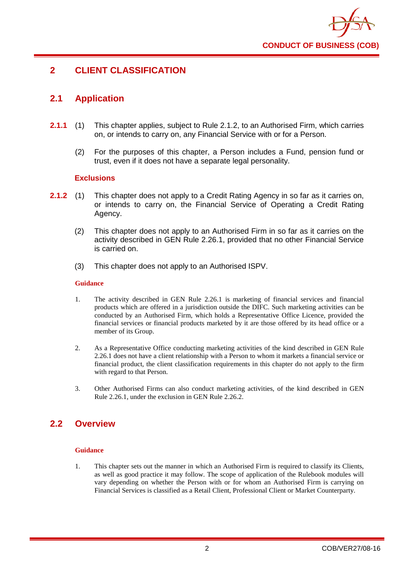

# <span id="page-6-0"></span>**2 CLIENT CLASSIFICATION**

# <span id="page-6-1"></span>**2.1 Application**

- **2.1.1** (1) This chapter applies, subject to Rule 2.1.2, to an Authorised Firm, which carries on, or intends to carry on, any Financial Service with or for a Person.
	- (2) For the purposes of this chapter, a Person includes a Fund, pension fund or trust, even if it does not have a separate legal personality.

#### **Exclusions**

- **2.1.2** (1) This chapter does not apply to a Credit Rating Agency in so far as it carries on, or intends to carry on, the Financial Service of Operating a Credit Rating Agency.
	- (2) This chapter does not apply to an Authorised Firm in so far as it carries on the activity described in GEN Rule 2.26.1, provided that no other Financial Service is carried on.
	- (3) This chapter does not apply to an Authorised ISPV.

#### **Guidance**

- 1. The activity described in GEN Rule 2.26.1 is marketing of financial services and financial products which are offered in a jurisdiction outside the DIFC. Such marketing activities can be conducted by an Authorised Firm, which holds a Representative Office Licence, provided the financial services or financial products marketed by it are those offered by its head office or a member of its Group.
- 2. As a Representative Office conducting marketing activities of the kind described in GEN Rule 2.26.1 does not have a client relationship with a Person to whom it markets a financial service or financial product, the client classification requirements in this chapter do not apply to the firm with regard to that Person.
- 3. Other Authorised Firms can also conduct marketing activities, of the kind described in GEN Rule 2.26.1, under the exclusion in GEN Rule 2.26.2.

# <span id="page-6-2"></span>**2.2 Overview**

#### **Guidance**

1. This chapter sets out the manner in which an Authorised Firm is required to classify its Clients, as well as good practice it may follow. The scope of application of the Rulebook modules will vary depending on whether the Person with or for whom an Authorised Firm is carrying on Financial Services is classified as a Retail Client, Professional Client or Market Counterparty.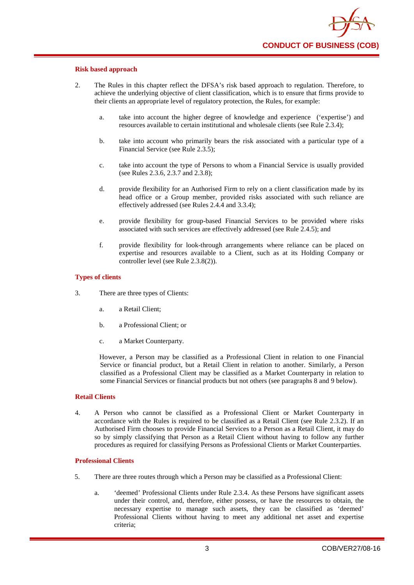#### **Risk based approach**

- 2. The Rules in this chapter reflect the DFSA's risk based approach to regulation. Therefore, to achieve the underlying objective of client classification, which is to ensure that firms provide to their clients an appropriate level of regulatory protection, the Rules, for example:
	- a. take into account the higher degree of knowledge and experience ('expertise') and resources available to certain institutional and wholesale clients (see Rule 2.3.4);
	- b. take into account who primarily bears the risk associated with a particular type of a Financial Service (see Rule 2.3.5);
	- c. take into account the type of Persons to whom a Financial Service is usually provided (see Rules 2.3.6, 2.3.7 and 2.3.8);
	- d. provide flexibility for an Authorised Firm to rely on a client classification made by its head office or a Group member, provided risks associated with such reliance are effectively addressed (see Rules 2.4.4 and 3.3.4);
	- e. provide flexibility for group-based Financial Services to be provided where risks associated with such services are effectively addressed (see Rule 2.4.5); and
	- f. provide flexibility for look-through arrangements where reliance can be placed on expertise and resources available to a Client, such as at its Holding Company or controller level (see Rule 2.3.8(2)).

#### **Types of clients**

- 3. There are three types of Clients:
	- a. a Retail Client;
	- b. a Professional Client; or
	- c. a Market Counterparty.

However, a Person may be classified as a Professional Client in relation to one Financial Service or financial product, but a Retail Client in relation to another. Similarly, a Person classified as a Professional Client may be classified as a Market Counterparty in relation to some Financial Services or financial products but not others (see paragraphs 8 and 9 below).

#### **Retail Clients**

4. A Person who cannot be classified as a Professional Client or Market Counterparty in accordance with the Rules is required to be classified as a Retail Client (see Rule 2.3.2). If an Authorised Firm chooses to provide Financial Services to a Person as a Retail Client, it may do so by simply classifying that Person as a Retail Client without having to follow any further procedures as required for classifying Persons as Professional Clients or Market Counterparties.

#### **Professional Clients**

- 5. There are three routes through which a Person may be classified as a Professional Client:
	- a. 'deemed' Professional Clients under Rule 2.3.4. As these Persons have significant assets under their control, and, therefore, either possess, or have the resources to obtain, the necessary expertise to manage such assets, they can be classified as 'deemed' Professional Clients without having to meet any additional net asset and expertise criteria;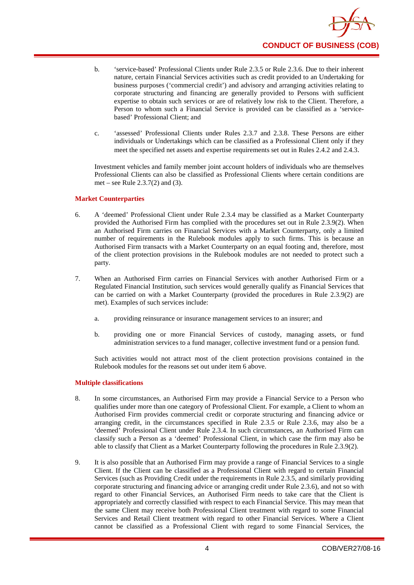

- b. 'service-based' Professional Clients under Rule 2.3.5 or Rule 2.3.6. Due to their inherent nature, certain Financial Services activities such as credit provided to an Undertaking for business purposes ('commercial credit') and advisory and arranging activities relating to corporate structuring and financing are generally provided to Persons with sufficient expertise to obtain such services or are of relatively low risk to the Client. Therefore, a Person to whom such a Financial Service is provided can be classified as a 'servicebased' Professional Client; and
- c. 'assessed' Professional Clients under Rules 2.3.7 and 2.3.8. These Persons are either individuals or Undertakings which can be classified as a Professional Client only if they meet the specified net assets and expertise requirements set out in Rules 2.4.2 and 2.4.3.

Investment vehicles and family member joint account holders of individuals who are themselves Professional Clients can also be classified as Professional Clients where certain conditions are met – see Rule 2.3.7(2) and (3).

#### **Market Counterparties**

- 6. A 'deemed' Professional Client under Rule 2.3.4 may be classified as a Market Counterparty provided the Authorised Firm has complied with the procedures set out in Rule 2.3.9(2). When an Authorised Firm carries on Financial Services with a Market Counterparty, only a limited number of requirements in the Rulebook modules apply to such firms. This is because an Authorised Firm transacts with a Market Counterparty on an equal footing and, therefore, most of the client protection provisions in the Rulebook modules are not needed to protect such a party.
- 7. When an Authorised Firm carries on Financial Services with another Authorised Firm or a Regulated Financial Institution, such services would generally qualify as Financial Services that can be carried on with a Market Counterparty (provided the procedures in Rule 2.3.9(2) are met). Examples of such services include:
	- a. providing reinsurance or insurance management services to an insurer; and
	- b. providing one or more Financial Services of custody, managing assets, or fund administration services to a fund manager, collective investment fund or a pension fund.

Such activities would not attract most of the client protection provisions contained in the Rulebook modules for the reasons set out under item 6 above.

#### **Multiple classifications**

- 8. In some circumstances, an Authorised Firm may provide a Financial Service to a Person who qualifies under more than one category of Professional Client. For example, a Client to whom an Authorised Firm provides commercial credit or corporate structuring and financing advice or arranging credit, in the circumstances specified in Rule 2.3.5 or Rule 2.3.6, may also be a 'deemed' Professional Client under Rule 2.3.4. In such circumstances, an Authorised Firm can classify such a Person as a 'deemed' Professional Client, in which case the firm may also be able to classify that Client as a Market Counterparty following the procedures in Rule 2.3.9(2).
- 9. It is also possible that an Authorised Firm may provide a range of Financial Services to a single Client. If the Client can be classified as a Professional Client with regard to certain Financial Services (such as Providing Credit under the requirements in Rule 2.3.5, and similarly providing corporate structuring and financing advice or arranging credit under Rule 2.3.6), and not so with regard to other Financial Services, an Authorised Firm needs to take care that the Client is appropriately and correctly classified with respect to each Financial Service. This may mean that the same Client may receive both Professional Client treatment with regard to some Financial Services and Retail Client treatment with regard to other Financial Services. Where a Client cannot be classified as a Professional Client with regard to some Financial Services, the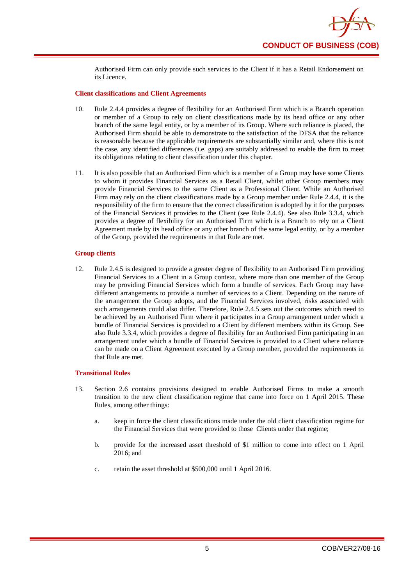

Authorised Firm can only provide such services to the Client if it has a Retail Endorsement on its Licence.

#### **Client classifications and Client Agreements**

- 10. Rule 2.4.4 provides a degree of flexibility for an Authorised Firm which is a Branch operation or member of a Group to rely on client classifications made by its head office or any other branch of the same legal entity, or by a member of its Group. Where such reliance is placed, the Authorised Firm should be able to demonstrate to the satisfaction of the DFSA that the reliance is reasonable because the applicable requirements are substantially similar and, where this is not the case, any identified differences (i.e. gaps) are suitably addressed to enable the firm to meet its obligations relating to client classification under this chapter.
- 11. It is also possible that an Authorised Firm which is a member of a Group may have some Clients to whom it provides Financial Services as a Retail Client, whilst other Group members may provide Financial Services to the same Client as a Professional Client. While an Authorised Firm may rely on the client classifications made by a Group member under Rule 2.4.4, it is the responsibility of the firm to ensure that the correct classification is adopted by it for the purposes of the Financial Services it provides to the Client (see Rule 2.4.4). See also Rule 3.3.4, which provides a degree of flexibility for an Authorised Firm which is a Branch to rely on a Client Agreement made by its head office or any other branch of the same legal entity, or by a member of the Group, provided the requirements in that Rule are met.

#### **Group clients**

12. Rule 2.4.5 is designed to provide a greater degree of flexibility to an Authorised Firm providing Financial Services to a Client in a Group context, where more than one member of the Group may be providing Financial Services which form a bundle of services. Each Group may have different arrangements to provide a number of services to a Client. Depending on the nature of the arrangement the Group adopts, and the Financial Services involved, risks associated with such arrangements could also differ. Therefore, Rule 2.4.5 sets out the outcomes which need to be achieved by an Authorised Firm where it participates in a Group arrangement under which a bundle of Financial Services is provided to a Client by different members within its Group. See also Rule 3.3.4, which provides a degree of flexibility for an Authorised Firm participating in an arrangement under which a bundle of Financial Services is provided to a Client where reliance can be made on a Client Agreement executed by a Group member, provided the requirements in that Rule are met.

#### **Transitional Rules**

- 13. Section 2.6 contains provisions designed to enable Authorised Firms to make a smooth transition to the new client classification regime that came into force on 1 April 2015. These Rules, among other things:
	- a. keep in force the client classifications made under the old client classification regime for the Financial Services that were provided to those Clients under that regime;
	- b. provide for the increased asset threshold of \$1 million to come into effect on 1 April 2016; and
	- c. retain the asset threshold at \$500,000 until 1 April 2016.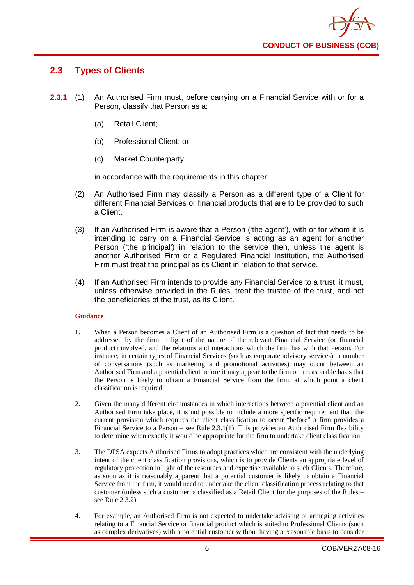

# <span id="page-10-0"></span>**2.3 Types of Clients**

- **2.3.1** (1) An Authorised Firm must, before carrying on a Financial Service with or for a Person, classify that Person as a:
	- (a) Retail Client;
	- (b) Professional Client; or
	- (c) Market Counterparty,

in accordance with the requirements in this chapter.

- (2) An Authorised Firm may classify a Person as a different type of a Client for different Financial Services or financial products that are to be provided to such a Client.
- (3) If an Authorised Firm is aware that a Person ('the agent'), with or for whom it is intending to carry on a Financial Service is acting as an agent for another Person ('the principal') in relation to the service then, unless the agent is another Authorised Firm or a Regulated Financial Institution, the Authorised Firm must treat the principal as its Client in relation to that service.
- (4) If an Authorised Firm intends to provide any Financial Service to a trust, it must, unless otherwise provided in the Rules, treat the trustee of the trust, and not the beneficiaries of the trust, as its Client.

#### **Guidance**

- 1. When a Person becomes a Client of an Authorised Firm is a question of fact that needs to be addressed by the firm in light of the nature of the relevant Financial Service (or financial product) involved, and the relations and interactions which the firm has with that Person. For instance, in certain types of Financial Services (such as corporate advisory services), a number of conversations (such as marketing and promotional activities) may occur between an Authorised Firm and a potential client before it may appear to the firm on a reasonable basis that the Person is likely to obtain a Financial Service from the firm, at which point a client classification is required.
- 2. Given the many different circumstances in which interactions between a potential client and an Authorised Firm take place, it is not possible to include a more specific requirement than the current provision which requires the client classification to occur "before" a firm provides a Financial Service to a Person – see Rule 2.3.1(1). This provides an Authorised Firm flexibility to determine when exactly it would be appropriate for the firm to undertake client classification.
- 3. The DFSA expects Authorised Firms to adopt practices which are consistent with the underlying intent of the client classification provisions, which is to provide Clients an appropriate level of regulatory protection in light of the resources and expertise available to such Clients. Therefore, as soon as it is reasonably apparent that a potential customer is likely to obtain a Financial Service from the firm, it would need to undertake the client classification process relating to that customer (unless such a customer is classified as a Retail Client for the purposes of the Rules – see Rule 2.3.2).
- 4. For example, an Authorised Firm is not expected to undertake advising or arranging activities relating to a Financial Service or financial product which is suited to Professional Clients (such as complex derivatives) with a potential customer without having a reasonable basis to consider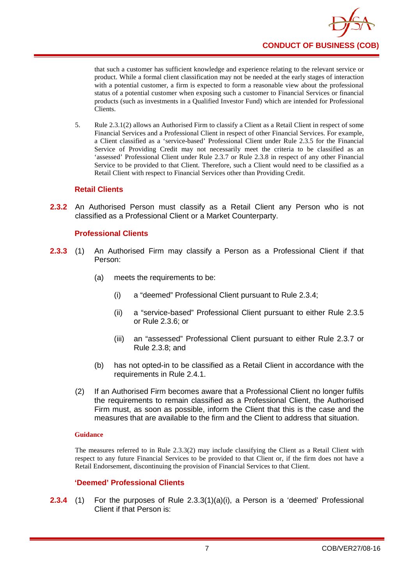

that such a customer has sufficient knowledge and experience relating to the relevant service or product. While a formal client classification may not be needed at the early stages of interaction with a potential customer, a firm is expected to form a reasonable view about the professional status of a potential customer when exposing such a customer to Financial Services or financial products (such as investments in a Qualified Investor Fund) which are intended for Professional Clients.

5. Rule 2.3.1(2) allows an Authorised Firm to classify a Client as a Retail Client in respect of some Financial Services and a Professional Client in respect of other Financial Services. For example, a Client classified as a 'service-based' Professional Client under Rule 2.3.5 for the Financial Service of Providing Credit may not necessarily meet the criteria to be classified as an 'assessed' Professional Client under Rule 2.3.7 or Rule 2.3.8 in respect of any other Financial Service to be provided to that Client. Therefore, such a Client would need to be classified as a Retail Client with respect to Financial Services other than Providing Credit.

#### **Retail Clients**

**2.3.2** An Authorised Person must classify as a Retail Client any Person who is not classified as a Professional Client or a Market Counterparty.

#### **Professional Clients**

- **2.3.3** (1) An Authorised Firm may classify a Person as a Professional Client if that Person:
	- (a) meets the requirements to be:
		- (i) a "deemed" Professional Client pursuant to Rule 2.3.4;
		- (ii) a "service-based" Professional Client pursuant to either Rule 2.3.5 or Rule 2.3.6; or
		- (iii) an "assessed" Professional Client pursuant to either Rule 2.3.7 or Rule 2.3.8; and
	- (b) has not opted-in to be classified as a Retail Client in accordance with the requirements in Rule 2.4.1.
	- (2) If an Authorised Firm becomes aware that a Professional Client no longer fulfils the requirements to remain classified as a Professional Client, the Authorised Firm must, as soon as possible, inform the Client that this is the case and the measures that are available to the firm and the Client to address that situation.

#### **Guidance**

The measures referred to in Rule 2.3.3(2) may include classifying the Client as a Retail Client with respect to any future Financial Services to be provided to that Client or, if the firm does not have a Retail Endorsement, discontinuing the provision of Financial Services to that Client.

#### **'Deemed' Professional Clients**

**2.3.4** (1) For the purposes of Rule 2.3.3(1)(a)(i), a Person is a 'deemed' Professional Client if that Person is: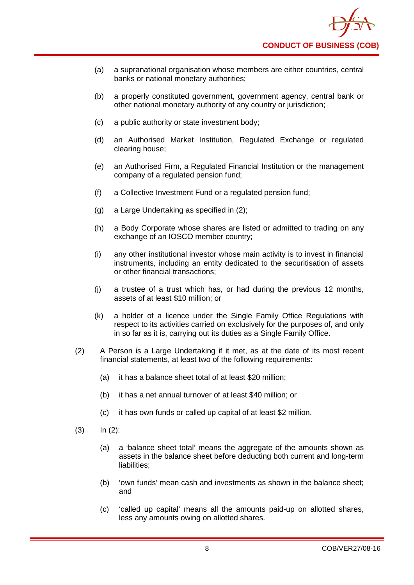- (a) a supranational organisation whose members are either countries, central banks or national monetary authorities;
- (b) a properly constituted government, government agency, central bank or other national monetary authority of any country or jurisdiction;
- (c) a public authority or state investment body;
- (d) an Authorised Market Institution, Regulated Exchange or regulated clearing house;
- (e) an Authorised Firm, a Regulated Financial Institution or the management company of a regulated pension fund;
- (f) a Collective Investment Fund or a regulated pension fund;
- (g) a Large Undertaking as specified in (2);
- (h) a Body Corporate whose shares are listed or admitted to trading on any exchange of an IOSCO member country;
- (i) any other institutional investor whose main activity is to invest in financial instruments, including an entity dedicated to the securitisation of assets or other financial transactions;
- (j) a trustee of a trust which has, or had during the previous 12 months, assets of at least \$10 million; or
- (k) a holder of a licence under the Single Family Office Regulations with respect to its activities carried on exclusively for the purposes of, and only in so far as it is, carrying out its duties as a Single Family Office.
- (2) A Person is a Large Undertaking if it met, as at the date of its most recent financial statements, at least two of the following requirements:
	- (a) it has a balance sheet total of at least \$20 million;
	- (b) it has a net annual turnover of at least \$40 million; or
	- (c) it has own funds or called up capital of at least \$2 million.
- $(3)$   $\ln (2)$ :
	- (a) a 'balance sheet total' means the aggregate of the amounts shown as assets in the balance sheet before deducting both current and long-term liabilities;
	- (b) 'own funds' mean cash and investments as shown in the balance sheet; and
	- (c) 'called up capital' means all the amounts paid-up on allotted shares, less any amounts owing on allotted shares.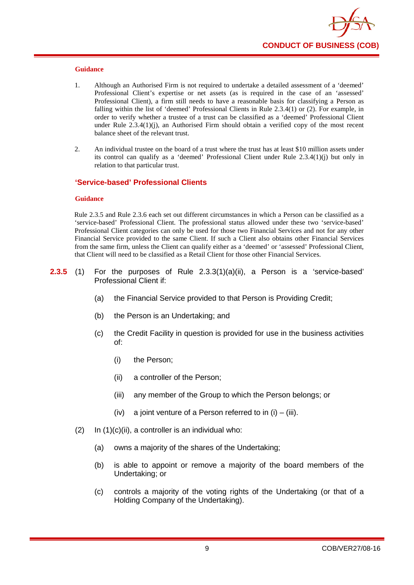

- 1. Although an Authorised Firm is not required to undertake a detailed assessment of a 'deemed' Professional Client's expertise or net assets (as is required in the case of an 'assessed' Professional Client), a firm still needs to have a reasonable basis for classifying a Person as falling within the list of 'deemed' Professional Clients in Rule 2.3.4(1) or (2). For example, in order to verify whether a trustee of a trust can be classified as a 'deemed' Professional Client under Rule 2.3.4(1)(j), an Authorised Firm should obtain a verified copy of the most recent balance sheet of the relevant trust.
- 2. An individual trustee on the board of a trust where the trust has at least \$10 million assets under its control can qualify as a 'deemed' Professional Client under Rule 2.3.4(1)(j) but only in relation to that particular trust.

#### **'Service-based' Professional Clients**

#### **Guidance**

Rule 2.3.5 and Rule 2.3.6 each set out different circumstances in which a Person can be classified as a 'service-based' Professional Client. The professional status allowed under these two 'service-based' Professional Client categories can only be used for those two Financial Services and not for any other Financial Service provided to the same Client. If such a Client also obtains other Financial Services from the same firm, unless the Client can qualify either as a 'deemed' or 'assessed' Professional Client, that Client will need to be classified as a Retail Client for those other Financial Services.

- **2.3.5** (1) For the purposes of Rule 2.3.3(1)(a)(ii), a Person is a 'service-based' Professional Client if:
	- (a) the Financial Service provided to that Person is Providing Credit;
	- (b) the Person is an Undertaking; and
	- (c) the Credit Facility in question is provided for use in the business activities of:
		- (i) the Person;
		- (ii) a controller of the Person;
		- (iii) any member of the Group to which the Person belongs; or
		- (iv) a joint venture of a Person referred to in  $(i) (iii)$ .
	- $(2)$  In  $(1)(c)(ii)$ , a controller is an individual who:
		- (a) owns a majority of the shares of the Undertaking;
		- (b) is able to appoint or remove a majority of the board members of the Undertaking; or
		- (c) controls a majority of the voting rights of the Undertaking (or that of a Holding Company of the Undertaking).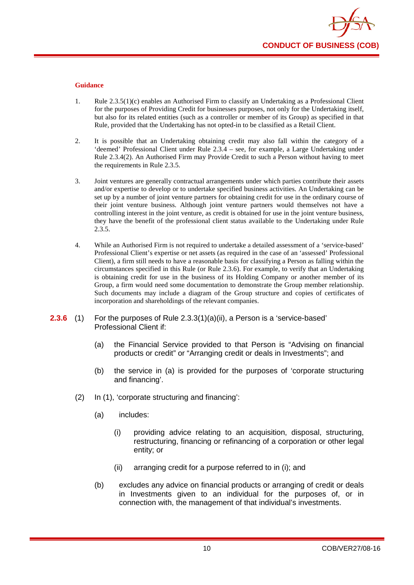

- 1. Rule 2.3.5(1)(c) enables an Authorised Firm to classify an Undertaking as a Professional Client for the purposes of Providing Credit for businesses purposes, not only for the Undertaking itself, but also for its related entities (such as a controller or member of its Group) as specified in that Rule, provided that the Undertaking has not opted-in to be classified as a Retail Client.
- 2. It is possible that an Undertaking obtaining credit may also fall within the category of a 'deemed' Professional Client under Rule 2.3.4 – see, for example, a Large Undertaking under Rule 2.3.4(2). An Authorised Firm may Provide Credit to such a Person without having to meet the requirements in Rule 2.3.5.
- 3. Joint ventures are generally contractual arrangements under which parties contribute their assets and/or expertise to develop or to undertake specified business activities. An Undertaking can be set up by a number of joint venture partners for obtaining credit for use in the ordinary course of their joint venture business. Although joint venture partners would themselves not have a controlling interest in the joint venture, as credit is obtained for use in the joint venture business, they have the benefit of the professional client status available to the Undertaking under Rule 2.3.5.
- 4. While an Authorised Firm is not required to undertake a detailed assessment of a 'service-based' Professional Client's expertise or net assets (as required in the case of an 'assessed' Professional Client), a firm still needs to have a reasonable basis for classifying a Person as falling within the circumstances specified in this Rule (or Rule 2.3.6). For example, to verify that an Undertaking is obtaining credit for use in the business of its Holding Company or another member of its Group, a firm would need some documentation to demonstrate the Group member relationship. Such documents may include a diagram of the Group structure and copies of certificates of incorporation and shareholdings of the relevant companies.
- **2.3.6** (1) For the purposes of Rule 2.3.3(1)(a)(ii), a Person is a 'service-based' Professional Client if:
	- (a) the Financial Service provided to that Person is "Advising on financial products or credit" or "Arranging credit or deals in Investments"; and
	- (b) the service in (a) is provided for the purposes of 'corporate structuring and financing'.
	- (2) In (1), 'corporate structuring and financing':
		- (a) includes:
			- (i) providing advice relating to an acquisition, disposal, structuring, restructuring, financing or refinancing of a corporation or other legal entity; or
			- (ii) arranging credit for a purpose referred to in (i); and
		- (b) excludes any advice on financial products or arranging of credit or deals in Investments given to an individual for the purposes of, or in connection with, the management of that individual's investments.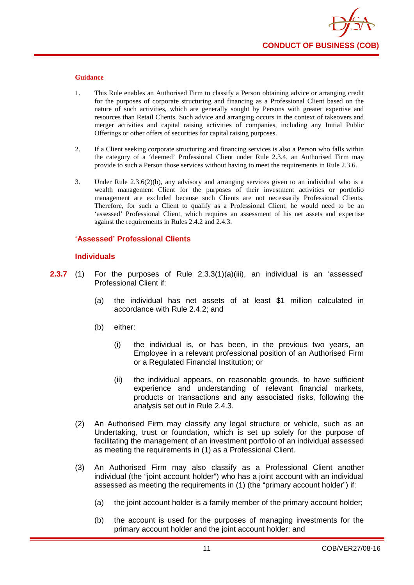

- 1. This Rule enables an Authorised Firm to classify a Person obtaining advice or arranging credit for the purposes of corporate structuring and financing as a Professional Client based on the nature of such activities, which are generally sought by Persons with greater expertise and resources than Retail Clients. Such advice and arranging occurs in the context of takeovers and merger activities and capital raising activities of companies, including any Initial Public Offerings or other offers of securities for capital raising purposes.
- 2. If a Client seeking corporate structuring and financing services is also a Person who falls within the category of a 'deemed' Professional Client under Rule 2.3.4, an Authorised Firm may provide to such a Person those services without having to meet the requirements in Rule 2.3.6.
- 3. Under Rule 2.3.6(2)(b), any advisory and arranging services given to an individual who is a wealth management Client for the purposes of their investment activities or portfolio management are excluded because such Clients are not necessarily Professional Clients. Therefore, for such a Client to qualify as a Professional Client, he would need to be an 'assessed' Professional Client, which requires an assessment of his net assets and expertise against the requirements in Rules 2.4.2 and 2.4.3.

#### **'Assessed' Professional Clients**

#### **Individuals**

- **2.3.7** (1) For the purposes of Rule 2.3.3(1)(a)(iii), an individual is an 'assessed' Professional Client if:
	- (a) the individual has net assets of at least \$1 million calculated in accordance with Rule 2.4.2; and
	- (b) either:
		- (i) the individual is, or has been, in the previous two years, an Employee in a relevant professional position of an Authorised Firm or a Regulated Financial Institution; or
		- (ii) the individual appears, on reasonable grounds, to have sufficient experience and understanding of relevant financial markets, products or transactions and any associated risks, following the analysis set out in Rule 2.4.3.
	- (2) An Authorised Firm may classify any legal structure or vehicle, such as an Undertaking, trust or foundation, which is set up solely for the purpose of facilitating the management of an investment portfolio of an individual assessed as meeting the requirements in (1) as a Professional Client.
	- (3) An Authorised Firm may also classify as a Professional Client another individual (the "joint account holder") who has a joint account with an individual assessed as meeting the requirements in (1) (the "primary account holder") if:
		- (a) the joint account holder is a family member of the primary account holder;
		- (b) the account is used for the purposes of managing investments for the primary account holder and the joint account holder; and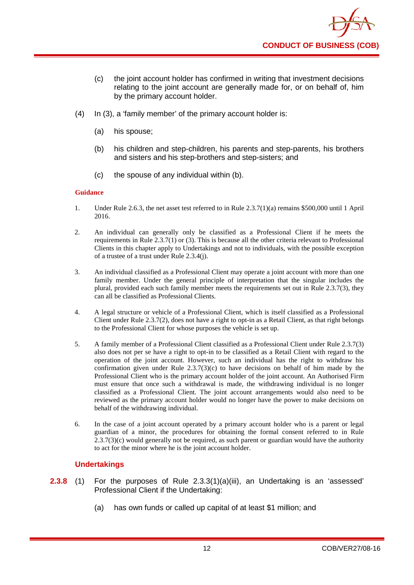- (c) the joint account holder has confirmed in writing that investment decisions relating to the joint account are generally made for, or on behalf of, him by the primary account holder.
- (4) In (3), a 'family member' of the primary account holder is:
	- (a) his spouse;
	- (b) his children and step-children, his parents and step-parents, his brothers and sisters and his step-brothers and step-sisters; and
	- (c) the spouse of any individual within (b).

- 1. Under Rule 2.6.3, the net asset test referred to in Rule 2.3.7(1)(a) remains \$500,000 until 1 April 2016.
- 2. An individual can generally only be classified as a Professional Client if he meets the requirements in Rule 2.3.7(1) or (3). This is because all the other criteria relevant to Professional Clients in this chapter apply to Undertakings and not to individuals, with the possible exception of a trustee of a trust under Rule 2.3.4(j).
- 3. An individual classified as a Professional Client may operate a joint account with more than one family member. Under the general principle of interpretation that the singular includes the plural, provided each such family member meets the requirements set out in Rule 2.3.7(3), they can all be classified as Professional Clients.
- 4. A legal structure or vehicle of a Professional Client, which is itself classified as a Professional Client under Rule 2.3.7(2), does not have a right to opt-in as a Retail Client, as that right belongs to the Professional Client for whose purposes the vehicle is set up.
- 5. A family member of a Professional Client classified as a Professional Client under Rule 2.3.7(3) also does not per se have a right to opt-in to be classified as a Retail Client with regard to the operation of the joint account. However, such an individual has the right to withdraw his confirmation given under Rule  $2.3.7(3)(c)$  to have decisions on behalf of him made by the Professional Client who is the primary account holder of the joint account. An Authorised Firm must ensure that once such a withdrawal is made, the withdrawing individual is no longer classified as a Professional Client. The joint account arrangements would also need to be reviewed as the primary account holder would no longer have the power to make decisions on behalf of the withdrawing individual.
- 6. In the case of a joint account operated by a primary account holder who is a parent or legal guardian of a minor, the procedures for obtaining the formal consent referred to in Rule  $2.3.7(3)(c)$  would generally not be required, as such parent or guardian would have the authority to act for the minor where he is the joint account holder.

#### **Undertakings**

- **2.3.8** (1) For the purposes of Rule 2.3.3(1)(a)(iii), an Undertaking is an 'assessed' Professional Client if the Undertaking:
	- (a) has own funds or called up capital of at least \$1 million; and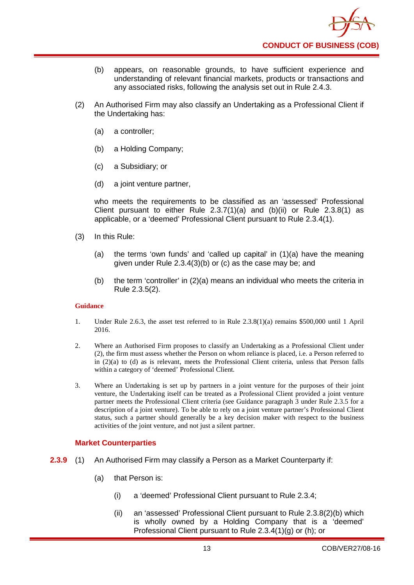

- (b) appears, on reasonable grounds, to have sufficient experience and understanding of relevant financial markets, products or transactions and any associated risks, following the analysis set out in Rule 2.4.3.
- (2) An Authorised Firm may also classify an Undertaking as a Professional Client if the Undertaking has:
	- (a) a controller;
	- (b) a Holding Company;
	- (c) a Subsidiary; or
	- (d) a joint venture partner,

who meets the requirements to be classified as an 'assessed' Professional Client pursuant to either Rule  $2.3.7(1)(a)$  and  $(b)(ii)$  or Rule  $2.3.8(1)$  as applicable, or a 'deemed' Professional Client pursuant to Rule 2.3.4(1).

- (3) In this Rule:
	- (a) the terms 'own funds' and 'called up capital' in (1)(a) have the meaning given under Rule 2.3.4(3)(b) or (c) as the case may be; and
	- (b) the term 'controller' in (2)(a) means an individual who meets the criteria in Rule 2.3.5(2).

#### **Guidance**

- 1. Under Rule 2.6.3, the asset test referred to in Rule 2.3.8(1)(a) remains \$500,000 until 1 April 2016.
- 2. Where an Authorised Firm proposes to classify an Undertaking as a Professional Client under (2), the firm must assess whether the Person on whom reliance is placed, i.e. a Person referred to in (2)(a) to (d) as is relevant, meets the Professional Client criteria, unless that Person falls within a category of 'deemed' Professional Client.
- 3. Where an Undertaking is set up by partners in a joint venture for the purposes of their joint venture, the Undertaking itself can be treated as a Professional Client provided a joint venture partner meets the Professional Client criteria (see Guidance paragraph 3 under Rule 2.3.5 for a description of a joint venture). To be able to rely on a joint venture partner's Professional Client status, such a partner should generally be a key decision maker with respect to the business activities of the joint venture, and not just a silent partner.

#### **Market Counterparties**

- **2.3.9** (1) An Authorised Firm may classify a Person as a Market Counterparty if:
	- (a) that Person is:
		- (i) a 'deemed' Professional Client pursuant to Rule 2.3.4;
		- (ii) an 'assessed' Professional Client pursuant to Rule 2.3.8(2)(b) which is wholly owned by a Holding Company that is a 'deemed' Professional Client pursuant to Rule 2.3.4(1)(g) or (h); or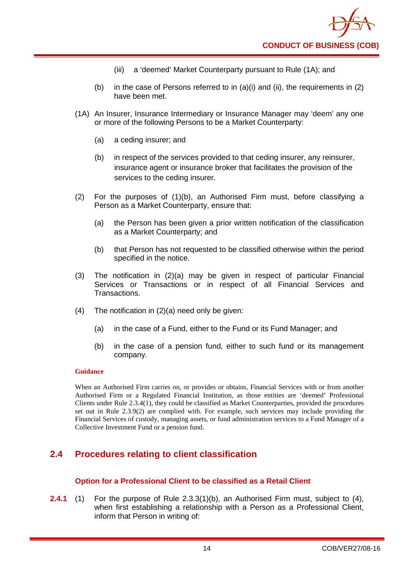- (iii) a 'deemed' Market Counterparty pursuant to Rule (1A); and
- (b) in the case of Persons referred to in  $(a)(i)$  and  $(ii)$ , the requirements in  $(2)$ have been met.
- (1A) An Insurer, Insurance Intermediary or Insurance Manager may 'deem' any one or more of the following Persons to be a Market Counterparty:
	- (a) a ceding insurer; and
	- (b) in respect of the services provided to that ceding insurer, any reinsurer, insurance agent or insurance broker that facilitates the provision of the services to the ceding insurer.
- (2) For the purposes of (1)(b), an Authorised Firm must, before classifying a Person as a Market Counterparty, ensure that:
	- (a) the Person has been given a prior written notification of the classification as a Market Counterparty; and
	- (b) that Person has not requested to be classified otherwise within the period specified in the notice.
- (3) The notification in (2)(a) may be given in respect of particular Financial Services or Transactions or in respect of all Financial Services and Transactions.
- (4) The notification in (2)(a) need only be given:
	- (a) in the case of a Fund, either to the Fund or its Fund Manager; and
	- (b) in the case of a pension fund, either to such fund or its management company.

When an Authorised Firm carries on, or provides or obtains, Financial Services with or from another Authorised Firm or a Regulated Financial Institution, as those entities are 'deemed' Professional Clients under Rule 2.3.4(1), they could be classified as Market Counterparties, provided the procedures set out in Rule 2.3.9(2) are complied with. For example, such services may include providing the Financial Services of custody, managing assets, or fund administration services to a Fund Manager of a Collective Investment Fund or a pension fund.

# <span id="page-18-0"></span>**2.4 Procedures relating to client classification**

#### **Option for a Professional Client to be classified as a Retail Client**

**2.4.1** (1) For the purpose of Rule 2.3.3(1)(b), an Authorised Firm must, subject to (4), when first establishing a relationship with a Person as a Professional Client, inform that Person in writing of: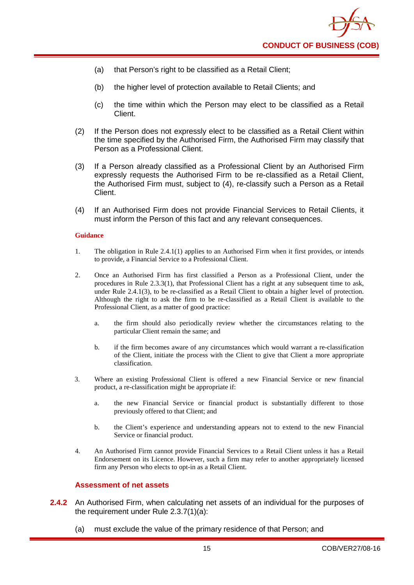

- (a) that Person's right to be classified as a Retail Client;
- (b) the higher level of protection available to Retail Clients; and
- (c) the time within which the Person may elect to be classified as a Retail Client.
- (2) If the Person does not expressly elect to be classified as a Retail Client within the time specified by the Authorised Firm, the Authorised Firm may classify that Person as a Professional Client.
- (3) If a Person already classified as a Professional Client by an Authorised Firm expressly requests the Authorised Firm to be re-classified as a Retail Client, the Authorised Firm must, subject to (4), re-classify such a Person as a Retail Client.
- (4) If an Authorised Firm does not provide Financial Services to Retail Clients, it must inform the Person of this fact and any relevant consequences.

- 1. The obligation in Rule 2.4.1(1) applies to an Authorised Firm when it first provides, or intends to provide, a Financial Service to a Professional Client.
- 2. Once an Authorised Firm has first classified a Person as a Professional Client, under the procedures in Rule 2.3.3(1), that Professional Client has a right at any subsequent time to ask, under Rule 2.4.1(3), to be re-classified as a Retail Client to obtain a higher level of protection. Although the right to ask the firm to be re-classified as a Retail Client is available to the Professional Client, as a matter of good practice:
	- a. the firm should also periodically review whether the circumstances relating to the particular Client remain the same; and
	- b. if the firm becomes aware of any circumstances which would warrant a re-classification of the Client, initiate the process with the Client to give that Client a more appropriate classification.
- 3. Where an existing Professional Client is offered a new Financial Service or new financial product, a re-classification might be appropriate if:
	- a. the new Financial Service or financial product is substantially different to those previously offered to that Client; and
	- b. the Client's experience and understanding appears not to extend to the new Financial Service or financial product.
- 4. An Authorised Firm cannot provide Financial Services to a Retail Client unless it has a Retail Endorsement on its Licence. However, such a firm may refer to another appropriately licensed firm any Person who elects to opt-in as a Retail Client.

#### **Assessment of net assets**

- **2.4.2** An Authorised Firm, when calculating net assets of an individual for the purposes of the requirement under Rule 2.3.7(1)(a):
	- (a) must exclude the value of the primary residence of that Person; and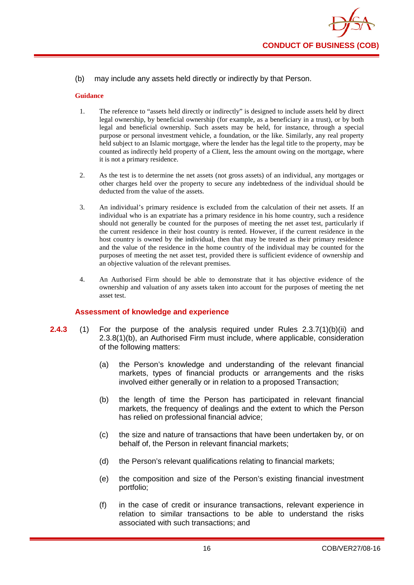#### (b) may include any assets held directly or indirectly by that Person.

#### **Guidance**

- 1. The reference to "assets held directly or indirectly" is designed to include assets held by direct legal ownership, by beneficial ownership (for example, as a beneficiary in a trust), or by both legal and beneficial ownership. Such assets may be held, for instance, through a special purpose or personal investment vehicle, a foundation, or the like. Similarly, any real property held subject to an Islamic mortgage, where the lender has the legal title to the property, may be counted as indirectly held property of a Client, less the amount owing on the mortgage, where it is not a primary residence.
- 2. As the test is to determine the net assets (not gross assets) of an individual, any mortgages or other charges held over the property to secure any indebtedness of the individual should be deducted from the value of the assets.
- 3. An individual's primary residence is excluded from the calculation of their net assets. If an individual who is an expatriate has a primary residence in his home country, such a residence should not generally be counted for the purposes of meeting the net asset test, particularly if the current residence in their host country is rented. However, if the current residence in the host country is owned by the individual, then that may be treated as their primary residence and the value of the residence in the home country of the individual may be counted for the purposes of meeting the net asset test, provided there is sufficient evidence of ownership and an objective valuation of the relevant premises.
- 4. An Authorised Firm should be able to demonstrate that it has objective evidence of the ownership and valuation of any assets taken into account for the purposes of meeting the net asset test.

#### **Assessment of knowledge and experience**

- **2.4.3** (1) For the purpose of the analysis required under Rules 2.3.7(1)(b)(ii) and 2.3.8(1)(b), an Authorised Firm must include, where applicable, consideration of the following matters:
	- (a) the Person's knowledge and understanding of the relevant financial markets, types of financial products or arrangements and the risks involved either generally or in relation to a proposed Transaction;
	- (b) the length of time the Person has participated in relevant financial markets, the frequency of dealings and the extent to which the Person has relied on professional financial advice;
	- (c) the size and nature of transactions that have been undertaken by, or on behalf of, the Person in relevant financial markets;
	- (d) the Person's relevant qualifications relating to financial markets;
	- (e) the composition and size of the Person's existing financial investment portfolio;
	- (f) in the case of credit or insurance transactions, relevant experience in relation to similar transactions to be able to understand the risks associated with such transactions; and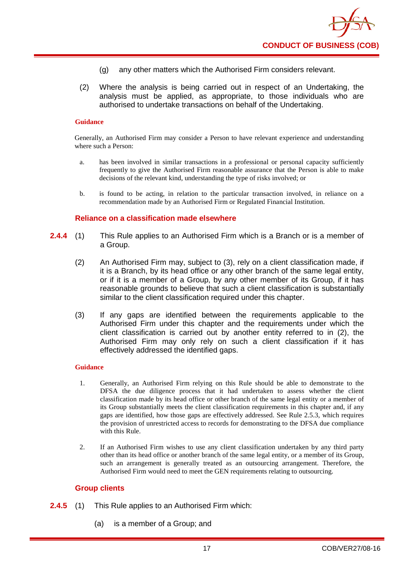- (g) any other matters which the Authorised Firm considers relevant.
- (2) Where the analysis is being carried out in respect of an Undertaking, the analysis must be applied, as appropriate, to those individuals who are authorised to undertake transactions on behalf of the Undertaking.

Generally, an Authorised Firm may consider a Person to have relevant experience and understanding where such a Person:

- a. has been involved in similar transactions in a professional or personal capacity sufficiently frequently to give the Authorised Firm reasonable assurance that the Person is able to make decisions of the relevant kind, understanding the type of risks involved; or
- b. is found to be acting, in relation to the particular transaction involved, in reliance on a recommendation made by an Authorised Firm or Regulated Financial Institution.

#### **Reliance on a classification made elsewhere**

- **2.4.4** (1) This Rule applies to an Authorised Firm which is a Branch or is a member of a Group.
	- (2) An Authorised Firm may, subject to (3), rely on a client classification made, if it is a Branch, by its head office or any other branch of the same legal entity, or if it is a member of a Group, by any other member of its Group, if it has reasonable grounds to believe that such a client classification is substantially similar to the client classification required under this chapter.
	- (3) If any gaps are identified between the requirements applicable to the Authorised Firm under this chapter and the requirements under which the client classification is carried out by another entity referred to in (2), the Authorised Firm may only rely on such a client classification if it has effectively addressed the identified gaps.

#### **Guidance**

- 1. Generally, an Authorised Firm relying on this Rule should be able to demonstrate to the DFSA the due diligence process that it had undertaken to assess whether the client classification made by its head office or other branch of the same legal entity or a member of its Group substantially meets the client classification requirements in this chapter and, if any gaps are identified, how those gaps are effectively addressed. See Rule 2.5.3, which requires the provision of unrestricted access to records for demonstrating to the DFSA due compliance with this Rule.
- 2. If an Authorised Firm wishes to use any client classification undertaken by any third party other than its head office or another branch of the same legal entity, or a member of its Group, such an arrangement is generally treated as an outsourcing arrangement. Therefore, the Authorised Firm would need to meet the GEN requirements relating to outsourcing.

#### **Group clients**

- **2.4.5** (1) This Rule applies to an Authorised Firm which:
	- (a) is a member of a Group; and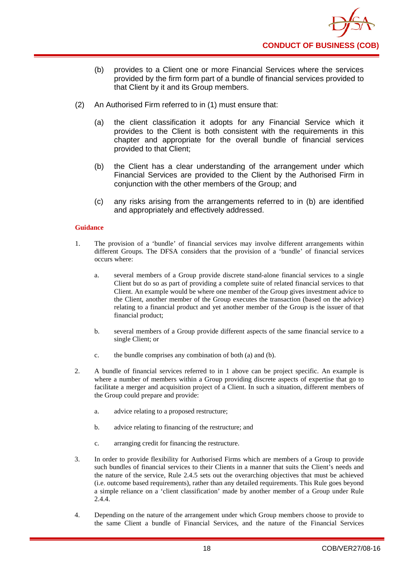

- (b) provides to a Client one or more Financial Services where the services provided by the firm form part of a bundle of financial services provided to that Client by it and its Group members.
- (2) An Authorised Firm referred to in (1) must ensure that:
	- (a) the client classification it adopts for any Financial Service which it provides to the Client is both consistent with the requirements in this chapter and appropriate for the overall bundle of financial services provided to that Client;
	- (b) the Client has a clear understanding of the arrangement under which Financial Services are provided to the Client by the Authorised Firm in conjunction with the other members of the Group; and
	- (c) any risks arising from the arrangements referred to in (b) are identified and appropriately and effectively addressed.

- 1. The provision of a 'bundle' of financial services may involve different arrangements within different Groups. The DFSA considers that the provision of a 'bundle' of financial services occurs where:
	- a. several members of a Group provide discrete stand-alone financial services to a single Client but do so as part of providing a complete suite of related financial services to that Client. An example would be where one member of the Group gives investment advice to the Client, another member of the Group executes the transaction (based on the advice) relating to a financial product and yet another member of the Group is the issuer of that financial product;
	- b. several members of a Group provide different aspects of the same financial service to a single Client; or
	- c. the bundle comprises any combination of both (a) and (b).
- 2. A bundle of financial services referred to in 1 above can be project specific. An example is where a number of members within a Group providing discrete aspects of expertise that go to facilitate a merger and acquisition project of a Client. In such a situation, different members of the Group could prepare and provide:
	- a. advice relating to a proposed restructure;
	- b. advice relating to financing of the restructure; and
	- c. arranging credit for financing the restructure.
- 3. In order to provide flexibility for Authorised Firms which are members of a Group to provide such bundles of financial services to their Clients in a manner that suits the Client's needs and the nature of the service, Rule 2.4.5 sets out the overarching objectives that must be achieved (i.e. outcome based requirements), rather than any detailed requirements. This Rule goes beyond a simple reliance on a 'client classification' made by another member of a Group under Rule 2.4.4.
- 4. Depending on the nature of the arrangement under which Group members choose to provide to the same Client a bundle of Financial Services, and the nature of the Financial Services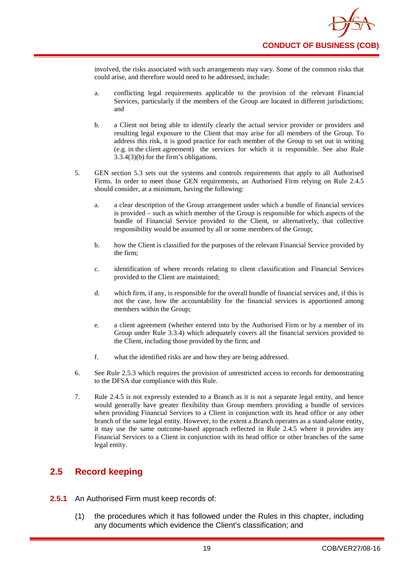involved, the risks associated with such arrangements may vary. Some of the common risks that could arise, and therefore would need to be addressed, include:

- a. conflicting legal requirements applicable to the provision of the relevant Financial Services, particularly if the members of the Group are located in different jurisdictions; and
- b. a Client not being able to identify clearly the actual service provider or providers and resulting legal exposure to the Client that may arise for all members of the Group. To address this risk, it is good practice for each member of the Group to set out in writing (e.g. in the client agreement) the services for which it is responsible. See also Rule 3.3.4(3)(b) for the firm's obligations.
- 5. GEN section 5.3 sets out the systems and controls requirements that apply to all Authorised Firms. In order to meet those GEN requirements, an Authorised Firm relying on Rule 2.4.5 should consider, at a minimum, having the following:
	- a. a clear description of the Group arrangement under which a bundle of financial services is provided – such as which member of the Group is responsible for which aspects of the bundle of Financial Service provided to the Client, or alternatively, that collective responsibility would be assumed by all or some members of the Group;
	- b. how the Client is classified for the purposes of the relevant Financial Service provided by the firm;
	- c. identification of where records relating to client classification and Financial Services provided to the Client are maintained;
	- d. which firm, if any, is responsible for the overall bundle of financial services and, if this is not the case, how the accountability for the financial services is apportioned among members within the Group;
	- e. a client agreement (whether entered into by the Authorised Firm or by a member of its Group under Rule 3.3.4) which adequately covers all the financial services provided to the Client, including those provided by the firm; and
	- f. what the identified risks are and how they are being addressed.
- 6. See Rule 2.5.3 which requires the provision of unrestricted access to records for demonstrating to the DFSA due compliance with this Rule.
- 7. Rule 2.4.5 is not expressly extended to a Branch as it is not a separate legal entity, and hence would generally have greater flexibility than Group members providing a bundle of services when providing Financial Services to a Client in conjunction with its head office or any other branch of the same legal entity. However, to the extent a Branch operates as a stand-alone entity, it may use the same outcome-based approach reflected in Rule 2.4.5 where it provides any Financial Services to a Client in conjunction with its head office or other branches of the same legal entity.

# <span id="page-23-0"></span>**2.5 Record keeping**

- **2.5.1** An Authorised Firm must keep records of:
	- (1) the procedures which it has followed under the Rules in this chapter, including any documents which evidence the Client's classification; and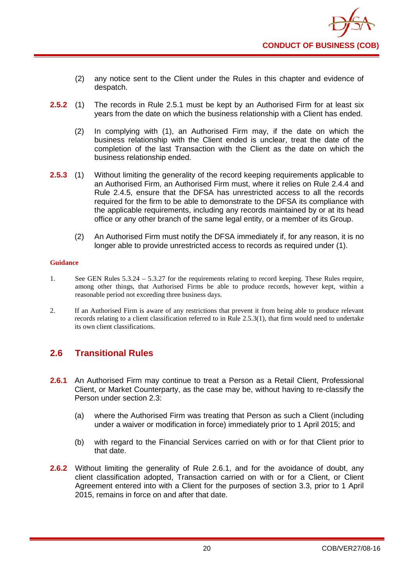- (2) any notice sent to the Client under the Rules in this chapter and evidence of despatch.
- **2.5.2** (1) The records in Rule 2.5.1 must be kept by an Authorised Firm for at least six years from the date on which the business relationship with a Client has ended.
	- (2) In complying with (1), an Authorised Firm may, if the date on which the business relationship with the Client ended is unclear, treat the date of the completion of the last Transaction with the Client as the date on which the business relationship ended.
- **2.5.3** (1) Without limiting the generality of the record keeping requirements applicable to an Authorised Firm, an Authorised Firm must, where it relies on Rule 2.4.4 and Rule 2.4.5, ensure that the DFSA has unrestricted access to all the records required for the firm to be able to demonstrate to the DFSA its compliance with the applicable requirements, including any records maintained by or at its head office or any other branch of the same legal entity, or a member of its Group.
	- (2) An Authorised Firm must notify the DFSA immediately if, for any reason, it is no longer able to provide unrestricted access to records as required under (1).

- 1. See GEN Rules 5.3.24 5.3.27 for the requirements relating to record keeping. These Rules require, among other things, that Authorised Firms be able to produce records, however kept, within a reasonable period not exceeding three business days.
- 2. If an Authorised Firm is aware of any restrictions that prevent it from being able to produce relevant records relating to a client classification referred to in Rule 2.5.3(1), that firm would need to undertake its own client classifications.

# <span id="page-24-0"></span>**2.6 Transitional Rules**

- **2.6.1** An Authorised Firm may continue to treat a Person as a Retail Client, Professional Client, or Market Counterparty, as the case may be, without having to re-classify the Person under section 2.3:
	- (a) where the Authorised Firm was treating that Person as such a Client (including under a waiver or modification in force) immediately prior to 1 April 2015; and
	- (b) with regard to the Financial Services carried on with or for that Client prior to that date.
- **2.6.2** Without limiting the generality of Rule 2.6.1, and for the avoidance of doubt, any client classification adopted, Transaction carried on with or for a Client, or Client Agreement entered into with a Client for the purposes of section 3.3, prior to 1 April 2015, remains in force on and after that date.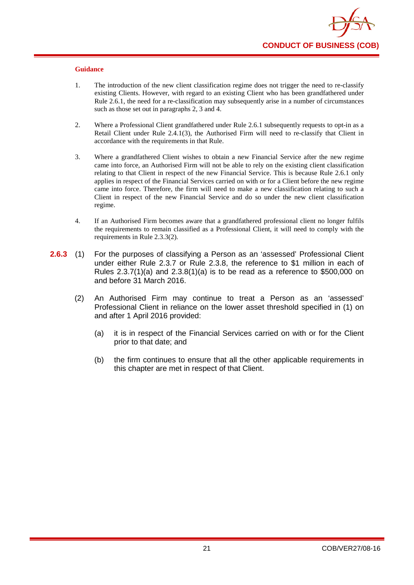- 1. The introduction of the new client classification regime does not trigger the need to re-classify existing Clients. However, with regard to an existing Client who has been grandfathered under Rule 2.6.1, the need for a re-classification may subsequently arise in a number of circumstances such as those set out in paragraphs 2, 3 and 4.
- 2. Where a Professional Client grandfathered under Rule 2.6.1 subsequently requests to opt-in as a Retail Client under Rule 2.4.1(3), the Authorised Firm will need to re-classify that Client in accordance with the requirements in that Rule.
- 3. Where a grandfathered Client wishes to obtain a new Financial Service after the new regime came into force, an Authorised Firm will not be able to rely on the existing client classification relating to that Client in respect of the new Financial Service. This is because Rule 2.6.1 only applies in respect of the Financial Services carried on with or for a Client before the new regime came into force. Therefore, the firm will need to make a new classification relating to such a Client in respect of the new Financial Service and do so under the new client classification regime.
- 4. If an Authorised Firm becomes aware that a grandfathered professional client no longer fulfils the requirements to remain classified as a Professional Client, it will need to comply with the requirements in Rule 2.3.3(2).
- **2.6.3** (1) For the purposes of classifying a Person as an 'assessed' Professional Client under either Rule 2.3.7 or Rule 2.3.8, the reference to \$1 million in each of Rules 2.3.7(1)(a) and 2.3.8(1)(a) is to be read as a reference to \$500,000 on and before 31 March 2016.
	- (2) An Authorised Firm may continue to treat a Person as an 'assessed' Professional Client in reliance on the lower asset threshold specified in (1) on and after 1 April 2016 provided:
		- (a) it is in respect of the Financial Services carried on with or for the Client prior to that date; and
		- (b) the firm continues to ensure that all the other applicable requirements in this chapter are met in respect of that Client.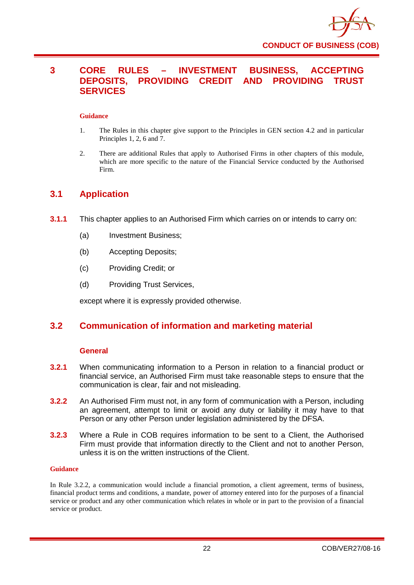

# <span id="page-26-0"></span>**3 CORE RULES – INVESTMENT BUSINESS, ACCEPTING DEPOSITS, PROVIDING CREDIT AND PROVIDING TRUST SERVICES**

#### **Guidance**

- 1. The Rules in this chapter give support to the Principles in GEN section 4.2 and in particular Principles 1, 2, 6 and 7.
- 2. There are additional Rules that apply to Authorised Firms in other chapters of this module, which are more specific to the nature of the Financial Service conducted by the Authorised Firm.

# <span id="page-26-1"></span>**3.1 Application**

- **3.1.1** This chapter applies to an Authorised Firm which carries on or intends to carry on:
	- (a) Investment Business;
	- (b) Accepting Deposits;
	- (c) Providing Credit; or
	- (d) Providing Trust Services,

except where it is expressly provided otherwise.

# <span id="page-26-2"></span>**3.2 Communication of information and marketing material**

#### **General**

- **3.2.1** When communicating information to a Person in relation to a financial product or financial service, an Authorised Firm must take reasonable steps to ensure that the communication is clear, fair and not misleading.
- **3.2.2** An Authorised Firm must not, in any form of communication with a Person, including an agreement, attempt to limit or avoid any duty or liability it may have to that Person or any other Person under legislation administered by the DFSA.
- **3.2.3** Where a Rule in COB requires information to be sent to a Client, the Authorised Firm must provide that information directly to the Client and not to another Person, unless it is on the written instructions of the Client.

#### **Guidance**

In Rule 3.2.2, a communication would include a financial promotion, a client agreement, terms of business, financial product terms and conditions, a mandate, power of attorney entered into for the purposes of a financial service or product and any other communication which relates in whole or in part to the provision of a financial service or product.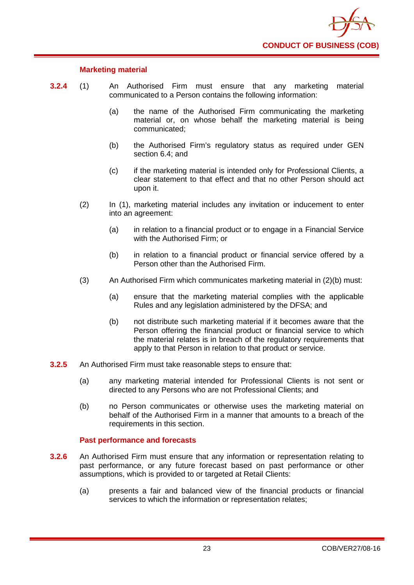

#### **Marketing material**

- **3.2.4** (1) An Authorised Firm must ensure that any marketing material communicated to a Person contains the following information:
	- (a) the name of the Authorised Firm communicating the marketing material or, on whose behalf the marketing material is being communicated;
	- (b) the Authorised Firm's regulatory status as required under GEN section 6.4; and
	- (c) if the marketing material is intended only for Professional Clients, a clear statement to that effect and that no other Person should act upon it.
	- (2) In (1), marketing material includes any invitation or inducement to enter into an agreement:
		- (a) in relation to a financial product or to engage in a Financial Service with the Authorised Firm; or
		- (b) in relation to a financial product or financial service offered by a Person other than the Authorised Firm.
	- (3) An Authorised Firm which communicates marketing material in (2)(b) must:
		- (a) ensure that the marketing material complies with the applicable Rules and any legislation administered by the DFSA; and
		- (b) not distribute such marketing material if it becomes aware that the Person offering the financial product or financial service to which the material relates is in breach of the regulatory requirements that apply to that Person in relation to that product or service.
- **3.2.5** An Authorised Firm must take reasonable steps to ensure that:
	- (a) any marketing material intended for Professional Clients is not sent or directed to any Persons who are not Professional Clients; and
	- (b) no Person communicates or otherwise uses the marketing material on behalf of the Authorised Firm in a manner that amounts to a breach of the requirements in this section.

#### **Past performance and forecasts**

- **3.2.6** An Authorised Firm must ensure that any information or representation relating to past performance, or any future forecast based on past performance or other assumptions, which is provided to or targeted at Retail Clients:
	- (a) presents a fair and balanced view of the financial products or financial services to which the information or representation relates;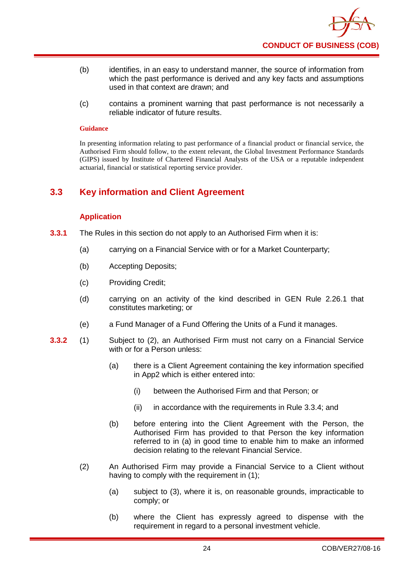

- (b) identifies, in an easy to understand manner, the source of information from which the past performance is derived and any key facts and assumptions used in that context are drawn; and
- (c) contains a prominent warning that past performance is not necessarily a reliable indicator of future results.

In presenting information relating to past performance of a financial product or financial service, the Authorised Firm should follow, to the extent relevant, the Global Investment Performance Standards (GIPS) issued by Institute of Chartered Financial Analysts of the USA or a reputable independent actuarial, financial or statistical reporting service provider.

# <span id="page-28-0"></span>**3.3 Key information and Client Agreement**

#### **Application**

- **3.3.1** The Rules in this section do not apply to an Authorised Firm when it is:
	- (a) carrying on a Financial Service with or for a Market Counterparty;
	- (b) Accepting Deposits;
	- (c) Providing Credit;
	- (d) carrying on an activity of the kind described in GEN Rule 2.26.1 that constitutes marketing; or
	- (e) a Fund Manager of a Fund Offering the Units of a Fund it manages.
- **3.3.2** (1) Subject to (2), an Authorised Firm must not carry on a Financial Service with or for a Person unless:
	- (a) there is a Client Agreement containing the key information specified in App2 which is either entered into:
		- (i) between the Authorised Firm and that Person; or
		- (ii) in accordance with the requirements in Rule 3.3.4; and
	- (b) before entering into the Client Agreement with the Person, the Authorised Firm has provided to that Person the key information referred to in (a) in good time to enable him to make an informed decision relating to the relevant Financial Service.
	- (2) An Authorised Firm may provide a Financial Service to a Client without having to comply with the requirement in (1);
		- (a) subject to (3), where it is, on reasonable grounds, impracticable to comply; or
		- (b) where the Client has expressly agreed to dispense with the requirement in regard to a personal investment vehicle.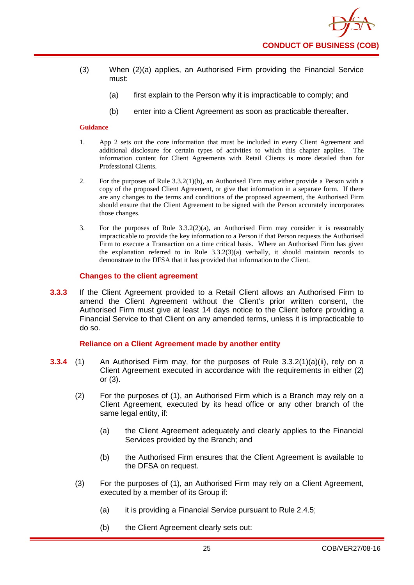- (3) When (2)(a) applies, an Authorised Firm providing the Financial Service must:
	- (a) first explain to the Person why it is impracticable to comply; and
	- (b) enter into a Client Agreement as soon as practicable thereafter.

- 1. App 2 sets out the core information that must be included in every Client Agreement and additional disclosure for certain types of activities to which this chapter applies. The information content for Client Agreements with Retail Clients is more detailed than for Professional Clients.
- 2. For the purposes of Rule 3.3.2(1)(b), an Authorised Firm may either provide a Person with a copy of the proposed Client Agreement, or give that information in a separate form. If there are any changes to the terms and conditions of the proposed agreement, the Authorised Firm should ensure that the Client Agreement to be signed with the Person accurately incorporates those changes.
- 3. For the purposes of Rule 3.3.2(2)(a), an Authorised Firm may consider it is reasonably impracticable to provide the key information to a Person if that Person requests the Authorised Firm to execute a Transaction on a time critical basis. Where an Authorised Firm has given the explanation referred to in Rule 3.3.2(3)(a) verbally, it should maintain records to demonstrate to the DFSA that it has provided that information to the Client.

#### **Changes to the client agreement**

**3.3.3** If the Client Agreement provided to a Retail Client allows an Authorised Firm to amend the Client Agreement without the Client's prior written consent, the Authorised Firm must give at least 14 days notice to the Client before providing a Financial Service to that Client on any amended terms, unless it is impracticable to do so.

#### **Reliance on a Client Agreement made by another entity**

- **3.3.4** (1) An Authorised Firm may, for the purposes of Rule 3.3.2(1)(a)(ii), rely on a Client Agreement executed in accordance with the requirements in either (2) or (3).
	- (2) For the purposes of (1), an Authorised Firm which is a Branch may rely on a Client Agreement, executed by its head office or any other branch of the same legal entity, if:
		- (a) the Client Agreement adequately and clearly applies to the Financial Services provided by the Branch; and
		- (b) the Authorised Firm ensures that the Client Agreement is available to the DFSA on request.
	- (3) For the purposes of (1), an Authorised Firm may rely on a Client Agreement, executed by a member of its Group if:
		- (a) it is providing a Financial Service pursuant to Rule 2.4.5;
		- (b) the Client Agreement clearly sets out: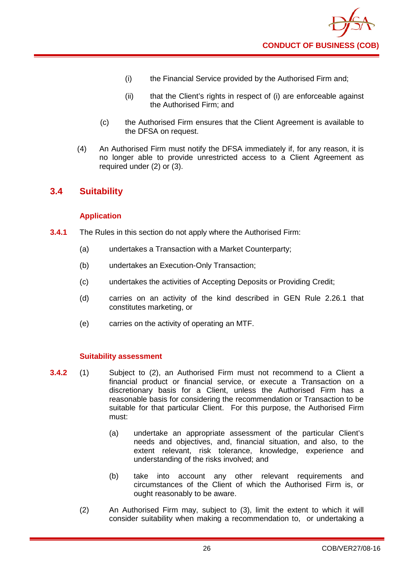

- (i) the Financial Service provided by the Authorised Firm and;
- (ii) that the Client's rights in respect of (i) are enforceable against the Authorised Firm; and
- (c) the Authorised Firm ensures that the Client Agreement is available to the DFSA on request.
- (4) An Authorised Firm must notify the DFSA immediately if, for any reason, it is no longer able to provide unrestricted access to a Client Agreement as required under (2) or (3).

# <span id="page-30-0"></span>**3.4 Suitability**

#### **Application**

- **3.4.1** The Rules in this section do not apply where the Authorised Firm:
	- (a) undertakes a Transaction with a Market Counterparty;
	- (b) undertakes an Execution-Only Transaction;
	- (c) undertakes the activities of Accepting Deposits or Providing Credit;
	- (d) carries on an activity of the kind described in GEN Rule 2.26.1 that constitutes marketing, or
	- (e) carries on the activity of operating an MTF.

#### **Suitability assessment**

- **3.4.2** (1) Subject to (2), an Authorised Firm must not recommend to a Client a financial product or financial service, or execute a Transaction on a discretionary basis for a Client, unless the Authorised Firm has a reasonable basis for considering the recommendation or Transaction to be suitable for that particular Client. For this purpose, the Authorised Firm must:
	- (a) undertake an appropriate assessment of the particular Client's needs and objectives, and, financial situation, and also, to the extent relevant, risk tolerance, knowledge, experience and understanding of the risks involved; and
	- (b) take into account any other relevant requirements and circumstances of the Client of which the Authorised Firm is, or ought reasonably to be aware.
	- (2) An Authorised Firm may, subject to (3), limit the extent to which it will consider suitability when making a recommendation to, or undertaking a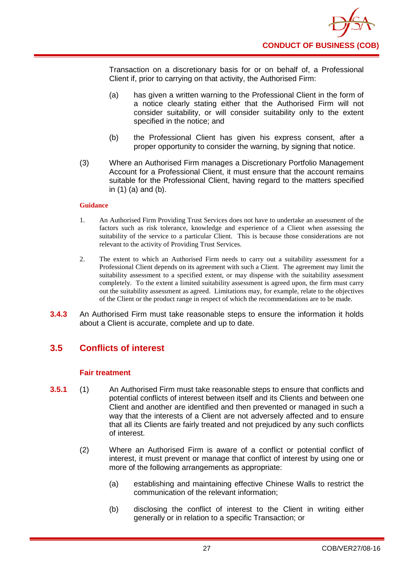

Transaction on a discretionary basis for or on behalf of, a Professional Client if, prior to carrying on that activity, the Authorised Firm:

- (a) has given a written warning to the Professional Client in the form of a notice clearly stating either that the Authorised Firm will not consider suitability, or will consider suitability only to the extent specified in the notice; and
- (b) the Professional Client has given his express consent, after a proper opportunity to consider the warning, by signing that notice.
- (3) Where an Authorised Firm manages a Discretionary Portfolio Management Account for a Professional Client, it must ensure that the account remains suitable for the Professional Client, having regard to the matters specified in (1) (a) and (b).

#### **Guidance**

- 1. An Authorised Firm Providing Trust Services does not have to undertake an assessment of the factors such as risk tolerance, knowledge and experience of a Client when assessing the suitability of the service to a particular Client. This is because those considerations are not relevant to the activity of Providing Trust Services.
- 2. The extent to which an Authorised Firm needs to carry out a suitability assessment for a Professional Client depends on its agreement with such a Client. The agreement may limit the suitability assessment to a specified extent, or may dispense with the suitability assessment completely. To the extent a limited suitability assessment is agreed upon, the firm must carry out the suitability assessment as agreed. Limitations may, for example, relate to the objectives of the Client or the product range in respect of which the recommendations are to be made.
- **3.4.3** An Authorised Firm must take reasonable steps to ensure the information it holds about a Client is accurate, complete and up to date.

# <span id="page-31-0"></span>**3.5 Conflicts of interest**

#### **Fair treatment**

- **3.5.1** (1) An Authorised Firm must take reasonable steps to ensure that conflicts and potential conflicts of interest between itself and its Clients and between one Client and another are identified and then prevented or managed in such a way that the interests of a Client are not adversely affected and to ensure that all its Clients are fairly treated and not prejudiced by any such conflicts of interest.
	- (2) Where an Authorised Firm is aware of a conflict or potential conflict of interest, it must prevent or manage that conflict of interest by using one or more of the following arrangements as appropriate:
		- (a) establishing and maintaining effective Chinese Walls to restrict the communication of the relevant information;
		- (b) disclosing the conflict of interest to the Client in writing either generally or in relation to a specific Transaction; or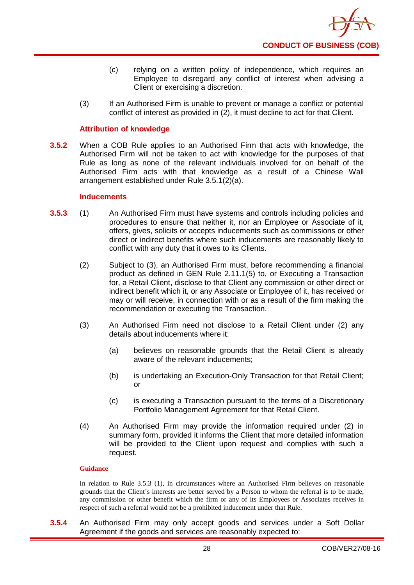- (c) relying on a written policy of independence, which requires an Employee to disregard any conflict of interest when advising a Client or exercising a discretion.
- (3) If an Authorised Firm is unable to prevent or manage a conflict or potential conflict of interest as provided in (2), it must decline to act for that Client.

#### **Attribution of knowledge**

**3.5.2** When a COB Rule applies to an Authorised Firm that acts with knowledge, the Authorised Firm will not be taken to act with knowledge for the purposes of that Rule as long as none of the relevant individuals involved for on behalf of the Authorised Firm acts with that knowledge as a result of a Chinese Wall arrangement established under Rule 3.5.1(2)(a).

#### **Inducements**

- **3.5.3** (1) An Authorised Firm must have systems and controls including policies and procedures to ensure that neither it, nor an Employee or Associate of it, offers, gives, solicits or accepts inducements such as commissions or other direct or indirect benefits where such inducements are reasonably likely to conflict with any duty that it owes to its Clients.
	- (2) Subject to (3), an Authorised Firm must, before recommending a financial product as defined in GEN Rule 2.11.1(5) to, or Executing a Transaction for, a Retail Client, disclose to that Client any commission or other direct or indirect benefit which it, or any Associate or Employee of it, has received or may or will receive, in connection with or as a result of the firm making the recommendation or executing the Transaction.
	- (3) An Authorised Firm need not disclose to a Retail Client under (2) any details about inducements where it:
		- (a) believes on reasonable grounds that the Retail Client is already aware of the relevant inducements;
		- (b) is undertaking an Execution-Only Transaction for that Retail Client; or
		- (c) is executing a Transaction pursuant to the terms of a Discretionary Portfolio Management Agreement for that Retail Client.
	- (4) An Authorised Firm may provide the information required under (2) in summary form, provided it informs the Client that more detailed information will be provided to the Client upon request and complies with such a request.

#### **Guidance**

In relation to Rule 3.5.3 (1), in circumstances where an Authorised Firm believes on reasonable grounds that the Client's interests are better served by a Person to whom the referral is to be made, any commission or other benefit which the firm or any of its Employees or Associates receives in respect of such a referral would not be a prohibited inducement under that Rule.

**3.5.4** An Authorised Firm may only accept goods and services under a Soft Dollar Agreement if the goods and services are reasonably expected to: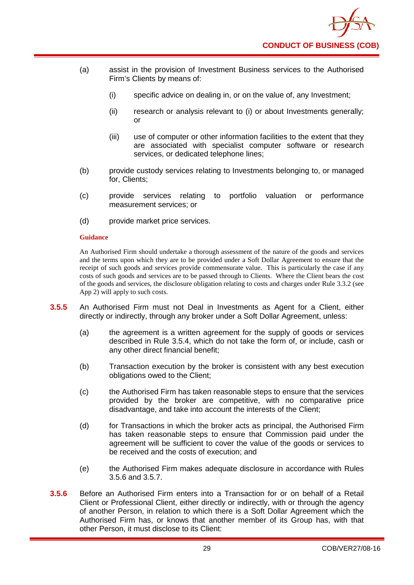- (a) assist in the provision of Investment Business services to the Authorised Firm's Clients by means of:
	- (i) specific advice on dealing in, or on the value of, any Investment;
	- (ii) research or analysis relevant to (i) or about Investments generally; or
	- (iii) use of computer or other information facilities to the extent that they are associated with specialist computer software or research services, or dedicated telephone lines;
- (b) provide custody services relating to Investments belonging to, or managed for, Clients;
- (c) provide services relating to portfolio valuation or performance measurement services; or
- (d) provide market price services.

An Authorised Firm should undertake a thorough assessment of the nature of the goods and services and the terms upon which they are to be provided under a Soft Dollar Agreement to ensure that the receipt of such goods and services provide commensurate value. This is particularly the case if any costs of such goods and services are to be passed through to Clients. Where the Client bears the cost of the goods and services, the disclosure obligation relating to costs and charges under Rule 3.3.2 (see App 2) will apply to such costs.

- **3.5.5** An Authorised Firm must not Deal in Investments as Agent for a Client, either directly or indirectly, through any broker under a Soft Dollar Agreement, unless:
	- (a) the agreement is a written agreement for the supply of goods or services described in Rule 3.5.4, which do not take the form of, or include, cash or any other direct financial benefit;
	- (b) Transaction execution by the broker is consistent with any best execution obligations owed to the Client;
	- (c) the Authorised Firm has taken reasonable steps to ensure that the services provided by the broker are competitive, with no comparative price disadvantage, and take into account the interests of the Client;
	- (d) for Transactions in which the broker acts as principal, the Authorised Firm has taken reasonable steps to ensure that Commission paid under the agreement will be sufficient to cover the value of the goods or services to be received and the costs of execution; and
	- (e) the Authorised Firm makes adequate disclosure in accordance with Rules 3.5.6 and 3.5.7.
- **3.5.6** Before an Authorised Firm enters into a Transaction for or on behalf of a Retail Client or Professional Client, either directly or indirectly, with or through the agency of another Person, in relation to which there is a Soft Dollar Agreement which the Authorised Firm has, or knows that another member of its Group has, with that other Person, it must disclose to its Client: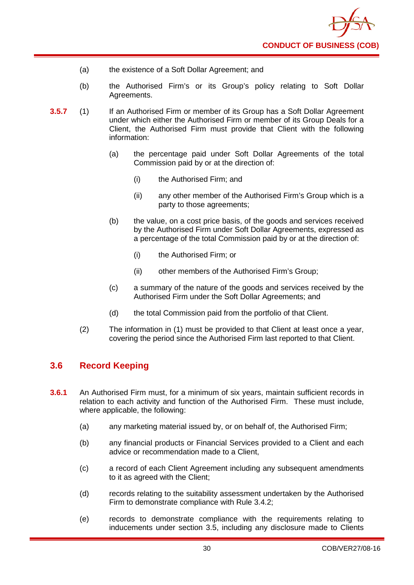- (a) the existence of a Soft Dollar Agreement; and
- (b) the Authorised Firm's or its Group's policy relating to Soft Dollar Agreements.
- **3.5.7** (1) If an Authorised Firm or member of its Group has a Soft Dollar Agreement under which either the Authorised Firm or member of its Group Deals for a Client, the Authorised Firm must provide that Client with the following information:
	- (a) the percentage paid under Soft Dollar Agreements of the total Commission paid by or at the direction of:
		- (i) the Authorised Firm; and
		- (ii) any other member of the Authorised Firm's Group which is a party to those agreements;
	- (b) the value, on a cost price basis, of the goods and services received by the Authorised Firm under Soft Dollar Agreements, expressed as a percentage of the total Commission paid by or at the direction of:
		- (i) the Authorised Firm; or
		- (ii) other members of the Authorised Firm's Group;
	- (c) a summary of the nature of the goods and services received by the Authorised Firm under the Soft Dollar Agreements; and
	- (d) the total Commission paid from the portfolio of that Client.
	- (2) The information in (1) must be provided to that Client at least once a year, covering the period since the Authorised Firm last reported to that Client.

# <span id="page-34-0"></span>**3.6 Record Keeping**

- **3.6.1** An Authorised Firm must, for a minimum of six years, maintain sufficient records in relation to each activity and function of the Authorised Firm. These must include, where applicable, the following:
	- (a) any marketing material issued by, or on behalf of, the Authorised Firm;
	- (b) any financial products or Financial Services provided to a Client and each advice or recommendation made to a Client,
	- (c) a record of each Client Agreement including any subsequent amendments to it as agreed with the Client;
	- (d) records relating to the suitability assessment undertaken by the Authorised Firm to demonstrate compliance with Rule 3.4.2;
	- (e) records to demonstrate compliance with the requirements relating to inducements under section 3.5, including any disclosure made to Clients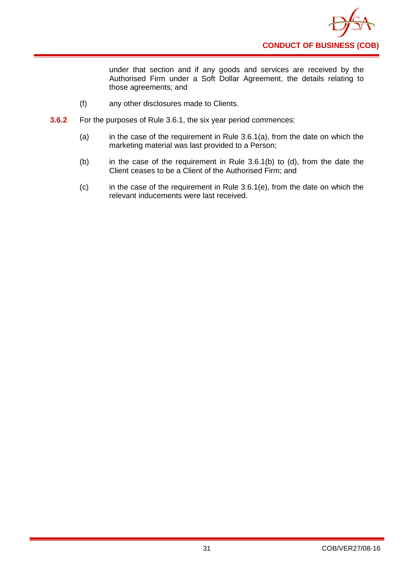

under that section and if any goods and services are received by the Authorised Firm under a Soft Dollar Agreement, the details relating to those agreements; and

- (f) any other disclosures made to Clients.
- **3.6.2** For the purposes of Rule 3.6.1, the six year period commences:
	- (a) in the case of the requirement in Rule  $3.6.1(a)$ , from the date on which the marketing material was last provided to a Person;
	- (b) in the case of the requirement in Rule 3.6.1(b) to (d), from the date the Client ceases to be a Client of the Authorised Firm; and
	- (c) in the case of the requirement in Rule 3.6.1(e), from the date on which the relevant inducements were last received.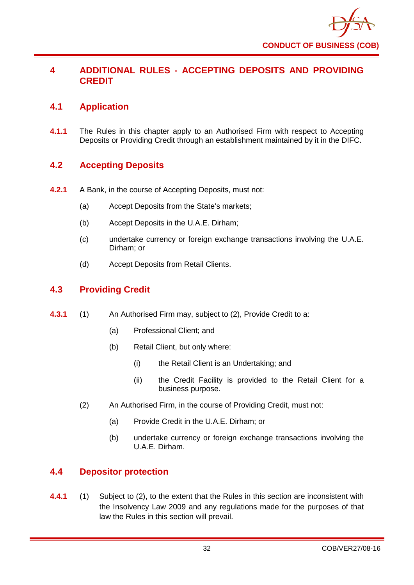

# **4 ADDITIONAL RULES - ACCEPTING DEPOSITS AND PROVIDING CREDIT**

# **4.1 Application**

**4.1.1** The Rules in this chapter apply to an Authorised Firm with respect to Accepting Deposits or Providing Credit through an establishment maintained by it in the DIFC.

# **4.2 Accepting Deposits**

- **4.2.1** A Bank, in the course of Accepting Deposits, must not:
	- (a) Accept Deposits from the State's markets;
	- (b) Accept Deposits in the U.A.E. Dirham;
	- (c) undertake currency or foreign exchange transactions involving the U.A.E. Dirham; or
	- (d) Accept Deposits from Retail Clients.

# **4.3 Providing Credit**

- **4.3.1** (1) An Authorised Firm may, subject to (2), Provide Credit to a:
	- (a) Professional Client; and
	- (b) Retail Client, but only where:
		- (i) the Retail Client is an Undertaking; and
		- (ii) the Credit Facility is provided to the Retail Client for a business purpose.
	- (2) An Authorised Firm, in the course of Providing Credit, must not:
		- (a) Provide Credit in the U.A.E. Dirham; or
		- (b) undertake currency or foreign exchange transactions involving the U.A.E. Dirham.

## **4.4 Depositor protection**

**4.4.1** (1) Subject to (2), to the extent that the Rules in this section are inconsistent with the Insolvency Law 2009 and any regulations made for the purposes of that law the Rules in this section will prevail.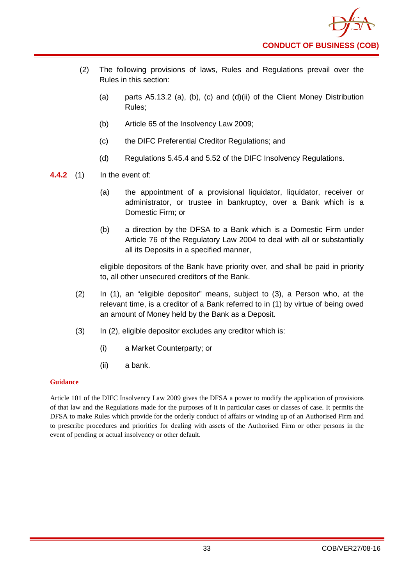- (2) The following provisions of laws, Rules and Regulations prevail over the Rules in this section:
	- (a) parts A5.13.2 (a), (b), (c) and (d)(ii) of the Client Money Distribution Rules;
	- (b) Article 65 of the Insolvency Law 2009;
	- (c) the DIFC Preferential Creditor Regulations; and
	- (d) Regulations 5.45.4 and 5.52 of the DIFC Insolvency Regulations.
- **4.4.2** (1) In the event of:
	- (a) the appointment of a provisional liquidator, liquidator, receiver or administrator, or trustee in bankruptcy, over a Bank which is a Domestic Firm; or
	- (b) a direction by the DFSA to a Bank which is a Domestic Firm under Article 76 of the Regulatory Law 2004 to deal with all or substantially all its Deposits in a specified manner,

eligible depositors of the Bank have priority over, and shall be paid in priority to, all other unsecured creditors of the Bank.

- (2) In (1), an "eligible depositor" means, subject to (3), a Person who, at the relevant time, is a creditor of a Bank referred to in (1) by virtue of being owed an amount of Money held by the Bank as a Deposit.
- (3) In (2), eligible depositor excludes any creditor which is:
	- (i) a Market Counterparty; or
	- (ii) a bank.

#### **Guidance**

Article 101 of the DIFC Insolvency Law 2009 gives the DFSA a power to modify the application of provisions of that law and the Regulations made for the purposes of it in particular cases or classes of case. It permits the DFSA to make Rules which provide for the orderly conduct of affairs or winding up of an Authorised Firm and to prescribe procedures and priorities for dealing with assets of the Authorised Firm or other persons in the event of pending or actual insolvency or other default.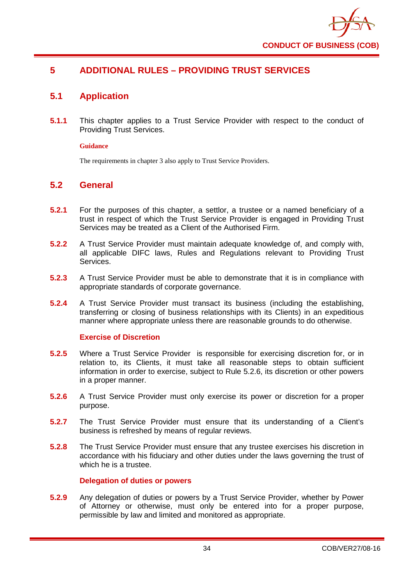

# **5 ADDITIONAL RULES – PROVIDING TRUST SERVICES**

## **5.1 Application**

**5.1.1** This chapter applies to a Trust Service Provider with respect to the conduct of Providing Trust Services.

#### **Guidance**

The requirements in chapter 3 also apply to Trust Service Providers.

## **5.2 General**

- **5.2.1** For the purposes of this chapter, a settlor, a trustee or a named beneficiary of a trust in respect of which the Trust Service Provider is engaged in Providing Trust Services may be treated as a Client of the Authorised Firm.
- **5.2.2** A Trust Service Provider must maintain adequate knowledge of, and comply with, all applicable DIFC laws, Rules and Regulations relevant to Providing Trust Services.
- **5.2.3** A Trust Service Provider must be able to demonstrate that it is in compliance with appropriate standards of corporate governance.
- **5.2.4** A Trust Service Provider must transact its business (including the establishing, transferring or closing of business relationships with its Clients) in an expeditious manner where appropriate unless there are reasonable grounds to do otherwise.

### **Exercise of Discretion**

- **5.2.5** Where a Trust Service Provider is responsible for exercising discretion for, or in relation to, its Clients, it must take all reasonable steps to obtain sufficient information in order to exercise, subject to Rule 5.2.6, its discretion or other powers in a proper manner.
- **5.2.6** A Trust Service Provider must only exercise its power or discretion for a proper purpose.
- **5.2.7** The Trust Service Provider must ensure that its understanding of a Client's business is refreshed by means of regular reviews.
- **5.2.8** The Trust Service Provider must ensure that any trustee exercises his discretion in accordance with his fiduciary and other duties under the laws governing the trust of which he is a trustee.

### **Delegation of duties or powers**

**5.2.9** Any delegation of duties or powers by a Trust Service Provider, whether by Power of Attorney or otherwise, must only be entered into for a proper purpose, permissible by law and limited and monitored as appropriate.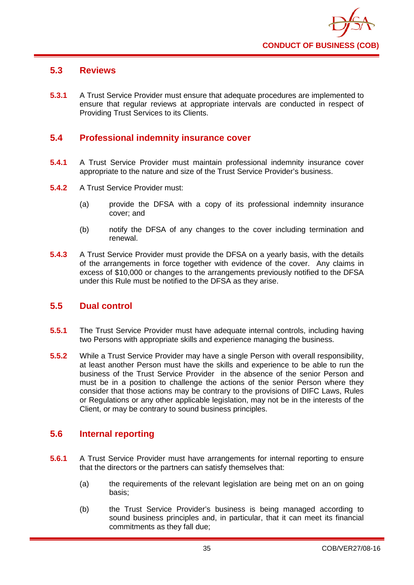

# **5.3 Reviews**

**5.3.1** A Trust Service Provider must ensure that adequate procedures are implemented to ensure that regular reviews at appropriate intervals are conducted in respect of Providing Trust Services to its Clients.

## **5.4 Professional indemnity insurance cover**

- **5.4.1** A Trust Service Provider must maintain professional indemnity insurance cover appropriate to the nature and size of the Trust Service Provider's business.
- **5.4.2** A Trust Service Provider must:
	- (a) provide the DFSA with a copy of its professional indemnity insurance cover; and
	- (b) notify the DFSA of any changes to the cover including termination and renewal.
- **5.4.3** A Trust Service Provider must provide the DFSA on a yearly basis, with the details of the arrangements in force together with evidence of the cover. Any claims in excess of \$10,000 or changes to the arrangements previously notified to the DFSA under this Rule must be notified to the DFSA as they arise.

### **5.5 Dual control**

- **5.5.1** The Trust Service Provider must have adequate internal controls, including having two Persons with appropriate skills and experience managing the business.
- **5.5.2** While a Trust Service Provider may have a single Person with overall responsibility, at least another Person must have the skills and experience to be able to run the business of the Trust Service Provider in the absence of the senior Person and must be in a position to challenge the actions of the senior Person where they consider that those actions may be contrary to the provisions of DIFC Laws, Rules or Regulations or any other applicable legislation, may not be in the interests of the Client, or may be contrary to sound business principles.

### **5.6 Internal reporting**

- **5.6.1** A Trust Service Provider must have arrangements for internal reporting to ensure that the directors or the partners can satisfy themselves that:
	- (a) the requirements of the relevant legislation are being met on an on going basis;
	- (b) the Trust Service Provider's business is being managed according to sound business principles and, in particular, that it can meet its financial commitments as they fall due;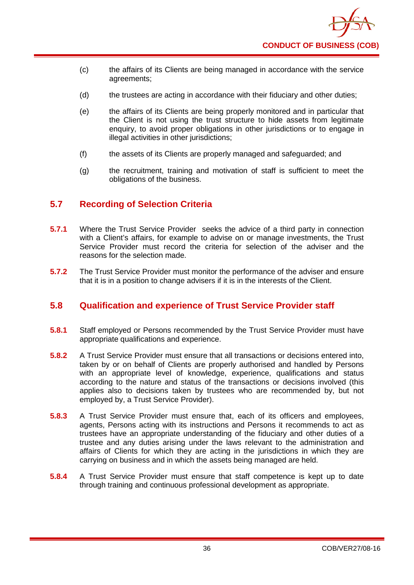

- (c) the affairs of its Clients are being managed in accordance with the service agreements;
- (d) the trustees are acting in accordance with their fiduciary and other duties;
- (e) the affairs of its Clients are being properly monitored and in particular that the Client is not using the trust structure to hide assets from legitimate enquiry, to avoid proper obligations in other jurisdictions or to engage in illegal activities in other jurisdictions;
- (f) the assets of its Clients are properly managed and safeguarded; and
- (g) the recruitment, training and motivation of staff is sufficient to meet the obligations of the business.

## **5.7 Recording of Selection Criteria**

- **5.7.1** Where the Trust Service Provider seeks the advice of a third party in connection with a Client's affairs, for example to advise on or manage investments, the Trust Service Provider must record the criteria for selection of the adviser and the reasons for the selection made.
- **5.7.2** The Trust Service Provider must monitor the performance of the adviser and ensure that it is in a position to change advisers if it is in the interests of the Client.

## **5.8 Qualification and experience of Trust Service Provider staff**

- **5.8.1** Staff employed or Persons recommended by the Trust Service Provider must have appropriate qualifications and experience.
- **5.8.2** A Trust Service Provider must ensure that all transactions or decisions entered into, taken by or on behalf of Clients are properly authorised and handled by Persons with an appropriate level of knowledge, experience, qualifications and status according to the nature and status of the transactions or decisions involved (this applies also to decisions taken by trustees who are recommended by, but not employed by, a Trust Service Provider).
- **5.8.3** A Trust Service Provider must ensure that, each of its officers and employees, agents, Persons acting with its instructions and Persons it recommends to act as trustees have an appropriate understanding of the fiduciary and other duties of a trustee and any duties arising under the laws relevant to the administration and affairs of Clients for which they are acting in the jurisdictions in which they are carrying on business and in which the assets being managed are held.
- **5.8.4** A Trust Service Provider must ensure that staff competence is kept up to date through training and continuous professional development as appropriate.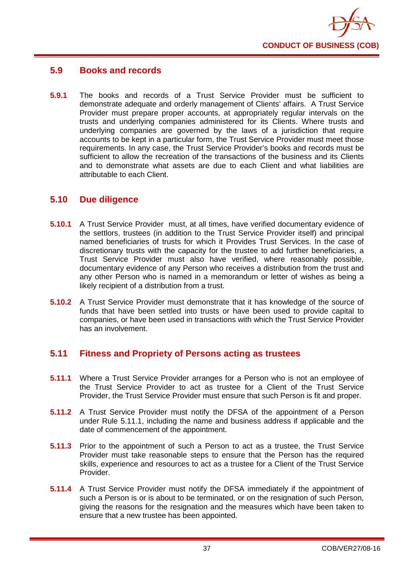

## **5.9 Books and records**

**5.9.1** The books and records of a Trust Service Provider must be sufficient to demonstrate adequate and orderly management of Clients' affairs. A Trust Service Provider must prepare proper accounts, at appropriately regular intervals on the trusts and underlying companies administered for its Clients. Where trusts and underlying companies are governed by the laws of a jurisdiction that require accounts to be kept in a particular form, the Trust Service Provider must meet those requirements. In any case, the Trust Service Provider's books and records must be sufficient to allow the recreation of the transactions of the business and its Clients and to demonstrate what assets are due to each Client and what liabilities are attributable to each Client.

### **5.10 Due diligence**

- **5.10.1** A Trust Service Provider must, at all times, have verified documentary evidence of the settlors, trustees (in addition to the Trust Service Provider itself) and principal named beneficiaries of trusts for which it Provides Trust Services. In the case of discretionary trusts with the capacity for the trustee to add further beneficiaries, a Trust Service Provider must also have verified, where reasonably possible, documentary evidence of any Person who receives a distribution from the trust and any other Person who is named in a memorandum or letter of wishes as being a likely recipient of a distribution from a trust.
- **5.10.2** A Trust Service Provider must demonstrate that it has knowledge of the source of funds that have been settled into trusts or have been used to provide capital to companies, or have been used in transactions with which the Trust Service Provider has an involvement.

## **5.11 Fitness and Propriety of Persons acting as trustees**

- **5.11.1** Where a Trust Service Provider arranges for a Person who is not an employee of the Trust Service Provider to act as trustee for a Client of the Trust Service Provider, the Trust Service Provider must ensure that such Person is fit and proper.
- **5.11.2** A Trust Service Provider must notify the DFSA of the appointment of a Person under Rule 5.11.1, including the name and business address if applicable and the date of commencement of the appointment.
- **5.11.3** Prior to the appointment of such a Person to act as a trustee, the Trust Service Provider must take reasonable steps to ensure that the Person has the required skills, experience and resources to act as a trustee for a Client of the Trust Service Provider.
- **5.11.4** A Trust Service Provider must notify the DFSA immediately if the appointment of such a Person is or is about to be terminated, or on the resignation of such Person, giving the reasons for the resignation and the measures which have been taken to ensure that a new trustee has been appointed.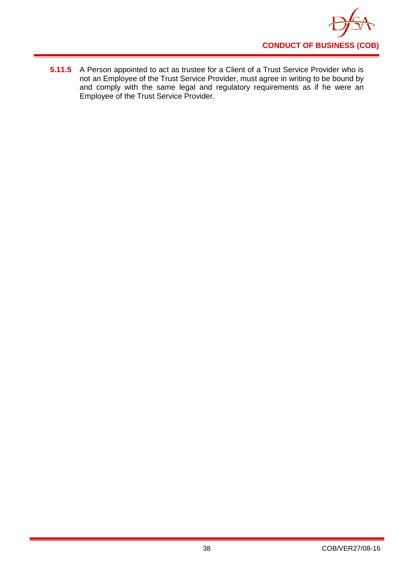

**5.11.5** A Person appointed to act as trustee for a Client of a Trust Service Provider who is not an Employee of the Trust Service Provider, must agree in writing to be bound by and comply with the same legal and regulatory requirements as if he were an Employee of the Trust Service Provider.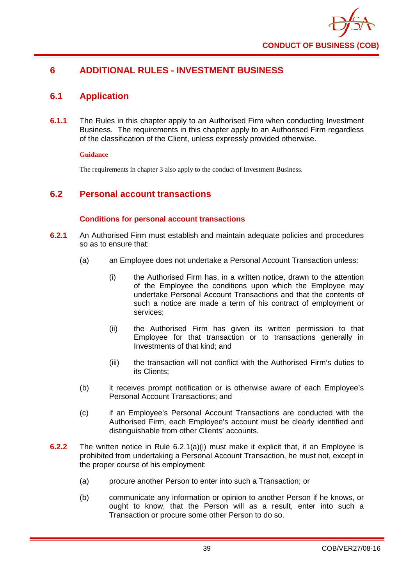

# **6 ADDITIONAL RULES - INVESTMENT BUSINESS**

## **6.1 Application**

**6.1.1** The Rules in this chapter apply to an Authorised Firm when conducting Investment Business. The requirements in this chapter apply to an Authorised Firm regardless of the classification of the Client, unless expressly provided otherwise.

#### **Guidance**

The requirements in chapter 3 also apply to the conduct of Investment Business.

## **6.2 Personal account transactions**

### **Conditions for personal account transactions**

- **6.2.1** An Authorised Firm must establish and maintain adequate policies and procedures so as to ensure that:
	- (a) an Employee does not undertake a Personal Account Transaction unless:
		- (i) the Authorised Firm has, in a written notice, drawn to the attention of the Employee the conditions upon which the Employee may undertake Personal Account Transactions and that the contents of such a notice are made a term of his contract of employment or services;
		- (ii) the Authorised Firm has given its written permission to that Employee for that transaction or to transactions generally in Investments of that kind; and
		- (iii) the transaction will not conflict with the Authorised Firm's duties to its Clients;
	- (b) it receives prompt notification or is otherwise aware of each Employee's Personal Account Transactions; and
	- (c) if an Employee's Personal Account Transactions are conducted with the Authorised Firm, each Employee's account must be clearly identified and distinguishable from other Clients' accounts.
- **6.2.2** The written notice in Rule 6.2.1(a)(i) must make it explicit that, if an Employee is prohibited from undertaking a Personal Account Transaction, he must not, except in the proper course of his employment:
	- (a) procure another Person to enter into such a Transaction; or
	- (b) communicate any information or opinion to another Person if he knows, or ought to know, that the Person will as a result, enter into such a Transaction or procure some other Person to do so.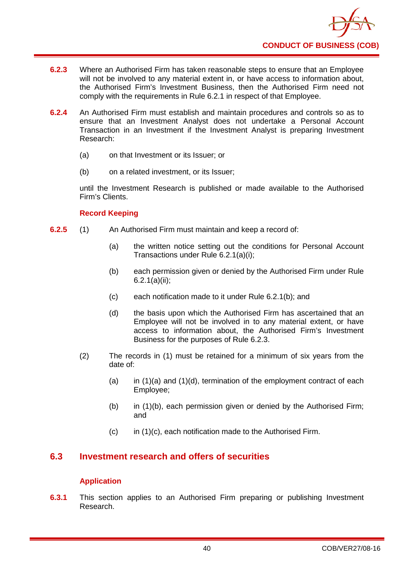- **6.2.3** Where an Authorised Firm has taken reasonable steps to ensure that an Employee will not be involved to any material extent in, or have access to information about, the Authorised Firm's Investment Business, then the Authorised Firm need not comply with the requirements in Rule 6.2.1 in respect of that Employee.
- **6.2.4** An Authorised Firm must establish and maintain procedures and controls so as to ensure that an Investment Analyst does not undertake a Personal Account Transaction in an Investment if the Investment Analyst is preparing Investment Research:
	- (a) on that Investment or its Issuer; or
	- (b) on a related investment, or its Issuer;

until the Investment Research is published or made available to the Authorised Firm's Clients.

### **Record Keeping**

- **6.2.5** (1) An Authorised Firm must maintain and keep a record of:
	- (a) the written notice setting out the conditions for Personal Account Transactions under Rule 6.2.1(a)(i);
	- (b) each permission given or denied by the Authorised Firm under Rule 6.2.1(a)(ii);
	- (c) each notification made to it under Rule 6.2.1(b); and
	- (d) the basis upon which the Authorised Firm has ascertained that an Employee will not be involved in to any material extent, or have access to information about, the Authorised Firm's Investment Business for the purposes of Rule 6.2.3.
	- (2) The records in (1) must be retained for a minimum of six years from the date of:
		- (a) in  $(1)(a)$  and  $(1)(d)$ , termination of the employment contract of each Employee;
		- (b) in (1)(b), each permission given or denied by the Authorised Firm; and
		- $(c)$  in  $(1)(c)$ , each notification made to the Authorised Firm.

## **6.3 Investment research and offers of securities**

### **Application**

**6.3.1** This section applies to an Authorised Firm preparing or publishing Investment Research.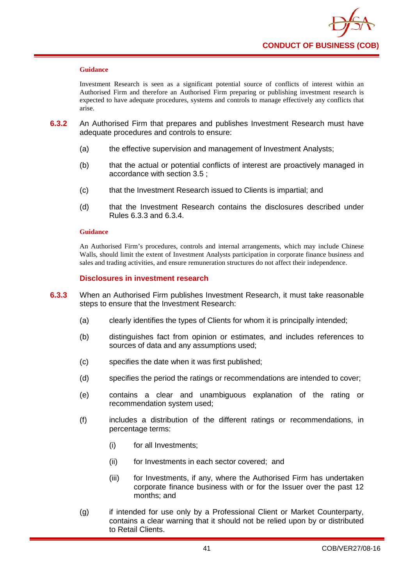

Investment Research is seen as a significant potential source of conflicts of interest within an Authorised Firm and therefore an Authorised Firm preparing or publishing investment research is expected to have adequate procedures, systems and controls to manage effectively any conflicts that arise.

- **6.3.2** An Authorised Firm that prepares and publishes Investment Research must have adequate procedures and controls to ensure:
	- (a) the effective supervision and management of Investment Analysts;
	- (b) that the actual or potential conflicts of interest are proactively managed in accordance with section 3.5 ;
	- (c) that the Investment Research issued to Clients is impartial; and
	- (d) that the Investment Research contains the disclosures described under Rules 6.3.3 and 6.3.4.

#### **Guidance**

An Authorised Firm's procedures, controls and internal arrangements, which may include Chinese Walls, should limit the extent of Investment Analysts participation in corporate finance business and sales and trading activities, and ensure remuneration structures do not affect their independence.

#### **Disclosures in investment research**

- **6.3.3** When an Authorised Firm publishes Investment Research, it must take reasonable steps to ensure that the Investment Research:
	- (a) clearly identifies the types of Clients for whom it is principally intended;
	- (b) distinguishes fact from opinion or estimates, and includes references to sources of data and any assumptions used;
	- (c) specifies the date when it was first published;
	- (d) specifies the period the ratings or recommendations are intended to cover;
	- (e) contains a clear and unambiguous explanation of the rating or recommendation system used;
	- (f) includes a distribution of the different ratings or recommendations, in percentage terms:
		- (i) for all Investments;
		- (ii) for Investments in each sector covered; and
		- (iii) for Investments, if any, where the Authorised Firm has undertaken corporate finance business with or for the Issuer over the past 12 months; and
	- (g) if intended for use only by a Professional Client or Market Counterparty, contains a clear warning that it should not be relied upon by or distributed to Retail Clients.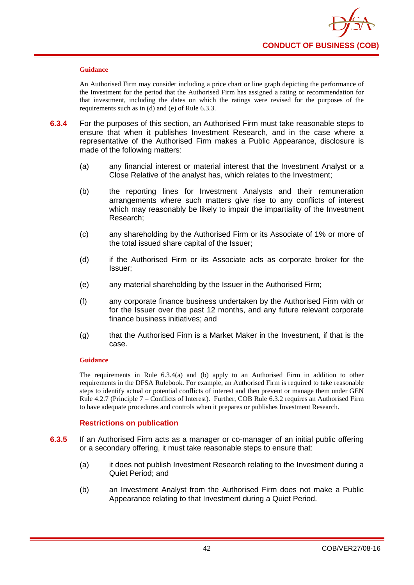

An Authorised Firm may consider including a price chart or line graph depicting the performance of the Investment for the period that the Authorised Firm has assigned a rating or recommendation for that investment, including the dates on which the ratings were revised for the purposes of the requirements such as in (d) and (e) of Rule 6.3.3.

- **6.3.4** For the purposes of this section, an Authorised Firm must take reasonable steps to ensure that when it publishes Investment Research, and in the case where a representative of the Authorised Firm makes a Public Appearance, disclosure is made of the following matters:
	- (a) any financial interest or material interest that the Investment Analyst or a Close Relative of the analyst has, which relates to the Investment;
	- (b) the reporting lines for Investment Analysts and their remuneration arrangements where such matters give rise to any conflicts of interest which may reasonably be likely to impair the impartiality of the Investment Research;
	- (c) any shareholding by the Authorised Firm or its Associate of 1% or more of the total issued share capital of the Issuer;
	- (d) if the Authorised Firm or its Associate acts as corporate broker for the Issuer;
	- (e) any material shareholding by the Issuer in the Authorised Firm;
	- (f) any corporate finance business undertaken by the Authorised Firm with or for the Issuer over the past 12 months, and any future relevant corporate finance business initiatives; and
	- (g) that the Authorised Firm is a Market Maker in the Investment, if that is the case.

#### **Guidance**

The requirements in Rule 6.3.4(a) and (b) apply to an Authorised Firm in addition to other requirements in the DFSA Rulebook. For example, an Authorised Firm is required to take reasonable steps to identify actual or potential conflicts of interest and then prevent or manage them under GEN Rule 4.2.7 (Principle 7 – Conflicts of Interest). Further, COB Rule 6.3.2 requires an Authorised Firm to have adequate procedures and controls when it prepares or publishes Investment Research.

#### **Restrictions on publication**

- **6.3.5** If an Authorised Firm acts as a manager or co-manager of an initial public offering or a secondary offering, it must take reasonable steps to ensure that:
	- (a) it does not publish Investment Research relating to the Investment during a Quiet Period; and
	- (b) an Investment Analyst from the Authorised Firm does not make a Public Appearance relating to that Investment during a Quiet Period.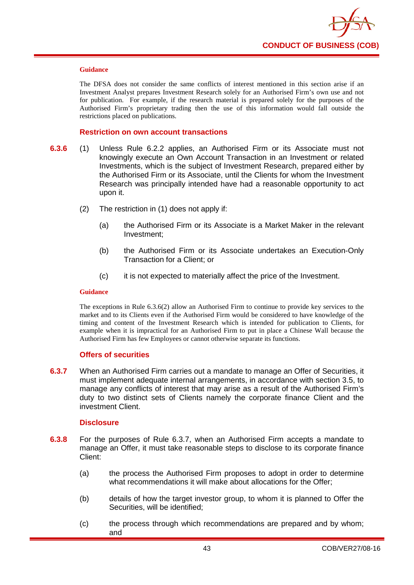

The DFSA does not consider the same conflicts of interest mentioned in this section arise if an Investment Analyst prepares Investment Research solely for an Authorised Firm's own use and not for publication. For example, if the research material is prepared solely for the purposes of the Authorised Firm's proprietary trading then the use of this information would fall outside the restrictions placed on publications.

#### **Restriction on own account transactions**

- **6.3.6** (1) Unless Rule 6.2.2 applies, an Authorised Firm or its Associate must not knowingly execute an Own Account Transaction in an Investment or related Investments, which is the subject of Investment Research, prepared either by the Authorised Firm or its Associate, until the Clients for whom the Investment Research was principally intended have had a reasonable opportunity to act upon it.
	- (2) The restriction in (1) does not apply if:
		- (a) the Authorised Firm or its Associate is a Market Maker in the relevant Investment;
		- (b) the Authorised Firm or its Associate undertakes an Execution-Only Transaction for a Client; or
		- (c) it is not expected to materially affect the price of the Investment.

#### **Guidance**

The exceptions in Rule 6.3.6(2) allow an Authorised Firm to continue to provide key services to the market and to its Clients even if the Authorised Firm would be considered to have knowledge of the timing and content of the Investment Research which is intended for publication to Clients, for example when it is impractical for an Authorised Firm to put in place a Chinese Wall because the Authorised Firm has few Employees or cannot otherwise separate its functions.

#### **Offers of securities**

**6.3.7** When an Authorised Firm carries out a mandate to manage an Offer of Securities, it must implement adequate internal arrangements, in accordance with section 3.5, to manage any conflicts of interest that may arise as a result of the Authorised Firm's duty to two distinct sets of Clients namely the corporate finance Client and the investment Client.

#### **Disclosure**

- **6.3.8** For the purposes of Rule 6.3.7, when an Authorised Firm accepts a mandate to manage an Offer, it must take reasonable steps to disclose to its corporate finance Client:
	- (a) the process the Authorised Firm proposes to adopt in order to determine what recommendations it will make about allocations for the Offer;
	- (b) details of how the target investor group, to whom it is planned to Offer the Securities, will be identified;
	- (c) the process through which recommendations are prepared and by whom; and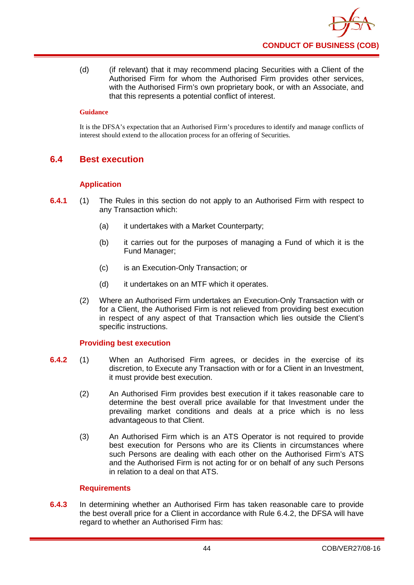(d) (if relevant) that it may recommend placing Securities with a Client of the Authorised Firm for whom the Authorised Firm provides other services, with the Authorised Firm's own proprietary book, or with an Associate, and that this represents a potential conflict of interest.

#### **Guidance**

It is the DFSA's expectation that an Authorised Firm's procedures to identify and manage conflicts of interest should extend to the allocation process for an offering of Securities.

## **6.4 Best execution**

### **Application**

- **6.4.1** (1) The Rules in this section do not apply to an Authorised Firm with respect to any Transaction which:
	- (a) it undertakes with a Market Counterparty;
	- (b) it carries out for the purposes of managing a Fund of which it is the Fund Manager;
	- (c) is an Execution-Only Transaction; or
	- (d) it undertakes on an MTF which it operates.
	- (2) Where an Authorised Firm undertakes an Execution-Only Transaction with or for a Client, the Authorised Firm is not relieved from providing best execution in respect of any aspect of that Transaction which lies outside the Client's specific instructions.

### **Providing best execution**

- **6.4.2** (1) When an Authorised Firm agrees, or decides in the exercise of its discretion, to Execute any Transaction with or for a Client in an Investment, it must provide best execution.
	- (2) An Authorised Firm provides best execution if it takes reasonable care to determine the best overall price available for that Investment under the prevailing market conditions and deals at a price which is no less advantageous to that Client.
	- (3) An Authorised Firm which is an ATS Operator is not required to provide best execution for Persons who are its Clients in circumstances where such Persons are dealing with each other on the Authorised Firm's ATS and the Authorised Firm is not acting for or on behalf of any such Persons in relation to a deal on that ATS.

#### **Requirements**

**6.4.3** In determining whether an Authorised Firm has taken reasonable care to provide the best overall price for a Client in accordance with Rule 6.4.2, the DFSA will have regard to whether an Authorised Firm has: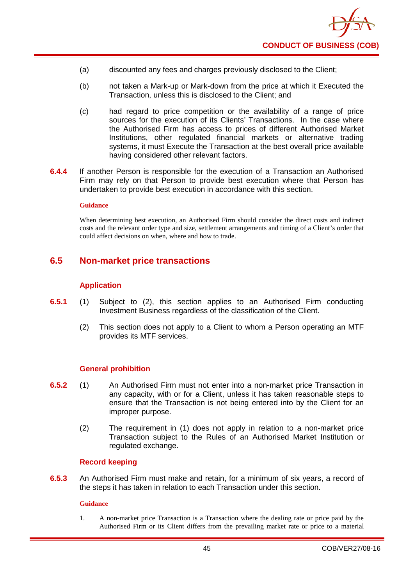

- (a) discounted any fees and charges previously disclosed to the Client;
- (b) not taken a Mark-up or Mark-down from the price at which it Executed the Transaction, unless this is disclosed to the Client; and
- (c) had regard to price competition or the availability of a range of price sources for the execution of its Clients' Transactions. In the case where the Authorised Firm has access to prices of different Authorised Market Institutions, other regulated financial markets or alternative trading systems, it must Execute the Transaction at the best overall price available having considered other relevant factors.
- **6.4.4** If another Person is responsible for the execution of a Transaction an Authorised Firm may rely on that Person to provide best execution where that Person has undertaken to provide best execution in accordance with this section.

When determining best execution, an Authorised Firm should consider the direct costs and indirect costs and the relevant order type and size, settlement arrangements and timing of a Client's order that could affect decisions on when, where and how to trade.

### **6.5 Non-market price transactions**

#### **Application**

- **6.5.1** (1) Subject to (2), this section applies to an Authorised Firm conducting Investment Business regardless of the classification of the Client.
	- (2) This section does not apply to a Client to whom a Person operating an MTF provides its MTF services.

#### **General prohibition**

- **6.5.2** (1) An Authorised Firm must not enter into a non-market price Transaction in any capacity, with or for a Client, unless it has taken reasonable steps to ensure that the Transaction is not being entered into by the Client for an improper purpose.
	- (2) The requirement in (1) does not apply in relation to a non-market price Transaction subject to the Rules of an Authorised Market Institution or regulated exchange.

#### **Record keeping**

**6.5.3** An Authorised Firm must make and retain, for a minimum of six years, a record of the steps it has taken in relation to each Transaction under this section.

#### **Guidance**

1. A non-market price Transaction is a Transaction where the dealing rate or price paid by the Authorised Firm or its Client differs from the prevailing market rate or price to a material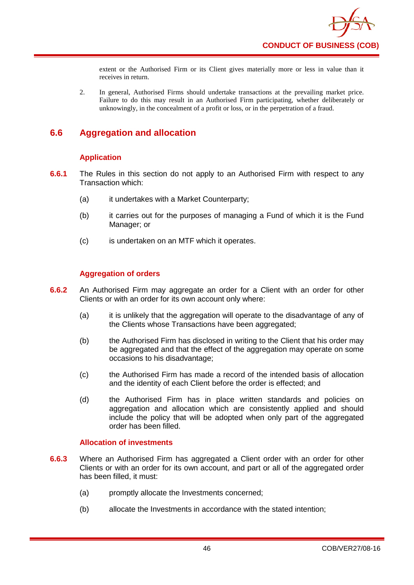

extent or the Authorised Firm or its Client gives materially more or less in value than it receives in return.

2. In general, Authorised Firms should undertake transactions at the prevailing market price. Failure to do this may result in an Authorised Firm participating, whether deliberately or unknowingly, in the concealment of a profit or loss, or in the perpetration of a fraud.

# **6.6 Aggregation and allocation**

### **Application**

- **6.6.1** The Rules in this section do not apply to an Authorised Firm with respect to any Transaction which:
	- (a) it undertakes with a Market Counterparty;
	- (b) it carries out for the purposes of managing a Fund of which it is the Fund Manager; or
	- (c) is undertaken on an MTF which it operates.

### **Aggregation of orders**

- **6.6.2** An Authorised Firm may aggregate an order for a Client with an order for other Clients or with an order for its own account only where:
	- (a) it is unlikely that the aggregation will operate to the disadvantage of any of the Clients whose Transactions have been aggregated;
	- (b) the Authorised Firm has disclosed in writing to the Client that his order may be aggregated and that the effect of the aggregation may operate on some occasions to his disadvantage;
	- (c) the Authorised Firm has made a record of the intended basis of allocation and the identity of each Client before the order is effected; and
	- (d) the Authorised Firm has in place written standards and policies on aggregation and allocation which are consistently applied and should include the policy that will be adopted when only part of the aggregated order has been filled.

### **Allocation of investments**

- **6.6.3** Where an Authorised Firm has aggregated a Client order with an order for other Clients or with an order for its own account, and part or all of the aggregated order has been filled, it must:
	- (a) promptly allocate the Investments concerned;
	- (b) allocate the Investments in accordance with the stated intention;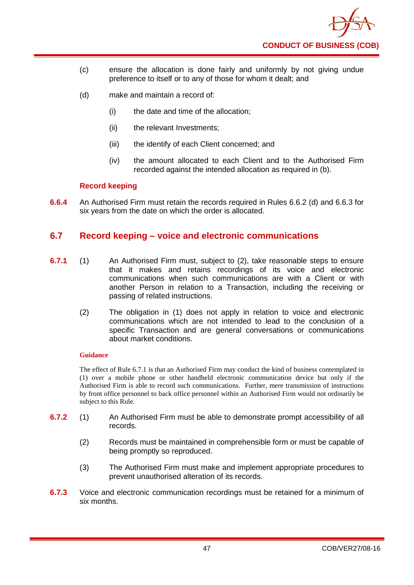

- (c) ensure the allocation is done fairly and uniformly by not giving undue preference to itself or to any of those for whom it dealt; and
- (d) make and maintain a record of:
	- (i) the date and time of the allocation;
	- (ii) the relevant Investments;
	- (iii) the identify of each Client concerned; and
	- (iv) the amount allocated to each Client and to the Authorised Firm recorded against the intended allocation as required in (b).

### **Record keeping**

**6.6.4** An Authorised Firm must retain the records required in Rules 6.6.2 (d) and 6.6.3 for six years from the date on which the order is allocated.

### **6.7 Record keeping – voice and electronic communications**

- **6.7.1** (1) An Authorised Firm must, subject to (2), take reasonable steps to ensure that it makes and retains recordings of its voice and electronic communications when such communications are with a Client or with another Person in relation to a Transaction, including the receiving or passing of related instructions.
	- (2) The obligation in (1) does not apply in relation to voice and electronic communications which are not intended to lead to the conclusion of a specific Transaction and are general conversations or communications about market conditions.

#### **Guidance**

The effect of Rule 6.7.1 is that an Authorised Firm may conduct the kind of business contemplated in (1) over a mobile phone or other handheld electronic communication device but only if the Authorised Firm is able to record such communications. Further, mere transmission of instructions by front office personnel to back office personnel within an Authorised Firm would not ordinarily be subject to this Rule.

- **6.7.2** (1) An Authorised Firm must be able to demonstrate prompt accessibility of all records.
	- (2) Records must be maintained in comprehensible form or must be capable of being promptly so reproduced.
	- (3) The Authorised Firm must make and implement appropriate procedures to prevent unauthorised alteration of its records.
- **6.7.3** Voice and electronic communication recordings must be retained for a minimum of six months.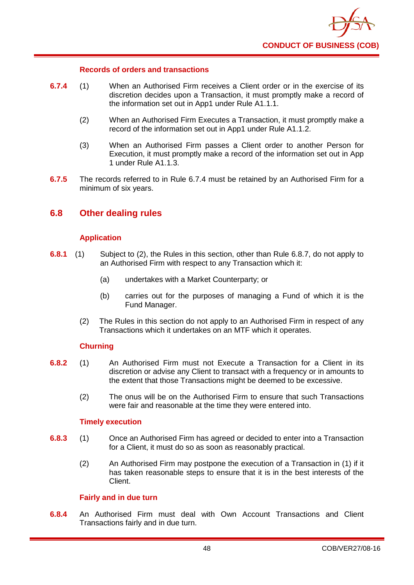

#### **Records of orders and transactions**

- **6.7.4** (1) When an Authorised Firm receives a Client order or in the exercise of its discretion decides upon a Transaction, it must promptly make a record of the information set out in App1 under Rule A1.1.1.
	- (2) When an Authorised Firm Executes a Transaction, it must promptly make a record of the information set out in App1 under Rule A1.1.2.
	- (3) When an Authorised Firm passes a Client order to another Person for Execution, it must promptly make a record of the information set out in App 1 under Rule A1.1.3.
- **6.7.5** The records referred to in Rule 6.7.4 must be retained by an Authorised Firm for a minimum of six years.

### **6.8 Other dealing rules**

### **Application**

- **6.8.1** (1) Subject to (2), the Rules in this section, other than Rule 6.8.7, do not apply to an Authorised Firm with respect to any Transaction which it:
	- (a) undertakes with a Market Counterparty; or
	- (b) carries out for the purposes of managing a Fund of which it is the Fund Manager.
	- (2) The Rules in this section do not apply to an Authorised Firm in respect of any Transactions which it undertakes on an MTF which it operates.

#### **Churning**

- **6.8.2** (1) An Authorised Firm must not Execute a Transaction for a Client in its discretion or advise any Client to transact with a frequency or in amounts to the extent that those Transactions might be deemed to be excessive.
	- (2) The onus will be on the Authorised Firm to ensure that such Transactions were fair and reasonable at the time they were entered into.

#### **Timely execution**

- **6.8.3** (1) Once an Authorised Firm has agreed or decided to enter into a Transaction for a Client, it must do so as soon as reasonably practical.
	- (2) An Authorised Firm may postpone the execution of a Transaction in (1) if it has taken reasonable steps to ensure that it is in the best interests of the Client.

#### **Fairly and in due turn**

**6.8.4** An Authorised Firm must deal with Own Account Transactions and Client Transactions fairly and in due turn.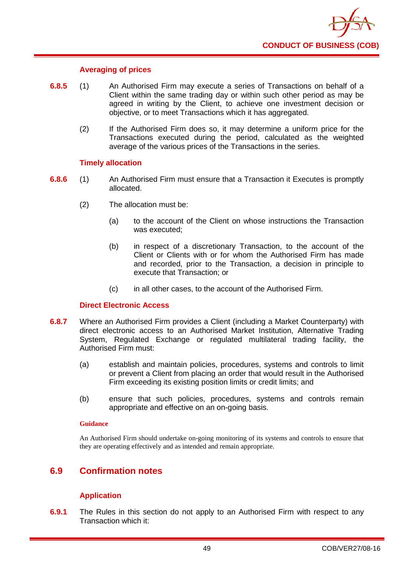

#### **Averaging of prices**

- **6.8.5** (1) An Authorised Firm may execute a series of Transactions on behalf of a Client within the same trading day or within such other period as may be agreed in writing by the Client, to achieve one investment decision or objective, or to meet Transactions which it has aggregated.
	- (2) If the Authorised Firm does so, it may determine a uniform price for the Transactions executed during the period, calculated as the weighted average of the various prices of the Transactions in the series.

#### **Timely allocation**

- **6.8.6** (1) An Authorised Firm must ensure that a Transaction it Executes is promptly allocated.
	- (2) The allocation must be:
		- (a) to the account of the Client on whose instructions the Transaction was executed;
		- (b) in respect of a discretionary Transaction, to the account of the Client or Clients with or for whom the Authorised Firm has made and recorded, prior to the Transaction, a decision in principle to execute that Transaction; or
		- (c) in all other cases, to the account of the Authorised Firm.

#### **Direct Electronic Access**

- **6.8.7** Where an Authorised Firm provides a Client (including a Market Counterparty) with direct electronic access to an Authorised Market Institution, Alternative Trading System, Regulated Exchange or regulated multilateral trading facility, the Authorised Firm must:
	- (a) establish and maintain policies, procedures, systems and controls to limit or prevent a Client from placing an order that would result in the Authorised Firm exceeding its existing position limits or credit limits; and
	- (b) ensure that such policies, procedures, systems and controls remain appropriate and effective on an on-going basis.

#### **Guidance**

An Authorised Firm should undertake on-going monitoring of its systems and controls to ensure that they are operating effectively and as intended and remain appropriate.

## **6.9 Confirmation notes**

### **Application**

**6.9.1** The Rules in this section do not apply to an Authorised Firm with respect to any Transaction which it: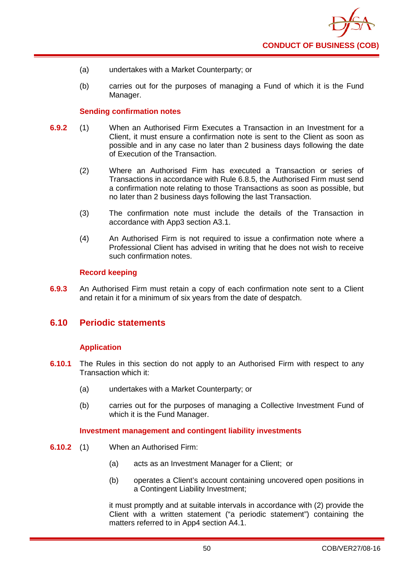- (a) undertakes with a Market Counterparty; or
- (b) carries out for the purposes of managing a Fund of which it is the Fund Manager.

#### **Sending confirmation notes**

- **6.9.2** (1) When an Authorised Firm Executes a Transaction in an Investment for a Client, it must ensure a confirmation note is sent to the Client as soon as possible and in any case no later than 2 business days following the date of Execution of the Transaction.
	- (2) Where an Authorised Firm has executed a Transaction or series of Transactions in accordance with Rule 6.8.5, the Authorised Firm must send a confirmation note relating to those Transactions as soon as possible, but no later than 2 business days following the last Transaction.
	- (3) The confirmation note must include the details of the Transaction in accordance with App3 section A3.1.
	- (4) An Authorised Firm is not required to issue a confirmation note where a Professional Client has advised in writing that he does not wish to receive such confirmation notes.

#### **Record keeping**

**6.9.3** An Authorised Firm must retain a copy of each confirmation note sent to a Client and retain it for a minimum of six years from the date of despatch.

### **6.10 Periodic statements**

### **Application**

- **6.10.1** The Rules in this section do not apply to an Authorised Firm with respect to any Transaction which it:
	- (a) undertakes with a Market Counterparty; or
	- (b) carries out for the purposes of managing a Collective Investment Fund of which it is the Fund Manager.

#### **Investment management and contingent liability investments**

- **6.10.2** (1) When an Authorised Firm:
	- (a) acts as an Investment Manager for a Client; or
	- (b) operates a Client's account containing uncovered open positions in a Contingent Liability Investment;

it must promptly and at suitable intervals in accordance with (2) provide the Client with a written statement ("a periodic statement") containing the matters referred to in App4 section A4.1.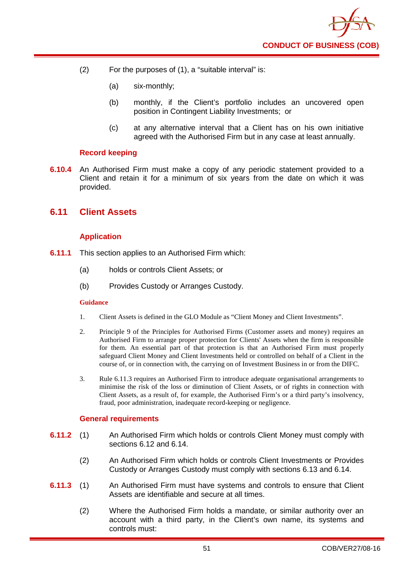- (2) For the purposes of (1), a "suitable interval" is:
	- (a) six-monthly;
	- (b) monthly, if the Client's portfolio includes an uncovered open position in Contingent Liability Investments; or
	- (c) at any alternative interval that a Client has on his own initiative agreed with the Authorised Firm but in any case at least annually.

#### **Record keeping**

**6.10.4** An Authorised Firm must make a copy of any periodic statement provided to a Client and retain it for a minimum of six years from the date on which it was provided.

### **6.11 Client Assets**

### **Application**

- **6.11.1** This section applies to an Authorised Firm which:
	- (a) holds or controls Client Assets; or
	- (b) Provides Custody or Arranges Custody.

#### **Guidance**

- 1. Client Assets is defined in the GLO Module as "Client Money and Client Investments".
- 2. Principle 9 of the Principles for Authorised Firms (Customer assets and money) requires an Authorised Firm to arrange proper protection for Clients' Assets when the firm is responsible for them. An essential part of that protection is that an Authorised Firm must properly safeguard Client Money and Client Investments held or controlled on behalf of a Client in the course of, or in connection with, the carrying on of Investment Business in or from the DIFC.
- 3. Rule 6.11.3 requires an Authorised Firm to introduce adequate organisational arrangements to minimise the risk of the loss or diminution of Client Assets, or of rights in connection with Client Assets, as a result of, for example, the Authorised Firm's or a third party's insolvency, fraud, poor administration, inadequate record-keeping or negligence.

#### **General requirements**

- **6.11.2** (1) An Authorised Firm which holds or controls Client Money must comply with sections 6.12 and 6.14.
	- (2) An Authorised Firm which holds or controls Client Investments or Provides Custody or Arranges Custody must comply with sections 6.13 and 6.14.
- **6.11.3** (1) An Authorised Firm must have systems and controls to ensure that Client Assets are identifiable and secure at all times.
	- (2) Where the Authorised Firm holds a mandate, or similar authority over an account with a third party, in the Client's own name, its systems and controls must: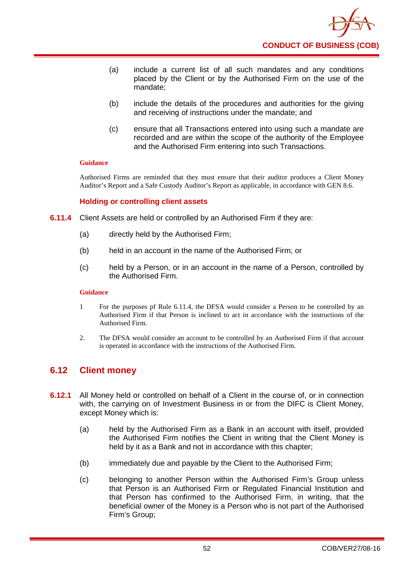

- (a) include a current list of all such mandates and any conditions placed by the Client or by the Authorised Firm on the use of the mandate;
- (b) include the details of the procedures and authorities for the giving and receiving of instructions under the mandate; and
- (c) ensure that all Transactions entered into using such a mandate are recorded and are within the scope of the authority of the Employee and the Authorised Firm entering into such Transactions.

Authorised Firms are reminded that they must ensure that their auditor produces a Client Money Auditor's Report and a Safe Custody Auditor's Report as applicable, in accordance with GEN 8.6.

#### **Holding or controlling client assets**

- **6.11.4** Client Assets are held or controlled by an Authorised Firm if they are:
	- (a) directly held by the Authorised Firm;
	- (b) held in an account in the name of the Authorised Firm; or
	- (c) held by a Person, or in an account in the name of a Person, controlled by the Authorised Firm.

#### **Guidance**

- 1 For the purposes pf Rule 6.11.4, the DFSA would consider a Person to be controlled by an Authorised Firm if that Person is inclined to act in accordance with the instructions of the Authorised Firm.
- 2. The DFSA would consider an account to be controlled by an Authorised Firm if that account is operated in accordance with the instructions of the Authorised Firm.

### **6.12 Client money**

- **6.12.1** All Money held or controlled on behalf of a Client in the course of, or in connection with, the carrying on of Investment Business in or from the DIFC is Client Money, except Money which is:
	- (a) held by the Authorised Firm as a Bank in an account with itself, provided the Authorised Firm notifies the Client in writing that the Client Money is held by it as a Bank and not in accordance with this chapter;
	- (b) immediately due and payable by the Client to the Authorised Firm;
	- (c) belonging to another Person within the Authorised Firm's Group unless that Person is an Authorised Firm or Regulated Financial Institution and that Person has confirmed to the Authorised Firm, in writing, that the beneficial owner of the Money is a Person who is not part of the Authorised Firm's Group;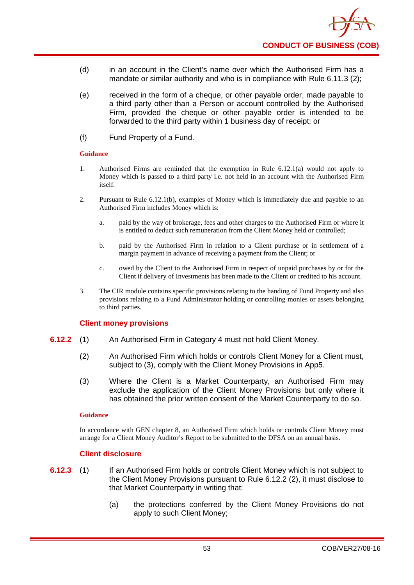- (d) in an account in the Client's name over which the Authorised Firm has a mandate or similar authority and who is in compliance with Rule 6.11.3 (2);
- (e) received in the form of a cheque, or other payable order, made payable to a third party other than a Person or account controlled by the Authorised Firm, provided the cheque or other payable order is intended to be forwarded to the third party within 1 business day of receipt; or
- (f) Fund Property of a Fund.

- 1. Authorised Firms are reminded that the exemption in Rule 6.12.1(a) would not apply to Money which is passed to a third party i.e. not held in an account with the Authorised Firm itself.
- 2. Pursuant to Rule 6.12.1(b), examples of Money which is immediately due and payable to an Authorised Firm includes Money which is:
	- a. paid by the way of brokerage, fees and other charges to the Authorised Firm or where it is entitled to deduct such remuneration from the Client Money held or controlled;
	- b. paid by the Authorised Firm in relation to a Client purchase or in settlement of a margin payment in advance of receiving a payment from the Client; or
	- c. owed by the Client to the Authorised Firm in respect of unpaid purchases by or for the Client if delivery of Investments has been made to the Client or credited to his account.
- 3. The CIR module contains specific provisions relating to the handing of Fund Property and also provisions relating to a Fund Administrator holding or controlling monies or assets belonging to third parties.

#### **Client money provisions**

- **6.12.2** (1) An Authorised Firm in Category 4 must not hold Client Money.
	- (2) An Authorised Firm which holds or controls Client Money for a Client must, subject to (3), comply with the Client Money Provisions in App5.
	- (3) Where the Client is a Market Counterparty, an Authorised Firm may exclude the application of the Client Money Provisions but only where it has obtained the prior written consent of the Market Counterparty to do so.

#### **Guidance**

In accordance with GEN chapter 8, an Authorised Firm which holds or controls Client Money must arrange for a Client Money Auditor's Report to be submitted to the DFSA on an annual basis.

### **Client disclosure**

- **6.12.3** (1) If an Authorised Firm holds or controls Client Money which is not subject to the Client Money Provisions pursuant to Rule 6.12.2 (2), it must disclose to that Market Counterparty in writing that:
	- (a) the protections conferred by the Client Money Provisions do not apply to such Client Money;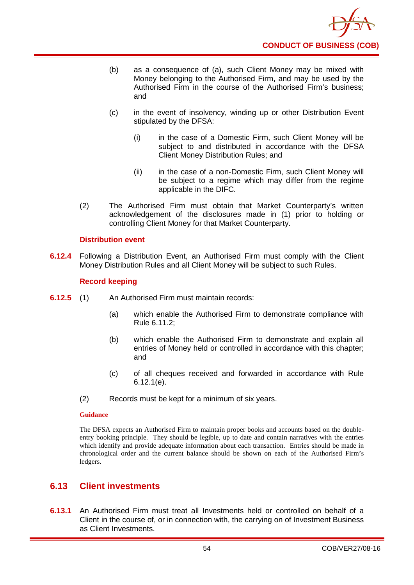- (b) as a consequence of (a), such Client Money may be mixed with Money belonging to the Authorised Firm, and may be used by the Authorised Firm in the course of the Authorised Firm's business; and
- (c) in the event of insolvency, winding up or other Distribution Event stipulated by the DFSA:
	- (i) in the case of a Domestic Firm, such Client Money will be subject to and distributed in accordance with the DFSA Client Money Distribution Rules; and
	- (ii) in the case of a non-Domestic Firm, such Client Money will be subject to a regime which may differ from the regime applicable in the DIFC.
- (2) The Authorised Firm must obtain that Market Counterparty's written acknowledgement of the disclosures made in (1) prior to holding or controlling Client Money for that Market Counterparty.

### **Distribution event**

**6.12.4** Following a Distribution Event, an Authorised Firm must comply with the Client Money Distribution Rules and all Client Money will be subject to such Rules.

### **Record keeping**

- **6.12.5** (1) An Authorised Firm must maintain records:
	- (a) which enable the Authorised Firm to demonstrate compliance with Rule 6.11.2;
	- (b) which enable the Authorised Firm to demonstrate and explain all entries of Money held or controlled in accordance with this chapter; and
	- (c) of all cheques received and forwarded in accordance with Rule 6.12.1(e).
	- (2) Records must be kept for a minimum of six years.

#### **Guidance**

The DFSA expects an Authorised Firm to maintain proper books and accounts based on the doubleentry booking principle. They should be legible, up to date and contain narratives with the entries which identify and provide adequate information about each transaction. Entries should be made in chronological order and the current balance should be shown on each of the Authorised Firm's ledgers.

### **6.13 Client investments**

**6.13.1** An Authorised Firm must treat all Investments held or controlled on behalf of a Client in the course of, or in connection with, the carrying on of Investment Business as Client Investments.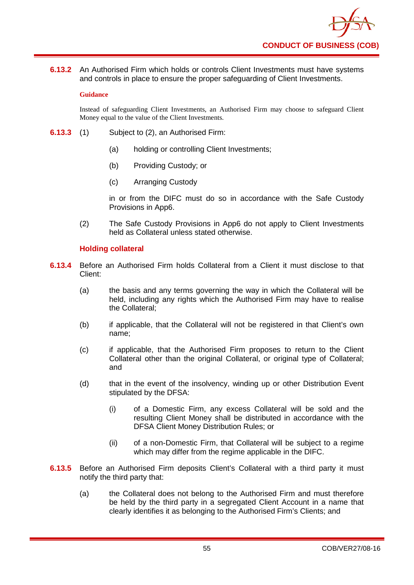

**6.13.2** An Authorised Firm which holds or controls Client Investments must have systems and controls in place to ensure the proper safeguarding of Client Investments.

#### **Guidance**

Instead of safeguarding Client Investments, an Authorised Firm may choose to safeguard Client Money equal to the value of the Client Investments.

- **6.13.3** (1) Subject to (2), an Authorised Firm:
	- (a) holding or controlling Client Investments;
	- (b) Providing Custody; or
	- (c) Arranging Custody

in or from the DIFC must do so in accordance with the Safe Custody Provisions in App6.

(2) The Safe Custody Provisions in App6 do not apply to Client Investments held as Collateral unless stated otherwise.

#### **Holding collateral**

- **6.13.4** Before an Authorised Firm holds Collateral from a Client it must disclose to that Client:
	- (a) the basis and any terms governing the way in which the Collateral will be held, including any rights which the Authorised Firm may have to realise the Collateral;
	- (b) if applicable, that the Collateral will not be registered in that Client's own name;
	- (c) if applicable, that the Authorised Firm proposes to return to the Client Collateral other than the original Collateral, or original type of Collateral; and
	- (d) that in the event of the insolvency, winding up or other Distribution Event stipulated by the DFSA:
		- (i) of a Domestic Firm, any excess Collateral will be sold and the resulting Client Money shall be distributed in accordance with the DFSA Client Money Distribution Rules; or
		- (ii) of a non-Domestic Firm, that Collateral will be subject to a regime which may differ from the regime applicable in the DIFC.
- **6.13.5** Before an Authorised Firm deposits Client's Collateral with a third party it must notify the third party that:
	- (a) the Collateral does not belong to the Authorised Firm and must therefore be held by the third party in a segregated Client Account in a name that clearly identifies it as belonging to the Authorised Firm's Clients; and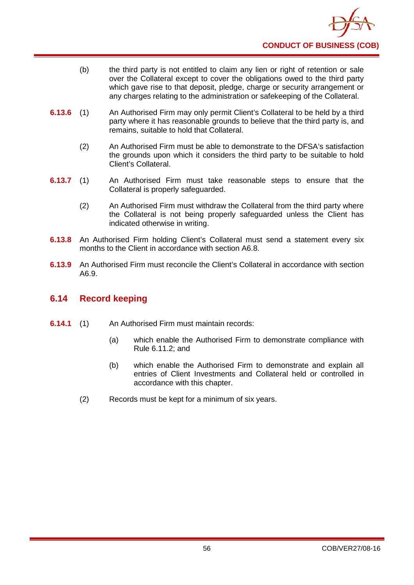- (b) the third party is not entitled to claim any lien or right of retention or sale over the Collateral except to cover the obligations owed to the third party which gave rise to that deposit, pledge, charge or security arrangement or any charges relating to the administration or safekeeping of the Collateral.
- **6.13.6** (1) An Authorised Firm may only permit Client's Collateral to be held by a third party where it has reasonable grounds to believe that the third party is, and remains, suitable to hold that Collateral.
	- (2) An Authorised Firm must be able to demonstrate to the DFSA's satisfaction the grounds upon which it considers the third party to be suitable to hold Client's Collateral.
- **6.13.7** (1) An Authorised Firm must take reasonable steps to ensure that the Collateral is properly safeguarded.
	- (2) An Authorised Firm must withdraw the Collateral from the third party where the Collateral is not being properly safeguarded unless the Client has indicated otherwise in writing.
- **6.13.8** An Authorised Firm holding Client's Collateral must send a statement every six months to the Client in accordance with section A6.8.
- **6.13.9** An Authorised Firm must reconcile the Client's Collateral in accordance with section A6.9.

## **6.14 Record keeping**

- **6.14.1** (1) An Authorised Firm must maintain records:
	- (a) which enable the Authorised Firm to demonstrate compliance with Rule 6.11.2; and
	- (b) which enable the Authorised Firm to demonstrate and explain all entries of Client Investments and Collateral held or controlled in accordance with this chapter.
	- (2) Records must be kept for a minimum of six years.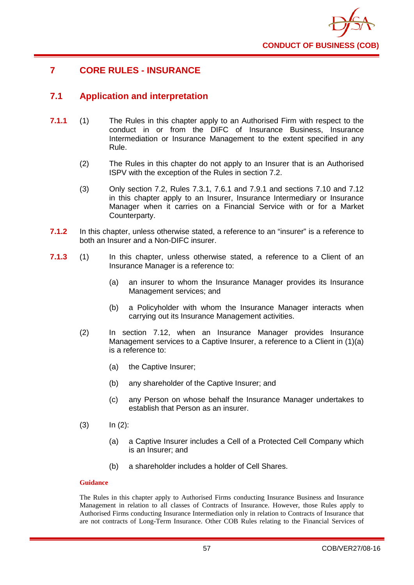

# **7 CORE RULES - INSURANCE**

## **7.1 Application and interpretation**

- **7.1.1** (1) The Rules in this chapter apply to an Authorised Firm with respect to the conduct in or from the DIFC of Insurance Business, Insurance Intermediation or Insurance Management to the extent specified in any Rule.
	- (2) The Rules in this chapter do not apply to an Insurer that is an Authorised ISPV with the exception of the Rules in section 7.2.
	- (3) Only section 7.2, Rules 7.3.1, 7.6.1 and 7.9.1 and sections 7.10 and 7.12 in this chapter apply to an Insurer, Insurance Intermediary or Insurance Manager when it carries on a Financial Service with or for a Market Counterparty.
- **7.1.2** In this chapter, unless otherwise stated, a reference to an "insurer" is a reference to both an Insurer and a Non-DIFC insurer.
- **7.1.3** (1) In this chapter, unless otherwise stated, a reference to a Client of an Insurance Manager is a reference to:
	- (a) an insurer to whom the Insurance Manager provides its Insurance Management services; and
	- (b) a Policyholder with whom the Insurance Manager interacts when carrying out its Insurance Management activities.
	- (2) In section 7.12, when an Insurance Manager provides Insurance Management services to a Captive Insurer, a reference to a Client in (1)(a) is a reference to:
		- (a) the Captive Insurer;
		- (b) any shareholder of the Captive Insurer; and
		- (c) any Person on whose behalf the Insurance Manager undertakes to establish that Person as an insurer.
	- $(3)$   $\ln (2)$ :
		- (a) a Captive Insurer includes a Cell of a Protected Cell Company which is an Insurer; and
		- (b) a shareholder includes a holder of Cell Shares.

#### **Guidance**

The Rules in this chapter apply to Authorised Firms conducting Insurance Business and Insurance Management in relation to all classes of Contracts of Insurance. However, those Rules apply to Authorised Firms conducting Insurance Intermediation only in relation to Contracts of Insurance that are not contracts of Long-Term Insurance. Other COB Rules relating to the Financial Services of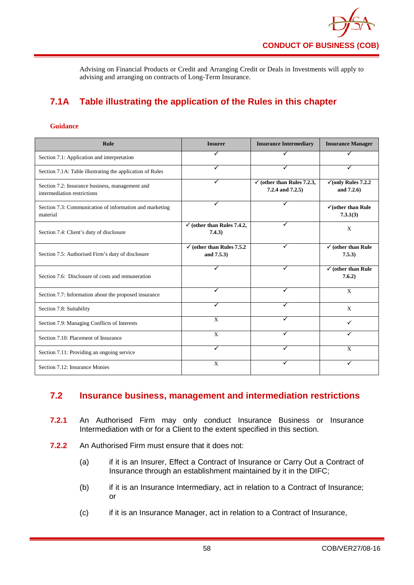Advising on Financial Products or Credit and Arranging Credit or Deals in Investments will apply to advising and arranging on contracts of Long-Term Insurance.

# **7.1A Table illustrating the application of the Rules in this chapter**

#### **Guidance**

| Rule                                                                           | <b>Insurer</b>                                      | <b>Insurance Intermediary</b>                             | <b>Insurance Manager</b>                      |
|--------------------------------------------------------------------------------|-----------------------------------------------------|-----------------------------------------------------------|-----------------------------------------------|
| Section 7.1: Application and interpretation                                    |                                                     |                                                           |                                               |
| Section 7.1A: Table illustrating the application of Rules                      | ✓                                                   | ✓                                                         | ✓                                             |
| Section 7.2: Insurance business, management and<br>intermediation restrictions | ✓                                                   | $\checkmark$ (other than Rules 7.2.3,<br>7.2.4 and 7.2.5) | $\checkmark$ (only Rules 7.2.2)<br>and 7.2.6) |
| Section 7.3: Communication of information and marketing<br>material            | ✓                                                   | ✓                                                         | $\checkmark$ (other than Rule<br>7.3.1(3)     |
| Section 7.4: Client's duty of disclosure                                       | $\checkmark$ (other than Rules 7.4.2,<br>7.4.3)     | ✓                                                         | X                                             |
| Section 7.5: Authorised Firm's duty of disclosure                              | $\checkmark$ (other than Rules 7.5.2)<br>and 7.5.3) | ✓                                                         | $\checkmark$ (other than Rule<br>7.5.3)       |
| Section 7.6: Disclosure of costs and remuneration                              |                                                     | ✓                                                         | $\checkmark$ (other than Rule<br>7.6.2)       |
| Section 7.7: Information about the proposed insurance                          | $\checkmark$                                        | ✓                                                         | $\mathbf{x}$                                  |
| Section 7.8: Suitability                                                       | ✓                                                   | ✓                                                         | X                                             |
| Section 7.9: Managing Conflicts of Interests                                   | $\mathbf{x}$                                        | ✓                                                         | ✓                                             |
| Section 7.10: Placement of Insurance                                           | X                                                   |                                                           |                                               |
| Section 7.11: Providing an ongoing service                                     | ✓                                                   |                                                           | X                                             |
| Section 7.12: Insurance Monies                                                 | $\mathbf{x}$                                        |                                                           | ✓                                             |

# **7.2 Insurance business, management and intermediation restrictions**

- **7.2.1** An Authorised Firm may only conduct Insurance Business or Insurance Intermediation with or for a Client to the extent specified in this section.
- **7.2.2** An Authorised Firm must ensure that it does not:
	- (a) if it is an Insurer, Effect a Contract of Insurance or Carry Out a Contract of Insurance through an establishment maintained by it in the DIFC;
	- (b) if it is an Insurance Intermediary, act in relation to a Contract of Insurance; or
	- (c) if it is an Insurance Manager, act in relation to a Contract of Insurance,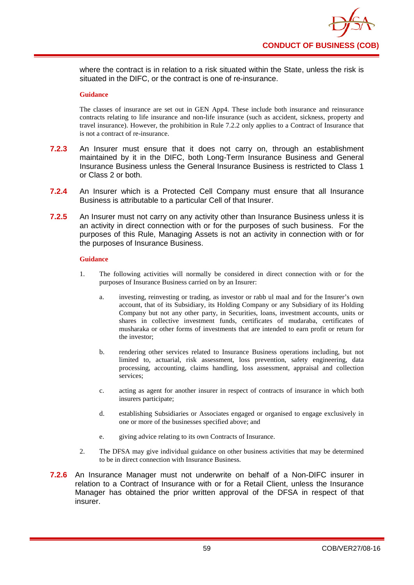where the contract is in relation to a risk situated within the State, unless the risk is situated in the DIFC, or the contract is one of re-insurance.

#### **Guidance**

The classes of insurance are set out in GEN App4. These include both insurance and reinsurance contracts relating to life insurance and non-life insurance (such as accident, sickness, property and travel insurance). However, the prohibition in Rule 7.2.2 only applies to a Contract of Insurance that is not a contract of re-insurance.

- **7.2.3** An Insurer must ensure that it does not carry on, through an establishment maintained by it in the DIFC, both Long-Term Insurance Business and General Insurance Business unless the General Insurance Business is restricted to Class 1 or Class 2 or both.
- **7.2.4** An Insurer which is a Protected Cell Company must ensure that all Insurance Business is attributable to a particular Cell of that Insurer.
- **7.2.5** An Insurer must not carry on any activity other than Insurance Business unless it is an activity in direct connection with or for the purposes of such business. For the purposes of this Rule, Managing Assets is not an activity in connection with or for the purposes of Insurance Business.

#### **Guidance**

- 1. The following activities will normally be considered in direct connection with or for the purposes of Insurance Business carried on by an Insurer:
	- a. investing, reinvesting or trading, as investor or rabb ul maal and for the Insurer's own account, that of its Subsidiary, its Holding Company or any Subsidiary of its Holding Company but not any other party, in Securities, loans, investment accounts, units or shares in collective investment funds, certificates of mudaraba, certificates of musharaka or other forms of investments that are intended to earn profit or return for the investor;
	- b. rendering other services related to Insurance Business operations including, but not limited to, actuarial, risk assessment, loss prevention, safety engineering, data processing, accounting, claims handling, loss assessment, appraisal and collection services;
	- c. acting as agent for another insurer in respect of contracts of insurance in which both insurers participate;
	- d. establishing Subsidiaries or Associates engaged or organised to engage exclusively in one or more of the businesses specified above; and
	- e. giving advice relating to its own Contracts of Insurance.
- 2. The DFSA may give individual guidance on other business activities that may be determined to be in direct connection with Insurance Business.
- **7.2.6** An Insurance Manager must not underwrite on behalf of a Non-DIFC insurer in relation to a Contract of Insurance with or for a Retail Client, unless the Insurance Manager has obtained the prior written approval of the DFSA in respect of that insurer.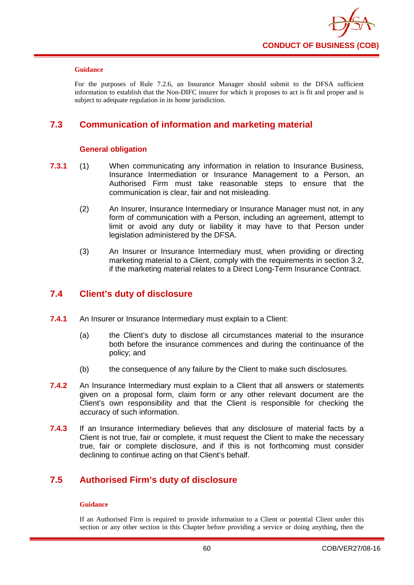

For the purposes of Rule 7.2.6, an Insurance Manager should submit to the DFSA sufficient information to establish that the Non-DIFC insurer for which it proposes to act is fit and proper and is subject to adequate regulation in its home jurisdiction.

# **7.3 Communication of information and marketing material**

### **General obligation**

- **7.3.1** (1) When communicating any information in relation to Insurance Business, Insurance Intermediation or Insurance Management to a Person, an Authorised Firm must take reasonable steps to ensure that the communication is clear, fair and not misleading.
	- (2) An Insurer, Insurance Intermediary or Insurance Manager must not, in any form of communication with a Person, including an agreement, attempt to limit or avoid any duty or liability it may have to that Person under legislation administered by the DFSA.
	- (3) An Insurer or Insurance Intermediary must, when providing or directing marketing material to a Client, comply with the requirements in section 3.2, if the marketing material relates to a Direct Long-Term Insurance Contract.

## **7.4 Client's duty of disclosure**

- **7.4.1** An Insurer or Insurance Intermediary must explain to a Client:
	- (a) the Client's duty to disclose all circumstances material to the insurance both before the insurance commences and during the continuance of the policy; and
	- (b) the consequence of any failure by the Client to make such disclosures.
- **7.4.2** An Insurance Intermediary must explain to a Client that all answers or statements given on a proposal form, claim form or any other relevant document are the Client's own responsibility and that the Client is responsible for checking the accuracy of such information.
- **7.4.3** If an Insurance Intermediary believes that any disclosure of material facts by a Client is not true, fair or complete, it must request the Client to make the necessary true, fair or complete disclosure, and if this is not forthcoming must consider declining to continue acting on that Client's behalf.

# **7.5 Authorised Firm's duty of disclosure**

#### **Guidance**

If an Authorised Firm is required to provide information to a Client or potential Client under this section or any other section in this Chapter before providing a service or doing anything, then the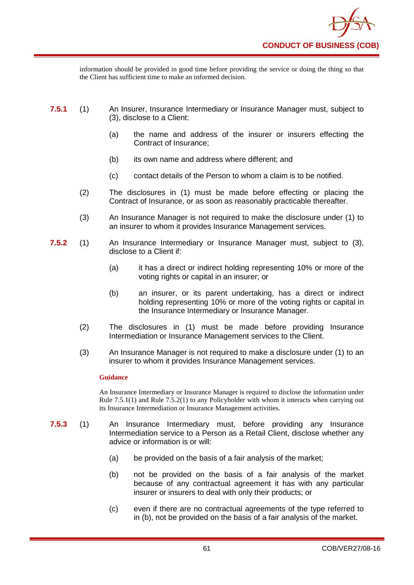information should be provided in good time before providing the service or doing the thing so that the Client has sufficient time to make an informed decision.

- **7.5.1** (1) An Insurer, Insurance Intermediary or Insurance Manager must, subject to (3), disclose to a Client:
	- (a) the name and address of the insurer or insurers effecting the Contract of Insurance;
	- (b) its own name and address where different; and
	- (c) contact details of the Person to whom a claim is to be notified.
	- (2) The disclosures in (1) must be made before effecting or placing the Contract of Insurance, or as soon as reasonably practicable thereafter.
	- (3) An Insurance Manager is not required to make the disclosure under (1) to an insurer to whom it provides Insurance Management services.
- **7.5.2** (1) An Insurance Intermediary or Insurance Manager must, subject to (3), disclose to a Client if:
	- (a) it has a direct or indirect holding representing 10% or more of the voting rights or capital in an insurer; or
	- (b) an insurer, or its parent undertaking, has a direct or indirect holding representing 10% or more of the voting rights or capital in the Insurance Intermediary or Insurance Manager.
	- (2) The disclosures in (1) must be made before providing Insurance Intermediation or Insurance Management services to the Client.
	- (3) An Insurance Manager is not required to make a disclosure under (1) to an insurer to whom it provides Insurance Management services.

#### **Guidance**

An Insurance Intermediary or Insurance Manager is required to disclose the information under Rule 7.5.1(1) and Rule 7.5.2(1) to any Policyholder with whom it interacts when carrying out its Insurance Intermediation or Insurance Management activities.

- **7.5.3** (1) An Insurance Intermediary must, before providing any Insurance Intermediation service to a Person as a Retail Client, disclose whether any advice or information is or will:
	- (a) be provided on the basis of a fair analysis of the market;
	- (b) not be provided on the basis of a fair analysis of the market because of any contractual agreement it has with any particular insurer or insurers to deal with only their products; or
	- (c) even if there are no contractual agreements of the type referred to in (b), not be provided on the basis of a fair analysis of the market.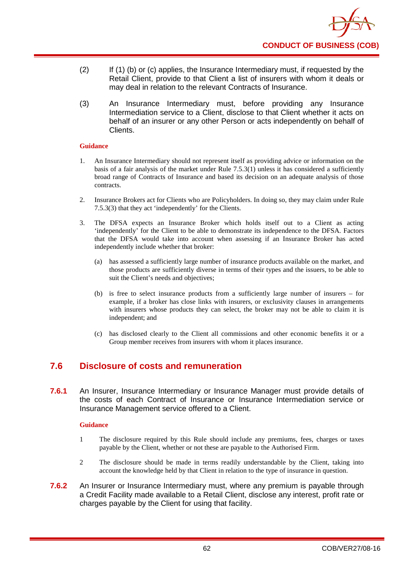- (2) If (1) (b) or (c) applies, the Insurance Intermediary must, if requested by the Retail Client, provide to that Client a list of insurers with whom it deals or may deal in relation to the relevant Contracts of Insurance.
- (3) An Insurance Intermediary must, before providing any Insurance Intermediation service to a Client, disclose to that Client whether it acts on behalf of an insurer or any other Person or acts independently on behalf of Clients.

- 1. An Insurance Intermediary should not represent itself as providing advice or information on the basis of a fair analysis of the market under Rule  $7.5.3(1)$  unless it has considered a sufficiently broad range of Contracts of Insurance and based its decision on an adequate analysis of those contracts.
- 2. Insurance Brokers act for Clients who are Policyholders. In doing so, they may claim under Rule 7.5.3(3) that they act 'independently' for the Clients.
- 3. The DFSA expects an Insurance Broker which holds itself out to a Client as acting 'independently' for the Client to be able to demonstrate its independence to the DFSA. Factors that the DFSA would take into account when assessing if an Insurance Broker has acted independently include whether that broker:
	- (a) has assessed a sufficiently large number of insurance products available on the market, and those products are sufficiently diverse in terms of their types and the issuers, to be able to suit the Client's needs and objectives;
	- (b) is free to select insurance products from a sufficiently large number of insurers for example, if a broker has close links with insurers, or exclusivity clauses in arrangements with insurers whose products they can select, the broker may not be able to claim it is independent; and
	- (c) has disclosed clearly to the Client all commissions and other economic benefits it or a Group member receives from insurers with whom it places insurance.

## **7.6 Disclosure of costs and remuneration**

**7.6.1** An Insurer, Insurance Intermediary or Insurance Manager must provide details of the costs of each Contract of Insurance or Insurance Intermediation service or Insurance Management service offered to a Client.

#### **Guidance**

- 1 The disclosure required by this Rule should include any premiums, fees, charges or taxes payable by the Client, whether or not these are payable to the Authorised Firm.
- 2 The disclosure should be made in terms readily understandable by the Client, taking into account the knowledge held by that Client in relation to the type of insurance in question.
- **7.6.2** An Insurer or Insurance Intermediary must, where any premium is payable through a Credit Facility made available to a Retail Client, disclose any interest, profit rate or charges payable by the Client for using that facility.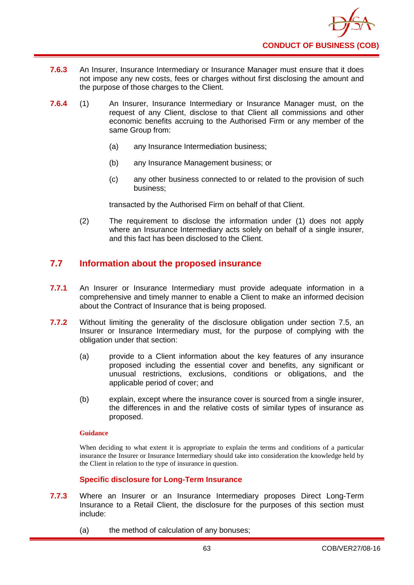

- **7.6.3** An Insurer, Insurance Intermediary or Insurance Manager must ensure that it does not impose any new costs, fees or charges without first disclosing the amount and the purpose of those charges to the Client.
- **7.6.4** (1) An Insurer, Insurance Intermediary or Insurance Manager must, on the request of any Client, disclose to that Client all commissions and other economic benefits accruing to the Authorised Firm or any member of the same Group from:
	- (a) any Insurance Intermediation business;
	- (b) any Insurance Management business; or
	- (c) any other business connected to or related to the provision of such business;

transacted by the Authorised Firm on behalf of that Client.

(2) The requirement to disclose the information under (1) does not apply where an Insurance Intermediary acts solely on behalf of a single insurer, and this fact has been disclosed to the Client.

## **7.7 Information about the proposed insurance**

- **7.7.1** An Insurer or Insurance Intermediary must provide adequate information in a comprehensive and timely manner to enable a Client to make an informed decision about the Contract of Insurance that is being proposed.
- **7.7.2** Without limiting the generality of the disclosure obligation under section 7.5, an Insurer or Insurance Intermediary must, for the purpose of complying with the obligation under that section:
	- (a) provide to a Client information about the key features of any insurance proposed including the essential cover and benefits, any significant or unusual restrictions, exclusions, conditions or obligations, and the applicable period of cover; and
	- (b) explain, except where the insurance cover is sourced from a single insurer, the differences in and the relative costs of similar types of insurance as proposed.

#### **Guidance**

When deciding to what extent it is appropriate to explain the terms and conditions of a particular insurance the Insurer or Insurance Intermediary should take into consideration the knowledge held by the Client in relation to the type of insurance in question.

### **Specific disclosure for Long-Term Insurance**

- **7.7.3** Where an Insurer or an Insurance Intermediary proposes Direct Long-Term Insurance to a Retail Client, the disclosure for the purposes of this section must include:
	- (a) the method of calculation of any bonuses;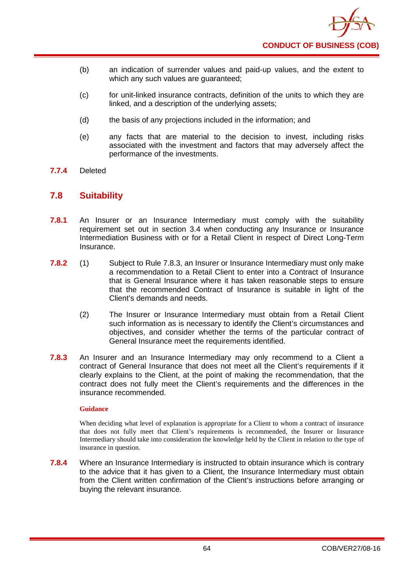- (b) an indication of surrender values and paid-up values, and the extent to which any such values are guaranteed;
- (c) for unit-linked insurance contracts, definition of the units to which they are linked, and a description of the underlying assets;
- (d) the basis of any projections included in the information; and
- (e) any facts that are material to the decision to invest, including risks associated with the investment and factors that may adversely affect the performance of the investments.
- **7.7.4** Deleted

### **7.8 Suitability**

- **7.8.1** An Insurer or an Insurance Intermediary must comply with the suitability requirement set out in section 3.4 when conducting any Insurance or Insurance Intermediation Business with or for a Retail Client in respect of Direct Long-Term Insurance.
- **7.8.2** (1) Subject to Rule 7.8.3, an Insurer or Insurance Intermediary must only make a recommendation to a Retail Client to enter into a Contract of Insurance that is General Insurance where it has taken reasonable steps to ensure that the recommended Contract of Insurance is suitable in light of the Client's demands and needs.
	- (2) The Insurer or Insurance Intermediary must obtain from a Retail Client such information as is necessary to identify the Client's circumstances and objectives, and consider whether the terms of the particular contract of General Insurance meet the requirements identified.
- **7.8.3** An Insurer and an Insurance Intermediary may only recommend to a Client a contract of General Insurance that does not meet all the Client's requirements if it clearly explains to the Client, at the point of making the recommendation, that the contract does not fully meet the Client's requirements and the differences in the insurance recommended.

#### **Guidance**

When deciding what level of explanation is appropriate for a Client to whom a contract of insurance that does not fully meet that Client's requirements is recommended, the Insurer or Insurance Intermediary should take into consideration the knowledge held by the Client in relation to the type of insurance in question.

**7.8.4** Where an Insurance Intermediary is instructed to obtain insurance which is contrary to the advice that it has given to a Client, the Insurance Intermediary must obtain from the Client written confirmation of the Client's instructions before arranging or buying the relevant insurance.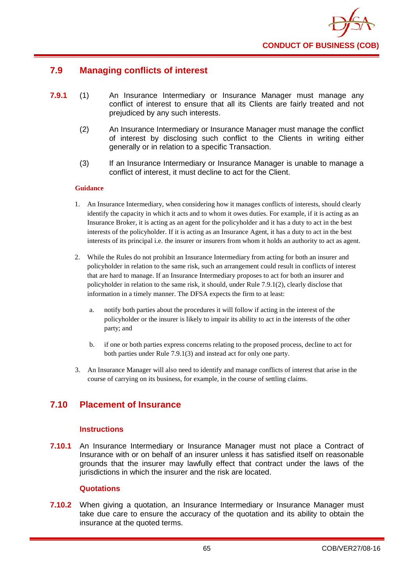

# **7.9 Managing conflicts of interest**

- **7.9.1** (1) An Insurance Intermediary or Insurance Manager must manage any conflict of interest to ensure that all its Clients are fairly treated and not prejudiced by any such interests.
	- (2) An Insurance Intermediary or Insurance Manager must manage the conflict of interest by disclosing such conflict to the Clients in writing either generally or in relation to a specific Transaction.
	- (3) If an Insurance Intermediary or Insurance Manager is unable to manage a conflict of interest, it must decline to act for the Client.

#### **Guidance**

- 1. An Insurance Intermediary, when considering how it manages conflicts of interests, should clearly identify the capacity in which it acts and to whom it owes duties. For example, if it is acting as an Insurance Broker, it is acting as an agent for the policyholder and it has a duty to act in the best interests of the policyholder. If it is acting as an Insurance Agent, it has a duty to act in the best interests of its principal i.e. the insurer or insurers from whom it holds an authority to act as agent.
- 2. While the Rules do not prohibit an Insurance Intermediary from acting for both an insurer and policyholder in relation to the same risk, such an arrangement could result in conflicts of interest that are hard to manage. If an Insurance Intermediary proposes to act for both an insurer and policyholder in relation to the same risk, it should, under Rule 7.9.1(2), clearly disclose that information in a timely manner. The DFSA expects the firm to at least:
	- a. notify both parties about the procedures it will follow if acting in the interest of the policyholder or the insurer is likely to impair its ability to act in the interests of the other party; and
	- b. if one or both parties express concerns relating to the proposed process, decline to act for both parties under Rule 7.9.1(3) and instead act for only one party.
- 3. An Insurance Manager will also need to identify and manage conflicts of interest that arise in the course of carrying on its business, for example, in the course of settling claims.

## **7.10 Placement of Insurance**

### **Instructions**

**7.10.1** An Insurance Intermediary or Insurance Manager must not place a Contract of Insurance with or on behalf of an insurer unless it has satisfied itself on reasonable grounds that the insurer may lawfully effect that contract under the laws of the jurisdictions in which the insurer and the risk are located.

#### **Quotations**

**7.10.2** When giving a quotation, an Insurance Intermediary or Insurance Manager must take due care to ensure the accuracy of the quotation and its ability to obtain the insurance at the quoted terms.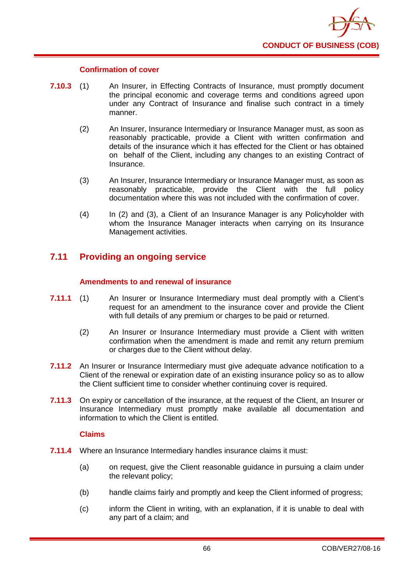

#### **Confirmation of cover**

- **7.10.3** (1) An Insurer, in Effecting Contracts of Insurance, must promptly document the principal economic and coverage terms and conditions agreed upon under any Contract of Insurance and finalise such contract in a timely manner.
	- (2) An Insurer, Insurance Intermediary or Insurance Manager must, as soon as reasonably practicable, provide a Client with written confirmation and details of the insurance which it has effected for the Client or has obtained on behalf of the Client, including any changes to an existing Contract of Insurance.
	- (3) An Insurer, Insurance Intermediary or Insurance Manager must, as soon as reasonably practicable, provide the Client with the full policy documentation where this was not included with the confirmation of cover.
	- (4) In (2) and (3), a Client of an Insurance Manager is any Policyholder with whom the Insurance Manager interacts when carrying on its Insurance Management activities.

## **7.11 Providing an ongoing service**

### **Amendments to and renewal of insurance**

- **7.11.1** (1) An Insurer or Insurance Intermediary must deal promptly with a Client's request for an amendment to the insurance cover and provide the Client with full details of any premium or charges to be paid or returned.
	- (2) An Insurer or Insurance Intermediary must provide a Client with written confirmation when the amendment is made and remit any return premium or charges due to the Client without delay.
- **7.11.2** An Insurer or Insurance Intermediary must give adequate advance notification to a Client of the renewal or expiration date of an existing insurance policy so as to allow the Client sufficient time to consider whether continuing cover is required.
- **7.11.3** On expiry or cancellation of the insurance, at the request of the Client, an Insurer or Insurance Intermediary must promptly make available all documentation and information to which the Client is entitled.

### **Claims**

- **7.11.4** Where an Insurance Intermediary handles insurance claims it must:
	- (a) on request, give the Client reasonable guidance in pursuing a claim under the relevant policy;
	- (b) handle claims fairly and promptly and keep the Client informed of progress;
	- (c) inform the Client in writing, with an explanation, if it is unable to deal with any part of a claim; and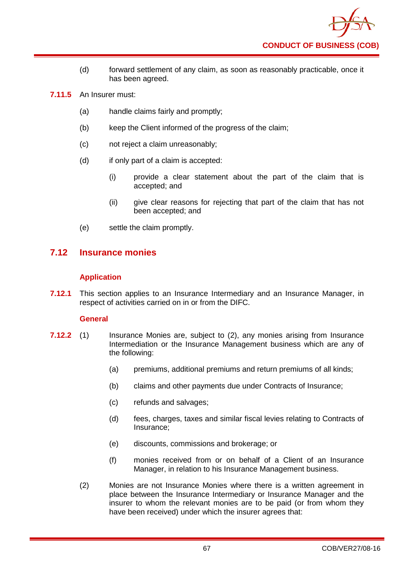- (d) forward settlement of any claim, as soon as reasonably practicable, once it has been agreed.
- **7.11.5** An Insurer must:
	- (a) handle claims fairly and promptly;
	- (b) keep the Client informed of the progress of the claim;
	- (c) not reject a claim unreasonably;
	- (d) if only part of a claim is accepted:
		- (i) provide a clear statement about the part of the claim that is accepted; and
		- (ii) give clear reasons for rejecting that part of the claim that has not been accepted; and
	- (e) settle the claim promptly.

## **7.12 Insurance monies**

### **Application**

**7.12.1** This section applies to an Insurance Intermediary and an Insurance Manager, in respect of activities carried on in or from the DIFC.

### **General**

- **7.12.2** (1) Insurance Monies are, subject to (2), any monies arising from Insurance Intermediation or the Insurance Management business which are any of the following:
	- (a) premiums, additional premiums and return premiums of all kinds;
	- (b) claims and other payments due under Contracts of Insurance;
	- (c) refunds and salvages;
	- (d) fees, charges, taxes and similar fiscal levies relating to Contracts of Insurance;
	- (e) discounts, commissions and brokerage; or
	- (f) monies received from or on behalf of a Client of an Insurance Manager, in relation to his Insurance Management business.
	- (2) Monies are not Insurance Monies where there is a written agreement in place between the Insurance Intermediary or Insurance Manager and the insurer to whom the relevant monies are to be paid (or from whom they have been received) under which the insurer agrees that: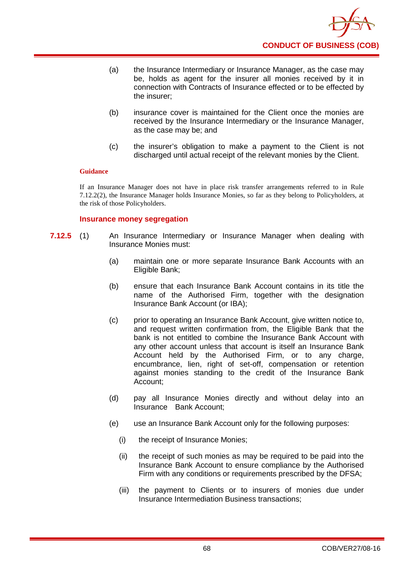- (a) the Insurance Intermediary or Insurance Manager, as the case may be, holds as agent for the insurer all monies received by it in connection with Contracts of Insurance effected or to be effected by the insurer;
- (b) insurance cover is maintained for the Client once the monies are received by the Insurance Intermediary or the Insurance Manager, as the case may be; and
- (c) the insurer's obligation to make a payment to the Client is not discharged until actual receipt of the relevant monies by the Client.

If an Insurance Manager does not have in place risk transfer arrangements referred to in Rule 7.12.2(2), the Insurance Manager holds Insurance Monies, so far as they belong to Policyholders, at the risk of those Policyholders.

### **Insurance money segregation**

- **7.12.5** (1) An Insurance Intermediary or Insurance Manager when dealing with Insurance Monies must:
	- (a) maintain one or more separate Insurance Bank Accounts with an Eligible Bank;
	- (b) ensure that each Insurance Bank Account contains in its title the name of the Authorised Firm, together with the designation Insurance Bank Account (or IBA);
	- (c) prior to operating an Insurance Bank Account, give written notice to, and request written confirmation from, the Eligible Bank that the bank is not entitled to combine the Insurance Bank Account with any other account unless that account is itself an Insurance Bank Account held by the Authorised Firm, or to any charge, encumbrance, lien, right of set-off, compensation or retention against monies standing to the credit of the Insurance Bank Account;
	- (d) pay all Insurance Monies directly and without delay into an Insurance Bank Account;
	- (e) use an Insurance Bank Account only for the following purposes:
		- (i) the receipt of Insurance Monies;
		- (ii) the receipt of such monies as may be required to be paid into the Insurance Bank Account to ensure compliance by the Authorised Firm with any conditions or requirements prescribed by the DFSA;
		- (iii) the payment to Clients or to insurers of monies due under Insurance Intermediation Business transactions;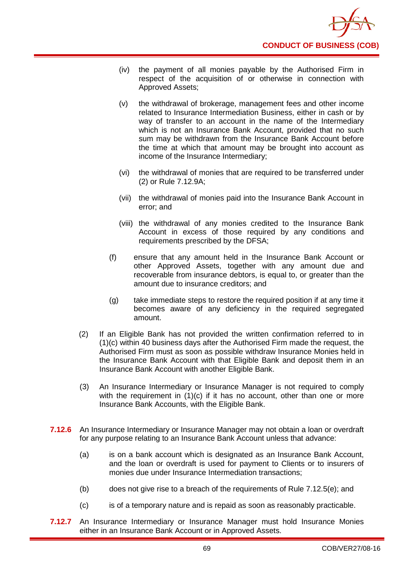

- (iv) the payment of all monies payable by the Authorised Firm in respect of the acquisition of or otherwise in connection with Approved Assets;
- (v) the withdrawal of brokerage, management fees and other income related to Insurance Intermediation Business, either in cash or by way of transfer to an account in the name of the Intermediary which is not an Insurance Bank Account, provided that no such sum may be withdrawn from the Insurance Bank Account before the time at which that amount may be brought into account as income of the Insurance Intermediary;
- (vi) the withdrawal of monies that are required to be transferred under (2) or Rule 7.12.9A;
- (vii) the withdrawal of monies paid into the Insurance Bank Account in error; and
- (viii) the withdrawal of any monies credited to the Insurance Bank Account in excess of those required by any conditions and requirements prescribed by the DFSA;
- (f) ensure that any amount held in the Insurance Bank Account or other Approved Assets, together with any amount due and recoverable from insurance debtors, is equal to, or greater than the amount due to insurance creditors; and
- (g) take immediate steps to restore the required position if at any time it becomes aware of any deficiency in the required segregated amount.
- (2) If an Eligible Bank has not provided the written confirmation referred to in (1)(c) within 40 business days after the Authorised Firm made the request, the Authorised Firm must as soon as possible withdraw Insurance Monies held in the Insurance Bank Account with that Eligible Bank and deposit them in an Insurance Bank Account with another Eligible Bank.
- (3) An Insurance Intermediary or Insurance Manager is not required to comply with the requirement in  $(1)(c)$  if it has no account, other than one or more Insurance Bank Accounts, with the Eligible Bank.
- **7.12.6** An Insurance Intermediary or Insurance Manager may not obtain a loan or overdraft for any purpose relating to an Insurance Bank Account unless that advance:
	- (a) is on a bank account which is designated as an Insurance Bank Account, and the loan or overdraft is used for payment to Clients or to insurers of monies due under Insurance Intermediation transactions;
	- (b) does not give rise to a breach of the requirements of Rule 7.12.5(e); and
	- (c) is of a temporary nature and is repaid as soon as reasonably practicable.
- **7.12.7** An Insurance Intermediary or Insurance Manager must hold Insurance Monies either in an Insurance Bank Account or in Approved Assets.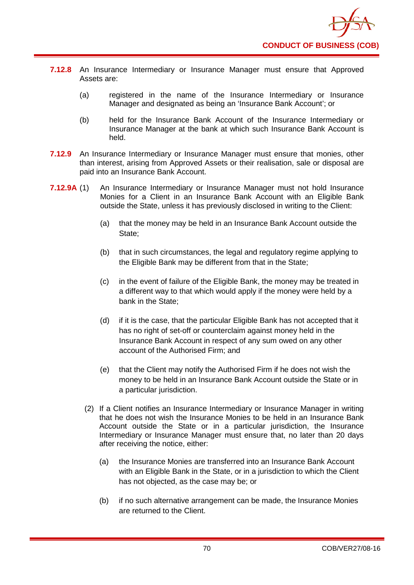

- **7.12.8** An Insurance Intermediary or Insurance Manager must ensure that Approved Assets are:
	- (a) registered in the name of the Insurance Intermediary or Insurance Manager and designated as being an 'Insurance Bank Account'; or
	- (b) held for the Insurance Bank Account of the Insurance Intermediary or Insurance Manager at the bank at which such Insurance Bank Account is held.
- **7.12.9** An Insurance Intermediary or Insurance Manager must ensure that monies, other than interest, arising from Approved Assets or their realisation, sale or disposal are paid into an Insurance Bank Account.
- **7.12.9A** (1) An Insurance Intermediary or Insurance Manager must not hold Insurance Monies for a Client in an Insurance Bank Account with an Eligible Bank outside the State, unless it has previously disclosed in writing to the Client:
	- (a) that the money may be held in an Insurance Bank Account outside the State;
	- (b) that in such circumstances, the legal and regulatory regime applying to the Eligible Bank may be different from that in the State;
	- (c) in the event of failure of the Eligible Bank, the money may be treated in a different way to that which would apply if the money were held by a bank in the State;
	- (d) if it is the case, that the particular Eligible Bank has not accepted that it has no right of set-off or counterclaim against money held in the Insurance Bank Account in respect of any sum owed on any other account of the Authorised Firm; and
	- (e) that the Client may notify the Authorised Firm if he does not wish the money to be held in an Insurance Bank Account outside the State or in a particular jurisdiction.
	- (2) If a Client notifies an Insurance Intermediary or Insurance Manager in writing that he does not wish the Insurance Monies to be held in an Insurance Bank Account outside the State or in a particular jurisdiction, the Insurance Intermediary or Insurance Manager must ensure that, no later than 20 days after receiving the notice, either:
		- (a) the Insurance Monies are transferred into an Insurance Bank Account with an Eligible Bank in the State, or in a jurisdiction to which the Client has not objected, as the case may be; or
		- (b) if no such alternative arrangement can be made, the Insurance Monies are returned to the Client.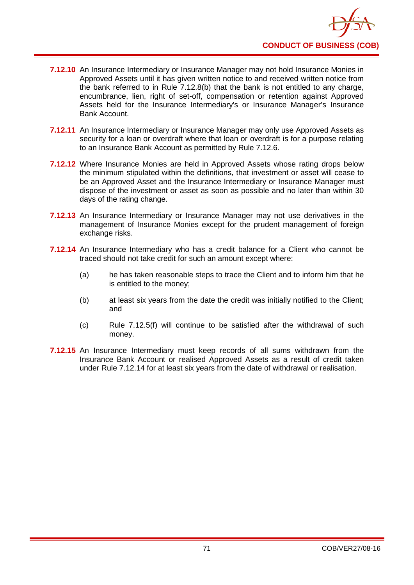- **7.12.10** An Insurance Intermediary or Insurance Manager may not hold Insurance Monies in Approved Assets until it has given written notice to and received written notice from the bank referred to in Rule 7.12.8(b) that the bank is not entitled to any charge, encumbrance, lien, right of set-off, compensation or retention against Approved Assets held for the Insurance Intermediary's or Insurance Manager's Insurance Bank Account.
- **7.12.11** An Insurance Intermediary or Insurance Manager may only use Approved Assets as security for a loan or overdraft where that loan or overdraft is for a purpose relating to an Insurance Bank Account as permitted by Rule 7.12.6.
- **7.12.12** Where Insurance Monies are held in Approved Assets whose rating drops below the minimum stipulated within the definitions, that investment or asset will cease to be an Approved Asset and the Insurance Intermediary or Insurance Manager must dispose of the investment or asset as soon as possible and no later than within 30 days of the rating change.
- **7.12.13** An Insurance Intermediary or Insurance Manager may not use derivatives in the management of Insurance Monies except for the prudent management of foreign exchange risks.
- **7.12.14** An Insurance Intermediary who has a credit balance for a Client who cannot be traced should not take credit for such an amount except where:
	- (a) he has taken reasonable steps to trace the Client and to inform him that he is entitled to the money;
	- (b) at least six years from the date the credit was initially notified to the Client; and
	- (c) Rule 7.12.5(f) will continue to be satisfied after the withdrawal of such money.
- **7.12.15** An Insurance Intermediary must keep records of all sums withdrawn from the Insurance Bank Account or realised Approved Assets as a result of credit taken under Rule 7.12.14 for at least six years from the date of withdrawal or realisation.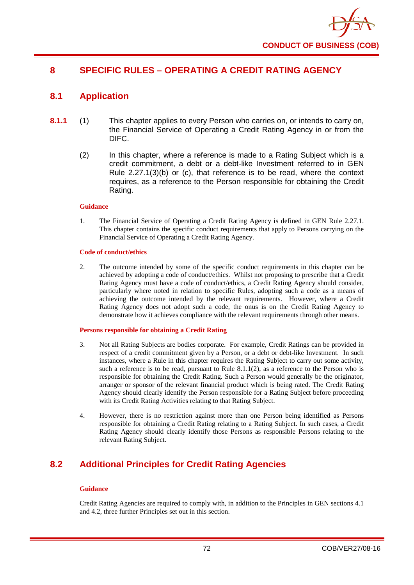

# **8 SPECIFIC RULES – OPERATING A CREDIT RATING AGENCY**

# **8.1 Application**

- **8.1.1** (1) This chapter applies to every Person who carries on, or intends to carry on, the Financial Service of Operating a Credit Rating Agency in or from the DIFC.
	- (2) In this chapter, where a reference is made to a Rating Subject which is a credit commitment, a debt or a debt-like Investment referred to in GEN Rule 2.27.1(3)(b) or (c), that reference is to be read, where the context requires, as a reference to the Person responsible for obtaining the Credit Rating.

#### **Guidance**

1. The Financial Service of Operating a Credit Rating Agency is defined in GEN Rule 2.27.1. This chapter contains the specific conduct requirements that apply to Persons carrying on the Financial Service of Operating a Credit Rating Agency.

#### **Code of conduct/ethics**

2. The outcome intended by some of the specific conduct requirements in this chapter can be achieved by adopting a code of conduct/ethics. Whilst not proposing to prescribe that a Credit Rating Agency must have a code of conduct/ethics, a Credit Rating Agency should consider, particularly where noted in relation to specific Rules, adopting such a code as a means of achieving the outcome intended by the relevant requirements. However, where a Credit Rating Agency does not adopt such a code, the onus is on the Credit Rating Agency to demonstrate how it achieves compliance with the relevant requirements through other means.

### **Persons responsible for obtaining a Credit Rating**

- 3. Not all Rating Subjects are bodies corporate. For example, Credit Ratings can be provided in respect of a credit commitment given by a Person, or a debt or debt-like Investment. In such instances, where a Rule in this chapter requires the Rating Subject to carry out some activity, such a reference is to be read, pursuant to Rule  $8.1.1(2)$ , as a reference to the Person who is responsible for obtaining the Credit Rating. Such a Person would generally be the originator, arranger or sponsor of the relevant financial product which is being rated. The Credit Rating Agency should clearly identify the Person responsible for a Rating Subject before proceeding with its Credit Rating Activities relating to that Rating Subject.
- 4. However, there is no restriction against more than one Person being identified as Persons responsible for obtaining a Credit Rating relating to a Rating Subject. In such cases, a Credit Rating Agency should clearly identify those Persons as responsible Persons relating to the relevant Rating Subject.

# **8.2 Additional Principles for Credit Rating Agencies**

#### **Guidance**

Credit Rating Agencies are required to comply with, in addition to the Principles in GEN sections 4.1 and 4.2, three further Principles set out in this section.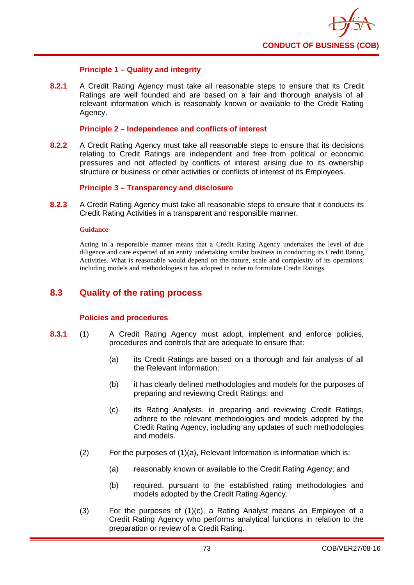

## **Principle 1 – Quality and integrity**

**8.2.1** A Credit Rating Agency must take all reasonable steps to ensure that its Credit Ratings are well founded and are based on a fair and thorough analysis of all relevant information which is reasonably known or available to the Credit Rating Agency.

### **Principle 2 – Independence and conflicts of interest**

**8.2.2** A Credit Rating Agency must take all reasonable steps to ensure that its decisions relating to Credit Ratings are independent and free from political or economic pressures and not affected by conflicts of interest arising due to its ownership structure or business or other activities or conflicts of interest of its Employees.

## **Principle 3 – Transparency and disclosure**

**8.2.3** A Credit Rating Agency must take all reasonable steps to ensure that it conducts its Credit Rating Activities in a transparent and responsible manner.

#### **Guidance**

Acting in a responsible manner means that a Credit Rating Agency undertakes the level of due diligence and care expected of an entity undertaking similar business in conducting its Credit Rating Activities. What is reasonable would depend on the nature, scale and complexity of its operations, including models and methodologies it has adopted in order to formulate Credit Ratings.

# **8.3 Quality of the rating process**

### **Policies and procedures**

- **8.3.1** (1) A Credit Rating Agency must adopt, implement and enforce policies, procedures and controls that are adequate to ensure that:
	- (a) its Credit Ratings are based on a thorough and fair analysis of all the Relevant Information;
	- (b) it has clearly defined methodologies and models for the purposes of preparing and reviewing Credit Ratings; and
	- (c) its Rating Analysts, in preparing and reviewing Credit Ratings, adhere to the relevant methodologies and models adopted by the Credit Rating Agency, including any updates of such methodologies and models.
	- $(2)$  For the purposes of  $(1)(a)$ , Relevant Information is information which is:
		- (a) reasonably known or available to the Credit Rating Agency; and
		- (b) required, pursuant to the established rating methodologies and models adopted by the Credit Rating Agency.
	- (3) For the purposes of (1)(c), a Rating Analyst means an Employee of a Credit Rating Agency who performs analytical functions in relation to the preparation or review of a Credit Rating.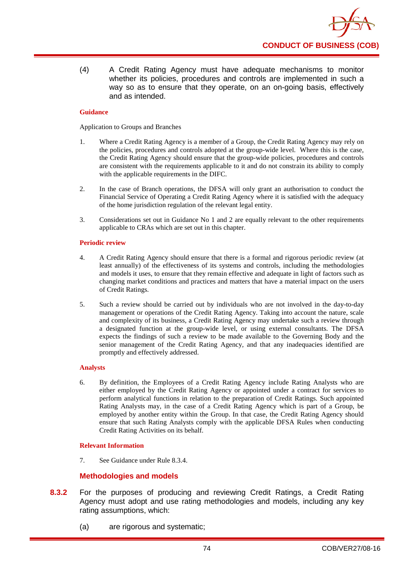(4) A Credit Rating Agency must have adequate mechanisms to monitor whether its policies, procedures and controls are implemented in such a way so as to ensure that they operate, on an on-going basis, effectively and as intended.

## **Guidance**

Application to Groups and Branches

- 1. Where a Credit Rating Agency is a member of a Group, the Credit Rating Agency may rely on the policies, procedures and controls adopted at the group-wide level. Where this is the case, the Credit Rating Agency should ensure that the group-wide policies, procedures and controls are consistent with the requirements applicable to it and do not constrain its ability to comply with the applicable requirements in the DIFC.
- 2. In the case of Branch operations, the DFSA will only grant an authorisation to conduct the Financial Service of Operating a Credit Rating Agency where it is satisfied with the adequacy of the home jurisdiction regulation of the relevant legal entity.
- 3. Considerations set out in Guidance No 1 and 2 are equally relevant to the other requirements applicable to CRAs which are set out in this chapter.

### **Periodic review**

- 4. A Credit Rating Agency should ensure that there is a formal and rigorous periodic review (at least annually) of the effectiveness of its systems and controls, including the methodologies and models it uses, to ensure that they remain effective and adequate in light of factors such as changing market conditions and practices and matters that have a material impact on the users of Credit Ratings.
- 5. Such a review should be carried out by individuals who are not involved in the day-to-day management or operations of the Credit Rating Agency. Taking into account the nature, scale and complexity of its business, a Credit Rating Agency may undertake such a review through a designated function at the group-wide level, or using external consultants. The DFSA expects the findings of such a review to be made available to the Governing Body and the senior management of the Credit Rating Agency, and that any inadequacies identified are promptly and effectively addressed.

## **Analysts**

6. By definition, the Employees of a Credit Rating Agency include Rating Analysts who are either employed by the Credit Rating Agency or appointed under a contract for services to perform analytical functions in relation to the preparation of Credit Ratings. Such appointed Rating Analysts may, in the case of a Credit Rating Agency which is part of a Group, be employed by another entity within the Group. In that case, the Credit Rating Agency should ensure that such Rating Analysts comply with the applicable DFSA Rules when conducting Credit Rating Activities on its behalf.

## **Relevant Information**

7. See Guidance under Rule 8.3.4.

# **Methodologies and models**

- **8.3.2** For the purposes of producing and reviewing Credit Ratings, a Credit Rating Agency must adopt and use rating methodologies and models, including any key rating assumptions, which:
	- (a) are rigorous and systematic;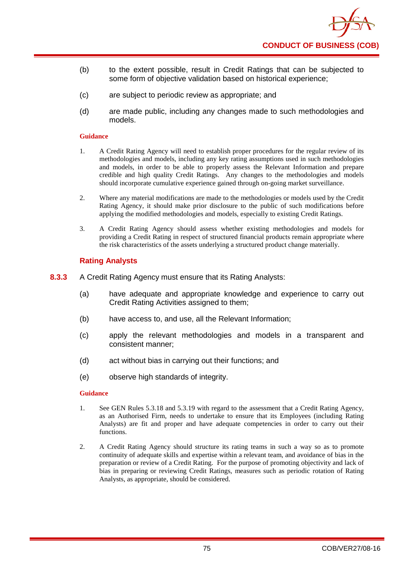

- (b) to the extent possible, result in Credit Ratings that can be subjected to some form of objective validation based on historical experience;
- (c) are subject to periodic review as appropriate; and
- (d) are made public, including any changes made to such methodologies and models.

- 1. A Credit Rating Agency will need to establish proper procedures for the regular review of its methodologies and models, including any key rating assumptions used in such methodologies and models, in order to be able to properly assess the Relevant Information and prepare credible and high quality Credit Ratings. Any changes to the methodologies and models should incorporate cumulative experience gained through on-going market surveillance.
- 2. Where any material modifications are made to the methodologies or models used by the Credit Rating Agency, it should make prior disclosure to the public of such modifications before applying the modified methodologies and models, especially to existing Credit Ratings.
- 3. A Credit Rating Agency should assess whether existing methodologies and models for providing a Credit Rating in respect of structured financial products remain appropriate where the risk characteristics of the assets underlying a structured product change materially.

# **Rating Analysts**

- **8.3.3** A Credit Rating Agency must ensure that its Rating Analysts:
	- (a) have adequate and appropriate knowledge and experience to carry out Credit Rating Activities assigned to them;
	- (b) have access to, and use, all the Relevant Information;
	- (c) apply the relevant methodologies and models in a transparent and consistent manner;
	- (d) act without bias in carrying out their functions; and
	- (e) observe high standards of integrity.

- 1. See GEN Rules 5.3.18 and 5.3.19 with regard to the assessment that a Credit Rating Agency, as an Authorised Firm, needs to undertake to ensure that its Employees (including Rating Analysts) are fit and proper and have adequate competencies in order to carry out their functions.
- 2. A Credit Rating Agency should structure its rating teams in such a way so as to promote continuity of adequate skills and expertise within a relevant team, and avoidance of bias in the preparation or review of a Credit Rating. For the purpose of promoting objectivity and lack of bias in preparing or reviewing Credit Ratings, measures such as periodic rotation of Rating Analysts, as appropriate, should be considered.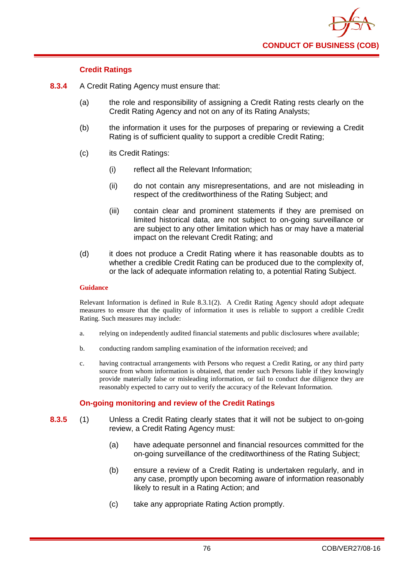

# **Credit Ratings**

- **8.3.4** A Credit Rating Agency must ensure that:
	- (a) the role and responsibility of assigning a Credit Rating rests clearly on the Credit Rating Agency and not on any of its Rating Analysts;
	- (b) the information it uses for the purposes of preparing or reviewing a Credit Rating is of sufficient quality to support a credible Credit Rating;
	- (c) its Credit Ratings:
		- (i) reflect all the Relevant Information;
		- (ii) do not contain any misrepresentations, and are not misleading in respect of the creditworthiness of the Rating Subject; and
		- (iii) contain clear and prominent statements if they are premised on limited historical data, are not subject to on-going surveillance or are subject to any other limitation which has or may have a material impact on the relevant Credit Rating; and
	- (d) it does not produce a Credit Rating where it has reasonable doubts as to whether a credible Credit Rating can be produced due to the complexity of. or the lack of adequate information relating to, a potential Rating Subject.

### **Guidance**

Relevant Information is defined in Rule 8.3.1(2). A Credit Rating Agency should adopt adequate measures to ensure that the quality of information it uses is reliable to support a credible Credit Rating. Such measures may include:

- a. relying on independently audited financial statements and public disclosures where available;
- b. conducting random sampling examination of the information received; and
- c. having contractual arrangements with Persons who request a Credit Rating, or any third party source from whom information is obtained, that render such Persons liable if they knowingly provide materially false or misleading information, or fail to conduct due diligence they are reasonably expected to carry out to verify the accuracy of the Relevant Information.

## **On-going monitoring and review of the Credit Ratings**

- **8.3.5** (1) Unless a Credit Rating clearly states that it will not be subject to on-going review, a Credit Rating Agency must:
	- (a) have adequate personnel and financial resources committed for the on-going surveillance of the creditworthiness of the Rating Subject;
	- (b) ensure a review of a Credit Rating is undertaken regularly, and in any case, promptly upon becoming aware of information reasonably likely to result in a Rating Action; and
	- (c) take any appropriate Rating Action promptly.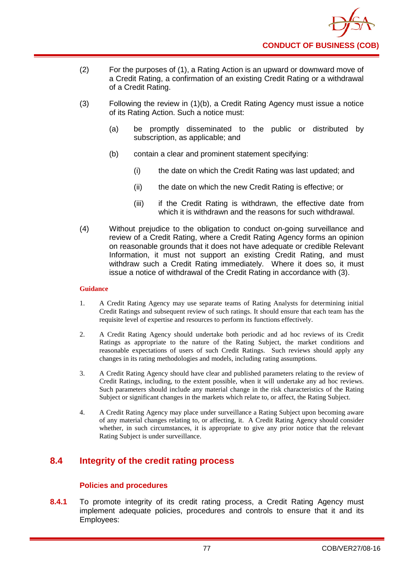

- (2) For the purposes of (1), a Rating Action is an upward or downward move of a Credit Rating, a confirmation of an existing Credit Rating or a withdrawal of a Credit Rating.
- (3) Following the review in (1)(b), a Credit Rating Agency must issue a notice of its Rating Action. Such a notice must:
	- (a) be promptly disseminated to the public or distributed by subscription, as applicable; and
	- (b) contain a clear and prominent statement specifying:
		- (i) the date on which the Credit Rating was last updated; and
		- (ii) the date on which the new Credit Rating is effective; or
		- (iii) if the Credit Rating is withdrawn, the effective date from which it is withdrawn and the reasons for such withdrawal.
- (4) Without prejudice to the obligation to conduct on-going surveillance and review of a Credit Rating, where a Credit Rating Agency forms an opinion on reasonable grounds that it does not have adequate or credible Relevant Information, it must not support an existing Credit Rating, and must withdraw such a Credit Rating immediately. Where it does so, it must issue a notice of withdrawal of the Credit Rating in accordance with (3).

- 1. A Credit Rating Agency may use separate teams of Rating Analysts for determining initial Credit Ratings and subsequent review of such ratings. It should ensure that each team has the requisite level of expertise and resources to perform its functions effectively.
- 2. A Credit Rating Agency should undertake both periodic and ad hoc reviews of its Credit Ratings as appropriate to the nature of the Rating Subject, the market conditions and reasonable expectations of users of such Credit Ratings. Such reviews should apply any changes in its rating methodologies and models, including rating assumptions.
- 3. A Credit Rating Agency should have clear and published parameters relating to the review of Credit Ratings, including, to the extent possible, when it will undertake any ad hoc reviews. Such parameters should include any material change in the risk characteristics of the Rating Subject or significant changes in the markets which relate to, or affect, the Rating Subject.
- 4. A Credit Rating Agency may place under surveillance a Rating Subject upon becoming aware of any material changes relating to, or affecting, it. A Credit Rating Agency should consider whether, in such circumstances, it is appropriate to give any prior notice that the relevant Rating Subject is under surveillance.

# **8.4 Integrity of the credit rating process**

# **Polic**i**es and procedures**

**8.4.1** To promote integrity of its credit rating process, a Credit Rating Agency must implement adequate policies, procedures and controls to ensure that it and its Employees: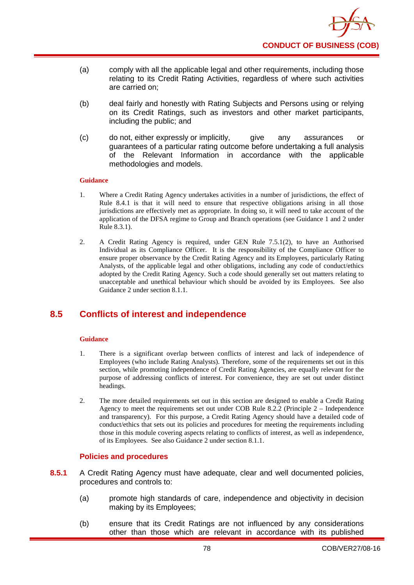

- (a) comply with all the applicable legal and other requirements, including those relating to its Credit Rating Activities, regardless of where such activities are carried on;
- (b) deal fairly and honestly with Rating Subjects and Persons using or relying on its Credit Ratings, such as investors and other market participants, including the public; and
- (c) do not, either expressly or implicitly, give any assurances or guarantees of a particular rating outcome before undertaking a full analysis of the Relevant Information in accordance with the applicable methodologies and models.

- 1. Where a Credit Rating Agency undertakes activities in a number of jurisdictions, the effect of Rule 8.4.1 is that it will need to ensure that respective obligations arising in all those jurisdictions are effectively met as appropriate. In doing so, it will need to take account of the application of the DFSA regime to Group and Branch operations (see Guidance 1 and 2 under Rule 8.3.1).
- 2. A Credit Rating Agency is required, under GEN Rule 7.5.1(2), to have an Authorised Individual as its Compliance Officer. It is the responsibility of the Compliance Officer to ensure proper observance by the Credit Rating Agency and its Employees, particularly Rating Analysts, of the applicable legal and other obligations, including any code of conduct/ethics adopted by the Credit Rating Agency. Such a code should generally set out matters relating to unacceptable and unethical behaviour which should be avoided by its Employees. See also Guidance 2 under section 8.1.1.

# **8.5 Conflicts of interest and independence**

## **Guidance**

- 1. There is a significant overlap between conflicts of interest and lack of independence of Employees (who include Rating Analysts). Therefore, some of the requirements set out in this section, while promoting independence of Credit Rating Agencies, are equally relevant for the purpose of addressing conflicts of interest. For convenience, they are set out under distinct headings.
- 2. The more detailed requirements set out in this section are designed to enable a Credit Rating Agency to meet the requirements set out under COB Rule 8.2.2 (Principle 2 – Independence and transparency). For this purpose, a Credit Rating Agency should have a detailed code of conduct/ethics that sets out its policies and procedures for meeting the requirements including those in this module covering aspects relating to conflicts of interest, as well as independence, of its Employees. See also Guidance 2 under section 8.1.1.

## **Policies and procedures**

- **8.5.1** A Credit Rating Agency must have adequate, clear and well documented policies, procedures and controls to:
	- (a) promote high standards of care, independence and objectivity in decision making by its Employees;
	- (b) ensure that its Credit Ratings are not influenced by any considerations other than those which are relevant in accordance with its published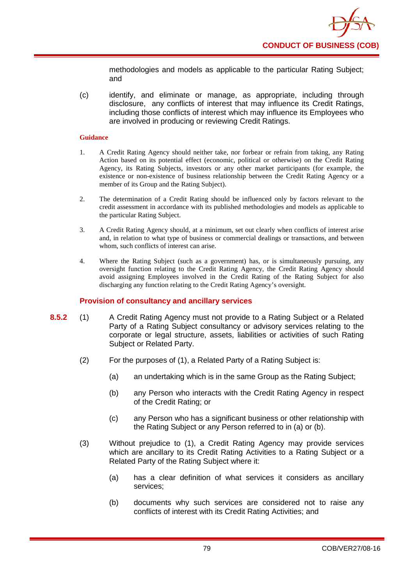methodologies and models as applicable to the particular Rating Subject; and

(c) identify, and eliminate or manage, as appropriate, including through disclosure, any conflicts of interest that may influence its Credit Ratings, including those conflicts of interest which may influence its Employees who are involved in producing or reviewing Credit Ratings.

## **Guidance**

- 1. A Credit Rating Agency should neither take, nor forbear or refrain from taking, any Rating Action based on its potential effect (economic, political or otherwise) on the Credit Rating Agency, its Rating Subjects, investors or any other market participants (for example, the existence or non-existence of business relationship between the Credit Rating Agency or a member of its Group and the Rating Subject).
- 2. The determination of a Credit Rating should be influenced only by factors relevant to the credit assessment in accordance with its published methodologies and models as applicable to the particular Rating Subject.
- 3. A Credit Rating Agency should, at a minimum, set out clearly when conflicts of interest arise and, in relation to what type of business or commercial dealings or transactions, and between whom, such conflicts of interest can arise.
- 4. Where the Rating Subject (such as a government) has, or is simultaneously pursuing, any oversight function relating to the Credit Rating Agency, the Credit Rating Agency should avoid assigning Employees involved in the Credit Rating of the Rating Subject for also discharging any function relating to the Credit Rating Agency's oversight.

# **Provision of consultancy and ancillary services**

- **8.5.2** (1) A Credit Rating Agency must not provide to a Rating Subject or a Related Party of a Rating Subject consultancy or advisory services relating to the corporate or legal structure, assets, liabilities or activities of such Rating Subject or Related Party.
	- (2) For the purposes of (1), a Related Party of a Rating Subject is:
		- (a) an undertaking which is in the same Group as the Rating Subject;
		- (b) any Person who interacts with the Credit Rating Agency in respect of the Credit Rating; or
		- (c) any Person who has a significant business or other relationship with the Rating Subject or any Person referred to in (a) or (b).
	- (3) Without prejudice to (1), a Credit Rating Agency may provide services which are ancillary to its Credit Rating Activities to a Rating Subject or a Related Party of the Rating Subject where it:
		- (a) has a clear definition of what services it considers as ancillary services;
		- (b) documents why such services are considered not to raise any conflicts of interest with its Credit Rating Activities; and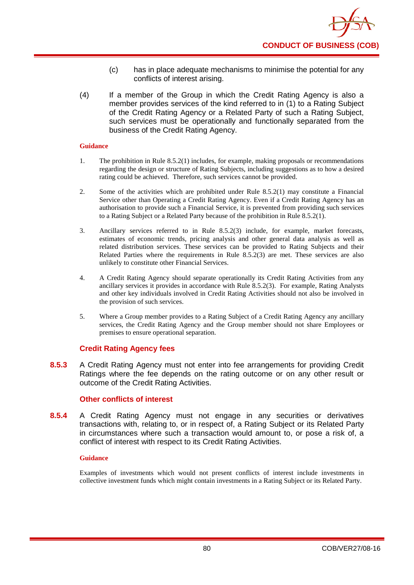- (c) has in place adequate mechanisms to minimise the potential for any conflicts of interest arising.
- (4) If a member of the Group in which the Credit Rating Agency is also a member provides services of the kind referred to in (1) to a Rating Subject of the Credit Rating Agency or a Related Party of such a Rating Subject, such services must be operationally and functionally separated from the business of the Credit Rating Agency.

- 1. The prohibition in Rule 8.5.2(1) includes, for example, making proposals or recommendations regarding the design or structure of Rating Subjects, including suggestions as to how a desired rating could be achieved. Therefore, such services cannot be provided.
- 2. Some of the activities which are prohibited under Rule 8.5.2(1) may constitute a Financial Service other than Operating a Credit Rating Agency. Even if a Credit Rating Agency has an authorisation to provide such a Financial Service, it is prevented from providing such services to a Rating Subject or a Related Party because of the prohibition in Rule 8.5.2(1).
- 3. Ancillary services referred to in Rule 8.5.2(3) include, for example, market forecasts, estimates of economic trends, pricing analysis and other general data analysis as well as related distribution services. These services can be provided to Rating Subjects and their Related Parties where the requirements in Rule 8.5.2(3) are met. These services are also unlikely to constitute other Financial Services.
- 4. A Credit Rating Agency should separate operationally its Credit Rating Activities from any ancillary services it provides in accordance with Rule 8.5.2(3). For example, Rating Analysts and other key individuals involved in Credit Rating Activities should not also be involved in the provision of such services.
- 5. Where a Group member provides to a Rating Subject of a Credit Rating Agency any ancillary services, the Credit Rating Agency and the Group member should not share Employees or premises to ensure operational separation.

## **Credit Rating Agency fees**

**8.5.3** A Credit Rating Agency must not enter into fee arrangements for providing Credit Ratings where the fee depends on the rating outcome or on any other result or outcome of the Credit Rating Activities.

## **Other conflicts of interest**

**8.5.4** A Credit Rating Agency must not engage in any securities or derivatives transactions with, relating to, or in respect of, a Rating Subject or its Related Party in circumstances where such a transaction would amount to, or pose a risk of, a conflict of interest with respect to its Credit Rating Activities.

## **Guidance**

Examples of investments which would not present conflicts of interest include investments in collective investment funds which might contain investments in a Rating Subject or its Related Party.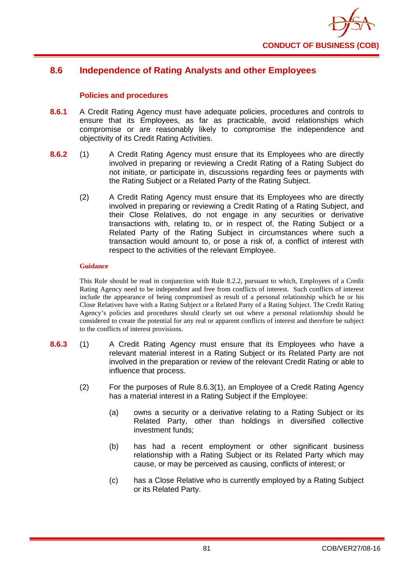

# **8.6 Independence of Rating Analysts and other Employees**

# **Policies and procedures**

- **8.6.1** A Credit Rating Agency must have adequate policies, procedures and controls to ensure that its Employees, as far as practicable, avoid relationships which compromise or are reasonably likely to compromise the independence and objectivity of its Credit Rating Activities.
- **8.6.2** (1) A Credit Rating Agency must ensure that its Employees who are directly involved in preparing or reviewing a Credit Rating of a Rating Subject do not initiate, or participate in, discussions regarding fees or payments with the Rating Subject or a Related Party of the Rating Subject.
	- (2) A Credit Rating Agency must ensure that its Employees who are directly involved in preparing or reviewing a Credit Rating of a Rating Subject, and their Close Relatives, do not engage in any securities or derivative transactions with, relating to, or in respect of, the Rating Subject or a Related Party of the Rating Subject in circumstances where such a transaction would amount to, or pose a risk of, a conflict of interest with respect to the activities of the relevant Employee.

### **Guidance**

This Rule should be read in conjunction with Rule 8.2.2, pursuant to which, Employees of a Credit Rating Agency need to be independent and free from conflicts of interest. Such conflicts of interest include the appearance of being compromised as result of a personal relationship which he or his Close Relatives have with a Rating Subject or a Related Party of a Rating Subject. The Credit Rating Agency's policies and procedures should clearly set out where a personal relationship should be considered to create the potential for any real or apparent conflicts of interest and therefore be subject to the conflicts of interest provisions.

- **8.6.3** (1) A Credit Rating Agency must ensure that its Employees who have a relevant material interest in a Rating Subject or its Related Party are not involved in the preparation or review of the relevant Credit Rating or able to influence that process.
	- (2) For the purposes of Rule 8.6.3(1), an Employee of a Credit Rating Agency has a material interest in a Rating Subject if the Employee:
		- (a) owns a security or a derivative relating to a Rating Subject or its Related Party, other than holdings in diversified collective investment funds;
		- (b) has had a recent employment or other significant business relationship with a Rating Subject or its Related Party which may cause, or may be perceived as causing, conflicts of interest; or
		- (c) has a Close Relative who is currently employed by a Rating Subject or its Related Party.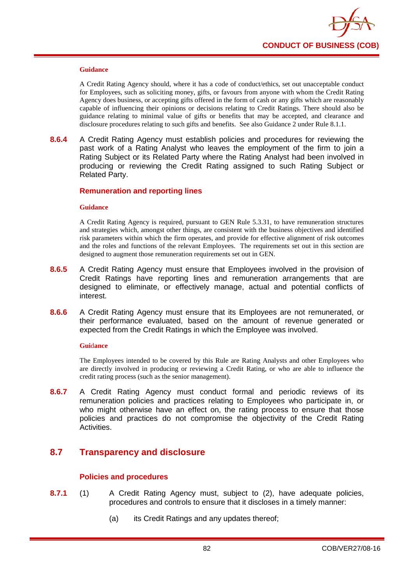

A Credit Rating Agency should, where it has a code of conduct/ethics, set out unacceptable conduct for Employees, such as soliciting money, gifts, or favours from anyone with whom the Credit Rating Agency does business, or accepting gifts offered in the form of cash or any gifts which are reasonably capable of influencing their opinions or decisions relating to Credit Ratings. There should also be guidance relating to minimal value of gifts or benefits that may be accepted, and clearance and disclosure procedures relating to such gifts and benefits. See also Guidance 2 under Rule 8.1.1.

**8.6.4** A Credit Rating Agency must establish policies and procedures for reviewing the past work of a Rating Analyst who leaves the employment of the firm to join a Rating Subject or its Related Party where the Rating Analyst had been involved in producing or reviewing the Credit Rating assigned to such Rating Subject or Related Party.

### **Remuneration and reporting lines**

#### **Guidance**

A Credit Rating Agency is required, pursuant to GEN Rule 5.3.31, to have remuneration structures and strategies which, amongst other things, are consistent with the business objectives and identified risk parameters within which the firm operates, and provide for effective alignment of risk outcomes and the roles and functions of the relevant Employees. The requirements set out in this section are designed to augment those remuneration requirements set out in GEN.

- **8.6.5** A Credit Rating Agency must ensure that Employees involved in the provision of Credit Ratings have reporting lines and remuneration arrangements that are designed to eliminate, or effectively manage, actual and potential conflicts of interest.
- **8.6.6** A Credit Rating Agency must ensure that its Employees are not remunerated, or their performance evaluated, based on the amount of revenue generated or expected from the Credit Ratings in which the Employee was involved.

#### **Gui**d**ance**

The Employees intended to be covered by this Rule are Rating Analysts and other Employees who are directly involved in producing or reviewing a Credit Rating, or who are able to influence the credit rating process (such as the senior management).

**8.6.7** A Credit Rating Agency must conduct formal and periodic reviews of its remuneration policies and practices relating to Employees who participate in, or who might otherwise have an effect on, the rating process to ensure that those policies and practices do not compromise the objectivity of the Credit Rating Activities.

# **8.7 Transparency and disclosure**

## **Policies and procedures**

- **8.7.1** (1) A Credit Rating Agency must, subject to (2), have adequate policies, procedures and controls to ensure that it discloses in a timely manner:
	- (a) its Credit Ratings and any updates thereof;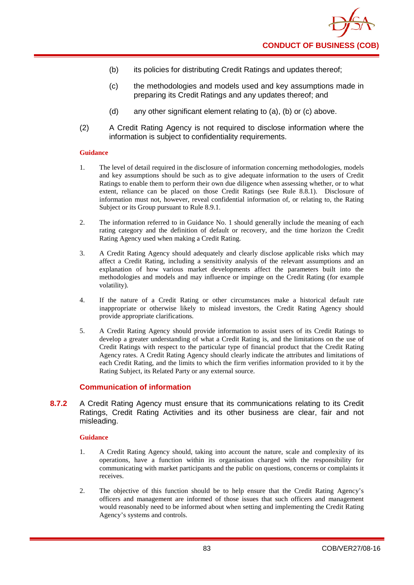- (b) its policies for distributing Credit Ratings and updates thereof;
- (c) the methodologies and models used and key assumptions made in preparing its Credit Ratings and any updates thereof; and
- (d) any other significant element relating to (a), (b) or (c) above.
- (2) A Credit Rating Agency is not required to disclose information where the information is subject to confidentiality requirements.

- 1. The level of detail required in the disclosure of information concerning methodologies, models and key assumptions should be such as to give adequate information to the users of Credit Ratings to enable them to perform their own due diligence when assessing whether, or to what extent, reliance can be placed on those Credit Ratings (see Rule 8.8.1). Disclosure of information must not, however, reveal confidential information of, or relating to, the Rating Subject or its Group pursuant to Rule 8.9.1.
- 2. The information referred to in Guidance No. 1 should generally include the meaning of each rating category and the definition of default or recovery, and the time horizon the Credit Rating Agency used when making a Credit Rating.
- 3. A Credit Rating Agency should adequately and clearly disclose applicable risks which may affect a Credit Rating, including a sensitivity analysis of the relevant assumptions and an explanation of how various market developments affect the parameters built into the methodologies and models and may influence or impinge on the Credit Rating (for example volatility).
- 4. If the nature of a Credit Rating or other circumstances make a historical default rate inappropriate or otherwise likely to mislead investors, the Credit Rating Agency should provide appropriate clarifications.
- 5. A Credit Rating Agency should provide information to assist users of its Credit Ratings to develop a greater understanding of what a Credit Rating is, and the limitations on the use of Credit Ratings with respect to the particular type of financial product that the Credit Rating Agency rates. A Credit Rating Agency should clearly indicate the attributes and limitations of each Credit Rating, and the limits to which the firm verifies information provided to it by the Rating Subject, its Related Party or any external source.

# **Communication of information**

**8.7.2** A Credit Rating Agency must ensure that its communications relating to its Credit Ratings, Credit Rating Activities and its other business are clear, fair and not misleading.

- 1. A Credit Rating Agency should, taking into account the nature, scale and complexity of its operations, have a function within its organisation charged with the responsibility for communicating with market participants and the public on questions, concerns or complaints it receives.
- 2. The objective of this function should be to help ensure that the Credit Rating Agency's officers and management are informed of those issues that such officers and management would reasonably need to be informed about when setting and implementing the Credit Rating Agency's systems and controls.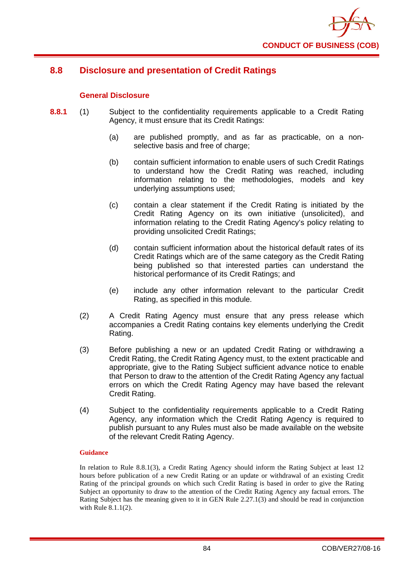

# **8.8 Disclosure and presentation of Credit Ratings**

# **General Disclosure**

- **8.8.1** (1) Subject to the confidentiality requirements applicable to a Credit Rating Agency, it must ensure that its Credit Ratings:
	- (a) are published promptly, and as far as practicable, on a nonselective basis and free of charge;
	- (b) contain sufficient information to enable users of such Credit Ratings to understand how the Credit Rating was reached, including information relating to the methodologies, models and key underlying assumptions used;
	- (c) contain a clear statement if the Credit Rating is initiated by the Credit Rating Agency on its own initiative (unsolicited), and information relating to the Credit Rating Agency's policy relating to providing unsolicited Credit Ratings;
	- (d) contain sufficient information about the historical default rates of its Credit Ratings which are of the same category as the Credit Rating being published so that interested parties can understand the historical performance of its Credit Ratings; and
	- (e) include any other information relevant to the particular Credit Rating, as specified in this module.
	- (2) A Credit Rating Agency must ensure that any press release which accompanies a Credit Rating contains key elements underlying the Credit Rating.
	- (3) Before publishing a new or an updated Credit Rating or withdrawing a Credit Rating, the Credit Rating Agency must, to the extent practicable and appropriate, give to the Rating Subject sufficient advance notice to enable that Person to draw to the attention of the Credit Rating Agency any factual errors on which the Credit Rating Agency may have based the relevant Credit Rating.
	- (4) Subject to the confidentiality requirements applicable to a Credit Rating Agency, any information which the Credit Rating Agency is required to publish pursuant to any Rules must also be made available on the website of the relevant Credit Rating Agency.

## **Guidance**

In relation to Rule 8.8.1(3), a Credit Rating Agency should inform the Rating Subject at least 12 hours before publication of a new Credit Rating or an update or withdrawal of an existing Credit Rating of the principal grounds on which such Credit Rating is based in order to give the Rating Subject an opportunity to draw to the attention of the Credit Rating Agency any factual errors. The Rating Subject has the meaning given to it in GEN Rule 2.27.1(3) and should be read in conjunction with Rule 8.1.1(2).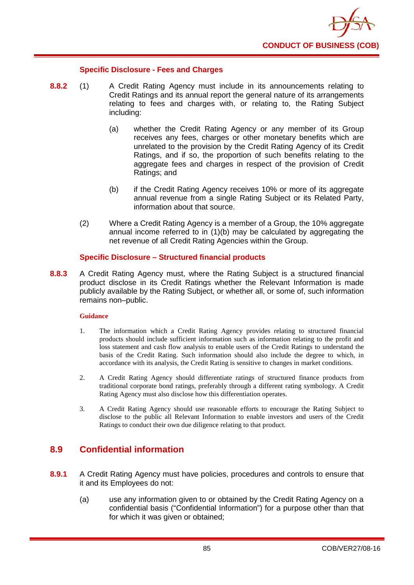

## **Specific Disclosure - Fees and Charges**

- **8.8.2** (1) A Credit Rating Agency must include in its announcements relating to Credit Ratings and its annual report the general nature of its arrangements relating to fees and charges with, or relating to, the Rating Subject including:
	- (a) whether the Credit Rating Agency or any member of its Group receives any fees, charges or other monetary benefits which are unrelated to the provision by the Credit Rating Agency of its Credit Ratings, and if so, the proportion of such benefits relating to the aggregate fees and charges in respect of the provision of Credit Ratings; and
	- (b) if the Credit Rating Agency receives 10% or more of its aggregate annual revenue from a single Rating Subject or its Related Party, information about that source.
	- (2) Where a Credit Rating Agency is a member of a Group, the 10% aggregate annual income referred to in (1)(b) may be calculated by aggregating the net revenue of all Credit Rating Agencies within the Group.

## **Specific Disclosure – Structured financial products**

**8.8.3** A Credit Rating Agency must, where the Rating Subject is a structured financial product disclose in its Credit Ratings whether the Relevant Information is made publicly available by the Rating Subject, or whether all, or some of, such information remains non–public.

## **Guidance**

- 1. The information which a Credit Rating Agency provides relating to structured financial products should include sufficient information such as information relating to the profit and loss statement and cash flow analysis to enable users of the Credit Ratings to understand the basis of the Credit Rating. Such information should also include the degree to which, in accordance with its analysis, the Credit Rating is sensitive to changes in market conditions.
- 2. A Credit Rating Agency should differentiate ratings of structured finance products from traditional corporate bond ratings, preferably through a different rating symbology. A Credit Rating Agency must also disclose how this differentiation operates.
- 3. A Credit Rating Agency should use reasonable efforts to encourage the Rating Subject to disclose to the public all Relevant Information to enable investors and users of the Credit Ratings to conduct their own due diligence relating to that product.

# **8.9 Confidential information**

- **8.9.1** A Credit Rating Agency must have policies, procedures and controls to ensure that it and its Employees do not:
	- (a) use any information given to or obtained by the Credit Rating Agency on a confidential basis ("Confidential Information") for a purpose other than that for which it was given or obtained;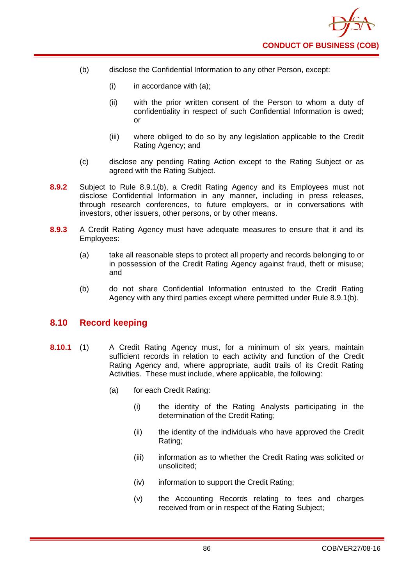- (b) disclose the Confidential Information to any other Person, except:
	- $(i)$  in accordance with  $(a)$ ;
	- (ii) with the prior written consent of the Person to whom a duty of confidentiality in respect of such Confidential Information is owed; or
	- (iii) where obliged to do so by any legislation applicable to the Credit Rating Agency; and
	- (c) disclose any pending Rating Action except to the Rating Subject or as agreed with the Rating Subject.
- **8.9.2** Subject to Rule 8.9.1(b), a Credit Rating Agency and its Employees must not disclose Confidential Information in any manner, including in press releases, through research conferences, to future employers, or in conversations with investors, other issuers, other persons, or by other means.
- **8.9.3** A Credit Rating Agency must have adequate measures to ensure that it and its Employees:
	- (a) take all reasonable steps to protect all property and records belonging to or in possession of the Credit Rating Agency against fraud, theft or misuse; and
	- (b) do not share Confidential Information entrusted to the Credit Rating Agency with any third parties except where permitted under Rule 8.9.1(b).

# **8.10 Record keeping**

- **8.10.1** (1) A Credit Rating Agency must, for a minimum of six years, maintain sufficient records in relation to each activity and function of the Credit Rating Agency and, where appropriate, audit trails of its Credit Rating Activities. These must include, where applicable, the following:
	- (a) for each Credit Rating:
		- (i) the identity of the Rating Analysts participating in the determination of the Credit Rating;
		- (ii) the identity of the individuals who have approved the Credit Rating;
		- (iii) information as to whether the Credit Rating was solicited or unsolicited;
		- (iv) information to support the Credit Rating;
		- (v) the Accounting Records relating to fees and charges received from or in respect of the Rating Subject;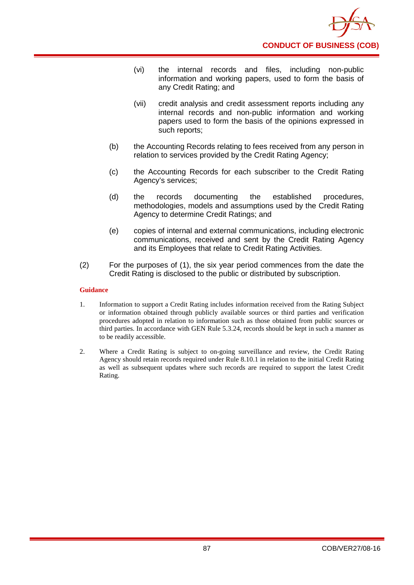

- (vi) the internal records and files, including non-public information and working papers, used to form the basis of any Credit Rating; and
- (vii) credit analysis and credit assessment reports including any internal records and non-public information and working papers used to form the basis of the opinions expressed in such reports;
- (b) the Accounting Records relating to fees received from any person in relation to services provided by the Credit Rating Agency;
- (c) the Accounting Records for each subscriber to the Credit Rating Agency's services;
- (d) the records documenting the established procedures, methodologies, models and assumptions used by the Credit Rating Agency to determine Credit Ratings; and
- (e) copies of internal and external communications, including electronic communications, received and sent by the Credit Rating Agency and its Employees that relate to Credit Rating Activities.
- (2) For the purposes of (1), the six year period commences from the date the Credit Rating is disclosed to the public or distributed by subscription.

- 1. Information to support a Credit Rating includes information received from the Rating Subject or information obtained through publicly available sources or third parties and verification procedures adopted in relation to information such as those obtained from public sources or third parties. In accordance with GEN Rule 5.3.24, records should be kept in such a manner as to be readily accessible.
- 2. Where a Credit Rating is subject to on-going surveillance and review, the Credit Rating Agency should retain records required under Rule 8.10.1 in relation to the initial Credit Rating as well as subsequent updates where such records are required to support the latest Credit Rating.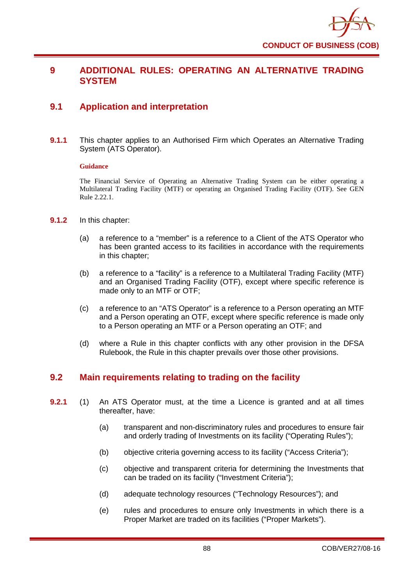

# **9 ADDITIONAL RULES: OPERATING AN ALTERNATIVE TRADING SYSTEM**

# **9.1 Application and interpretation**

**9.1.1** This chapter applies to an Authorised Firm which Operates an Alternative Trading System (ATS Operator).

## **Guidance**

The Financial Service of Operating an Alternative Trading System can be either operating a Multilateral Trading Facility (MTF) or operating an Organised Trading Facility (OTF). See GEN Rule 2.22.1.

- **9.1.2** In this chapter:
	- (a) a reference to a "member" is a reference to a Client of the ATS Operator who has been granted access to its facilities in accordance with the requirements in this chapter;
	- (b) a reference to a "facility" is a reference to a Multilateral Trading Facility (MTF) and an Organised Trading Facility (OTF), except where specific reference is made only to an MTF or OTF;
	- (c) a reference to an "ATS Operator" is a reference to a Person operating an MTF and a Person operating an OTF, except where specific reference is made only to a Person operating an MTF or a Person operating an OTF; and
	- (d) where a Rule in this chapter conflicts with any other provision in the DFSA Rulebook, the Rule in this chapter prevails over those other provisions.

# **9.2 Main requirements relating to trading on the facility**

- **9.2.1** (1) An ATS Operator must, at the time a Licence is granted and at all times thereafter, have:
	- (a) transparent and non-discriminatory rules and procedures to ensure fair and orderly trading of Investments on its facility ("Operating Rules");
	- (b) objective criteria governing access to its facility ("Access Criteria");
	- (c) objective and transparent criteria for determining the Investments that can be traded on its facility ("Investment Criteria");
	- (d) adequate technology resources ("Technology Resources"); and
	- (e) rules and procedures to ensure only Investments in which there is a Proper Market are traded on its facilities ("Proper Markets").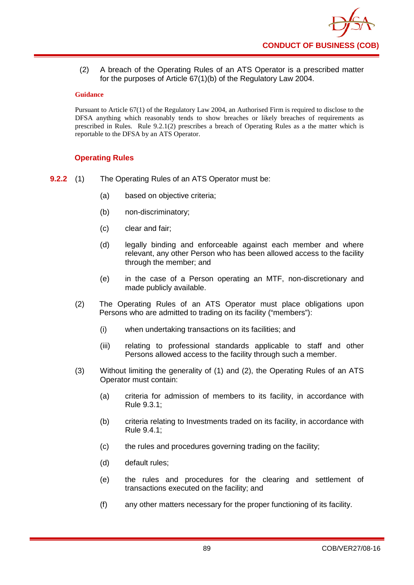(2) A breach of the Operating Rules of an ATS Operator is a prescribed matter for the purposes of Article 67(1)(b) of the Regulatory Law 2004.

## **Guidance**

Pursuant to Article 67(1) of the Regulatory Law 2004, an Authorised Firm is required to disclose to the DFSA anything which reasonably tends to show breaches or likely breaches of requirements as prescribed in Rules. Rule 9.2.1(2) prescribes a breach of Operating Rules as a the matter which is reportable to the DFSA by an ATS Operator.

# **Operating Rules**

**9.2.2** (1) The Operating Rules of an ATS Operator must be:

- (a) based on objective criteria;
- (b) non-discriminatory;
- (c) clear and fair;
- (d) legally binding and enforceable against each member and where relevant, any other Person who has been allowed access to the facility through the member; and
- (e) in the case of a Person operating an MTF, non-discretionary and made publicly available.
- (2) The Operating Rules of an ATS Operator must place obligations upon Persons who are admitted to trading on its facility ("members"):
	- (i) when undertaking transactions on its facilities; and
	- (iii) relating to professional standards applicable to staff and other Persons allowed access to the facility through such a member.
- (3) Without limiting the generality of (1) and (2), the Operating Rules of an ATS Operator must contain:
	- (a) criteria for admission of members to its facility, in accordance with Rule 9.3.1;
	- (b) criteria relating to Investments traded on its facility, in accordance with Rule 9.4.1;
	- (c) the rules and procedures governing trading on the facility;
	- (d) default rules;
	- (e) the rules and procedures for the clearing and settlement of transactions executed on the facility; and
	- (f) any other matters necessary for the proper functioning of its facility.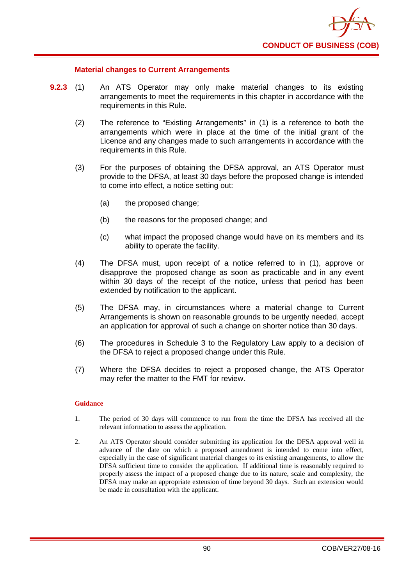

## **Material changes to Current Arrangements**

- **9.2.3** (1) An ATS Operator may only make material changes to its existing arrangements to meet the requirements in this chapter in accordance with the requirements in this Rule.
	- (2) The reference to "Existing Arrangements" in (1) is a reference to both the arrangements which were in place at the time of the initial grant of the Licence and any changes made to such arrangements in accordance with the requirements in this Rule.
	- (3) For the purposes of obtaining the DFSA approval, an ATS Operator must provide to the DFSA, at least 30 days before the proposed change is intended to come into effect, a notice setting out:
		- (a) the proposed change;
		- (b) the reasons for the proposed change; and
		- (c) what impact the proposed change would have on its members and its ability to operate the facility.
	- (4) The DFSA must, upon receipt of a notice referred to in (1), approve or disapprove the proposed change as soon as practicable and in any event within 30 days of the receipt of the notice, unless that period has been extended by notification to the applicant.
	- (5) The DFSA may, in circumstances where a material change to Current Arrangements is shown on reasonable grounds to be urgently needed, accept an application for approval of such a change on shorter notice than 30 days.
	- (6) The procedures in Schedule 3 to the Regulatory Law apply to a decision of the DFSA to reject a proposed change under this Rule.
	- (7) Where the DFSA decides to reject a proposed change, the ATS Operator may refer the matter to the FMT for review.

- 1. The period of 30 days will commence to run from the time the DFSA has received all the relevant information to assess the application.
- 2. An ATS Operator should consider submitting its application for the DFSA approval well in advance of the date on which a proposed amendment is intended to come into effect, especially in the case of significant material changes to its existing arrangements, to allow the DFSA sufficient time to consider the application. If additional time is reasonably required to properly assess the impact of a proposed change due to its nature, scale and complexity, the DFSA may make an appropriate extension of time beyond 30 days. Such an extension would be made in consultation with the applicant.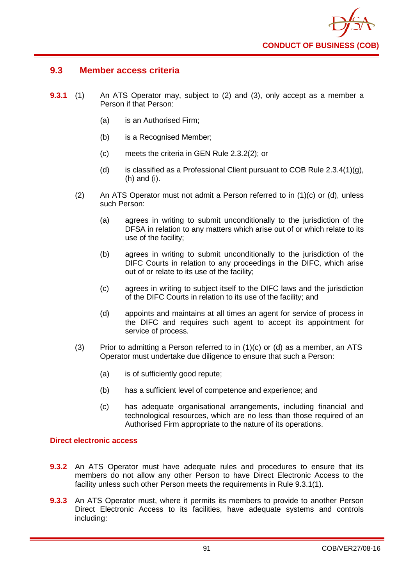

# **9.3 Member access criteria**

- **9.3.1** (1) An ATS Operator may, subject to (2) and (3), only accept as a member a Person if that Person:
	- (a) is an Authorised Firm;
	- (b) is a Recognised Member;
	- (c) meets the criteria in GEN Rule 2.3.2(2); or
	- (d) is classified as a Professional Client pursuant to COB Rule  $2.3.4(1)(g)$ , (h) and (i).
	- (2) An ATS Operator must not admit a Person referred to in (1)(c) or (d), unless such Person:
		- (a) agrees in writing to submit unconditionally to the jurisdiction of the DFSA in relation to any matters which arise out of or which relate to its use of the facility;
		- (b) agrees in writing to submit unconditionally to the jurisdiction of the DIFC Courts in relation to any proceedings in the DIFC, which arise out of or relate to its use of the facility;
		- (c) agrees in writing to subject itself to the DIFC laws and the jurisdiction of the DIFC Courts in relation to its use of the facility; and
		- (d) appoints and maintains at all times an agent for service of process in the DIFC and requires such agent to accept its appointment for service of process.
	- (3) Prior to admitting a Person referred to in  $(1)(c)$  or  $(d)$  as a member, an ATS Operator must undertake due diligence to ensure that such a Person:
		- (a) is of sufficiently good repute;
		- (b) has a sufficient level of competence and experience; and
		- (c) has adequate organisational arrangements, including financial and technological resources, which are no less than those required of an Authorised Firm appropriate to the nature of its operations.

## **Direct electronic access**

- **9.3.2** An ATS Operator must have adequate rules and procedures to ensure that its members do not allow any other Person to have Direct Electronic Access to the facility unless such other Person meets the requirements in Rule 9.3.1(1).
- **9.3.3** An ATS Operator must, where it permits its members to provide to another Person Direct Electronic Access to its facilities, have adequate systems and controls including: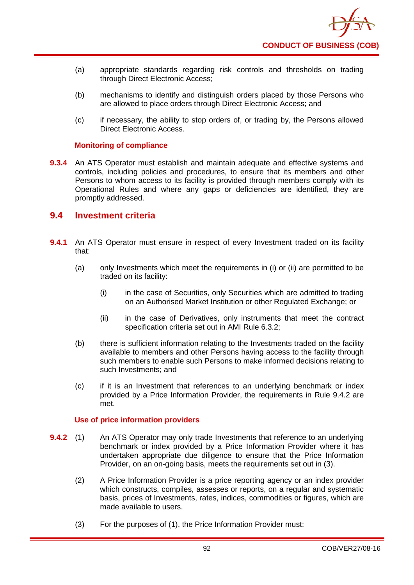- (a) appropriate standards regarding risk controls and thresholds on trading through Direct Electronic Access;
- (b) mechanisms to identify and distinguish orders placed by those Persons who are allowed to place orders through Direct Electronic Access; and
- (c) if necessary, the ability to stop orders of, or trading by, the Persons allowed Direct Electronic Access.

## **Monitoring of compliance**

**9.3.4** An ATS Operator must establish and maintain adequate and effective systems and controls, including policies and procedures, to ensure that its members and other Persons to whom access to its facility is provided through members comply with its Operational Rules and where any gaps or deficiencies are identified, they are promptly addressed.

# **9.4 Investment criteria**

- **9.4.1** An ATS Operator must ensure in respect of every Investment traded on its facility that:
	- (a) only Investments which meet the requirements in (i) or (ii) are permitted to be traded on its facility:
		- (i) in the case of Securities, only Securities which are admitted to trading on an Authorised Market Institution or other Regulated Exchange; or
		- (ii) in the case of Derivatives, only instruments that meet the contract specification criteria set out in AMI Rule 6.3.2;
	- (b) there is sufficient information relating to the Investments traded on the facility available to members and other Persons having access to the facility through such members to enable such Persons to make informed decisions relating to such Investments; and
	- (c) if it is an Investment that references to an underlying benchmark or index provided by a Price Information Provider, the requirements in Rule 9.4.2 are met.

# **Use of price information providers**

- **9.4.2** (1) An ATS Operator may only trade Investments that reference to an underlying benchmark or index provided by a Price Information Provider where it has undertaken appropriate due diligence to ensure that the Price Information Provider, on an on-going basis, meets the requirements set out in (3).
	- (2) A Price Information Provider is a price reporting agency or an index provider which constructs, compiles, assesses or reports, on a regular and systematic basis, prices of Investments, rates, indices, commodities or figures, which are made available to users.
	- (3) For the purposes of (1), the Price Information Provider must: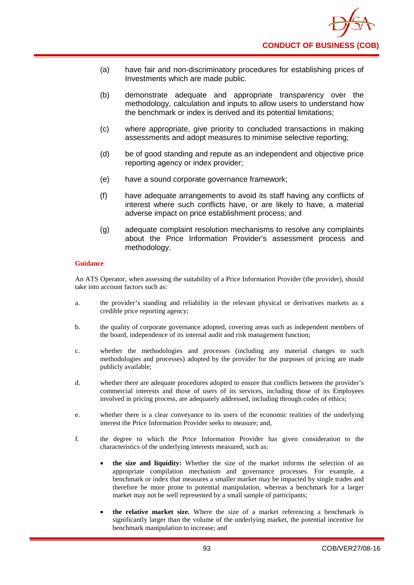- (a) have fair and non-discriminatory procedures for establishing prices of Investments which are made public.
- (b) demonstrate adequate and appropriate transparency over the methodology, calculation and inputs to allow users to understand how the benchmark or index is derived and its potential limitations;
- (c) where appropriate, give priority to concluded transactions in making assessments and adopt measures to minimise selective reporting;
- (d) be of good standing and repute as an independent and objective price reporting agency or index provider;
- (e) have a sound corporate governance framework;
- (f) have adequate arrangements to avoid its staff having any conflicts of interest where such conflicts have, or are likely to have, a material adverse impact on price establishment process; and
- (g) adequate complaint resolution mechanisms to resolve any complaints about the Price Information Provider's assessment process and methodology.

An ATS Operator, when assessing the suitability of a Price Information Provider (the provider), should take into account factors such as:

- a. the provider's standing and reliability in the relevant physical or derivatives markets as a credible price reporting agency;
- b. the quality of corporate governance adopted, covering areas such as independent members of the board, independence of its internal audit and risk management function;
- c. whether the methodologies and processes (including any material changes to such methodologies and processes) adopted by the provider for the purposes of pricing are made publicly available;
- d. whether there are adequate procedures adopted to ensure that conflicts between the provider's commercial interests and those of users of its services, including those of its Employees involved in pricing process, are adequately addressed, including through codes of ethics;
- e. whether there is a clear conveyance to its users of the economic realities of the underlying interest the Price Information Provider seeks to measure; and,
- f. the degree to which the Price Information Provider has given consideration to the characteristics of the underlying interests measured, such as:
	- **the size and liquidity:** Whether the size of the market informs the selection of an appropriate compilation mechanism and governance processes. For example, a benchmark or index that measures a smaller market may be impacted by single trades and therefore be more prone to potential manipulation, whereas a benchmark for a larger market may not be well represented by a small sample of participants;
	- **the relative market size.** Where the size of a market referencing a benchmark is significantly larger than the volume of the underlying market, the potential incentive for benchmark manipulation to increase; and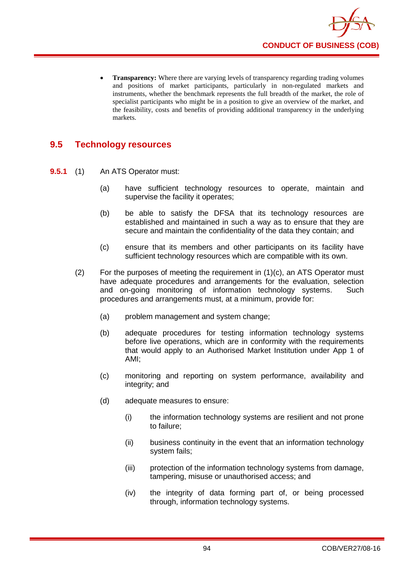

**Transparency:** Where there are varying levels of transparency regarding trading volumes and positions of market participants, particularly in non-regulated markets and instruments, whether the benchmark represents the full breadth of the market, the role of specialist participants who might be in a position to give an overview of the market, and the feasibility, costs and benefits of providing additional transparency in the underlying markets.

# **9.5 Technology resources**

- **9.5.1** (1) An ATS Operator must:
	- (a) have sufficient technology resources to operate, maintain and supervise the facility it operates;
	- (b) be able to satisfy the DFSA that its technology resources are established and maintained in such a way as to ensure that they are secure and maintain the confidentiality of the data they contain; and
	- (c) ensure that its members and other participants on its facility have sufficient technology resources which are compatible with its own.
	- $(2)$  For the purposes of meeting the requirement in  $(1)(c)$ , an ATS Operator must have adequate procedures and arrangements for the evaluation, selection and on-going monitoring of information technology systems. Such procedures and arrangements must, at a minimum, provide for:
		- (a) problem management and system change;
		- (b) adequate procedures for testing information technology systems before live operations, which are in conformity with the requirements that would apply to an Authorised Market Institution under App 1 of AMI;
		- (c) monitoring and reporting on system performance, availability and integrity; and
		- (d) adequate measures to ensure:
			- (i) the information technology systems are resilient and not prone to failure;
			- (ii) business continuity in the event that an information technology system fails;
			- (iii) protection of the information technology systems from damage, tampering, misuse or unauthorised access; and
			- (iv) the integrity of data forming part of, or being processed through, information technology systems.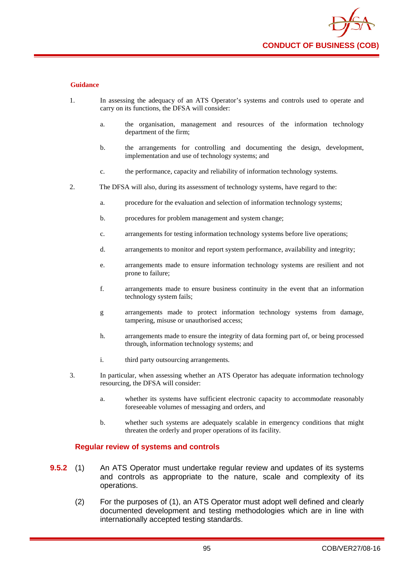

- 1. In assessing the adequacy of an ATS Operator's systems and controls used to operate and carry on its functions, the DFSA will consider:
	- a. the organisation, management and resources of the information technology department of the firm;
	- b. the arrangements for controlling and documenting the design, development, implementation and use of technology systems; and
	- c. the performance, capacity and reliability of information technology systems.
- 2. The DFSA will also, during its assessment of technology systems, have regard to the:
	- a. procedure for the evaluation and selection of information technology systems;
	- b. procedures for problem management and system change:
	- c. arrangements for testing information technology systems before live operations;
	- d. arrangements to monitor and report system performance, availability and integrity;
	- e. arrangements made to ensure information technology systems are resilient and not prone to failure;
	- f. arrangements made to ensure business continuity in the event that an information technology system fails;
	- g arrangements made to protect information technology systems from damage, tampering, misuse or unauthorised access;
	- h. arrangements made to ensure the integrity of data forming part of, or being processed through, information technology systems; and
	- i. third party outsourcing arrangements.
- 3. In particular, when assessing whether an ATS Operator has adequate information technology resourcing, the DFSA will consider:
	- a. whether its systems have sufficient electronic capacity to accommodate reasonably foreseeable volumes of messaging and orders, and
	- b. whether such systems are adequately scalable in emergency conditions that might threaten the orderly and proper operations of its facility.

### **Regular review of systems and controls**

- **9.5.2** (1) An ATS Operator must undertake regular review and updates of its systems and controls as appropriate to the nature, scale and complexity of its operations.
	- (2) For the purposes of (1), an ATS Operator must adopt well defined and clearly documented development and testing methodologies which are in line with internationally accepted testing standards.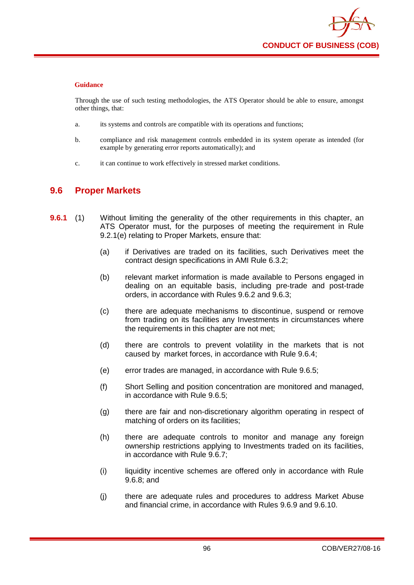Through the use of such testing methodologies, the ATS Operator should be able to ensure, amongst other things, that:

- a. its systems and controls are compatible with its operations and functions;
- b. compliance and risk management controls embedded in its system operate as intended (for example by generating error reports automatically); and
- c. it can continue to work effectively in stressed market conditions.

# **9.6 Proper Markets**

- **9.6.1** (1) Without limiting the generality of the other requirements in this chapter, an ATS Operator must, for the purposes of meeting the requirement in Rule 9.2.1(e) relating to Proper Markets, ensure that:
	- (a) if Derivatives are traded on its facilities, such Derivatives meet the contract design specifications in AMI Rule 6.3.2;
	- (b) relevant market information is made available to Persons engaged in dealing on an equitable basis, including pre-trade and post-trade orders, in accordance with Rules 9.6.2 and 9.6.3;
	- (c) there are adequate mechanisms to discontinue, suspend or remove from trading on its facilities any Investments in circumstances where the requirements in this chapter are not met;
	- (d) there are controls to prevent volatility in the markets that is not caused by market forces, in accordance with Rule 9.6.4;
	- (e) error trades are managed, in accordance with Rule 9.6.5;
	- (f) Short Selling and position concentration are monitored and managed, in accordance with Rule 9.6.5;
	- (g) there are fair and non-discretionary algorithm operating in respect of matching of orders on its facilities;
	- (h) there are adequate controls to monitor and manage any foreign ownership restrictions applying to Investments traded on its facilities, in accordance with Rule 9.6.7;
	- (i) liquidity incentive schemes are offered only in accordance with Rule 9.6.8; and
	- (j) there are adequate rules and procedures to address Market Abuse and financial crime, in accordance with Rules 9.6.9 and 9.6.10.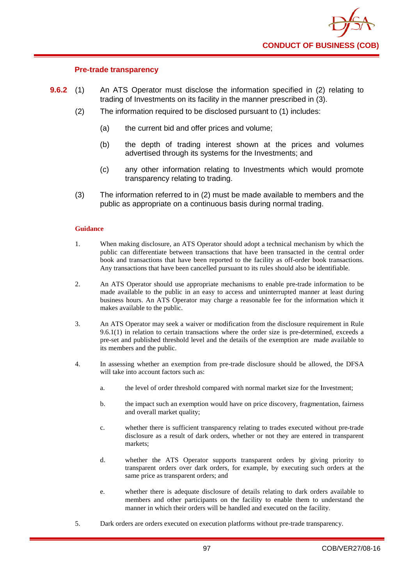

## **Pre-trade transparency**

- **9.6.2** (1) An ATS Operator must disclose the information specified in (2) relating to trading of Investments on its facility in the manner prescribed in (3).
	- (2) The information required to be disclosed pursuant to (1) includes:
		- (a) the current bid and offer prices and volume;
		- (b) the depth of trading interest shown at the prices and volumes advertised through its systems for the Investments; and
		- (c) any other information relating to Investments which would promote transparency relating to trading.
	- (3) The information referred to in (2) must be made available to members and the public as appropriate on a continuous basis during normal trading.

- 1. When making disclosure, an ATS Operator should adopt a technical mechanism by which the public can differentiate between transactions that have been transacted in the central order book and transactions that have been reported to the facility as off-order book transactions. Any transactions that have been cancelled pursuant to its rules should also be identifiable.
- 2. An ATS Operator should use appropriate mechanisms to enable pre-trade information to be made available to the public in an easy to access and uninterrupted manner at least during business hours. An ATS Operator may charge a reasonable fee for the information which it makes available to the public.
- 3. An ATS Operator may seek a waiver or modification from the disclosure requirement in Rule 9.6.1(1) in relation to certain transactions where the order size is pre-determined, exceeds a pre-set and published threshold level and the details of the exemption are made available to its members and the public.
- 4. In assessing whether an exemption from pre-trade disclosure should be allowed, the DFSA will take into account factors such as:
	- a. the level of order threshold compared with normal market size for the Investment;
	- b. the impact such an exemption would have on price discovery, fragmentation, fairness and overall market quality;
	- c. whether there is sufficient transparency relating to trades executed without pre-trade disclosure as a result of dark orders, whether or not they are entered in transparent markets;
	- d. whether the ATS Operator supports transparent orders by giving priority to transparent orders over dark orders, for example, by executing such orders at the same price as transparent orders; and
	- e. whether there is adequate disclosure of details relating to dark orders available to members and other participants on the facility to enable them to understand the manner in which their orders will be handled and executed on the facility.
- 5. Dark orders are orders executed on execution platforms without pre-trade transparency.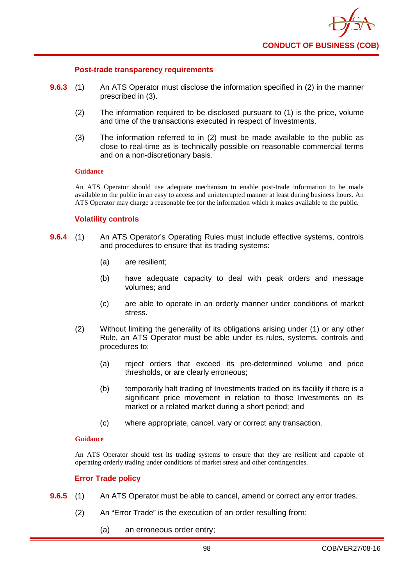

### **Post-trade transparency requirements**

- **9.6.3** (1) An ATS Operator must disclose the information specified in (2) in the manner prescribed in (3).
	- (2) The information required to be disclosed pursuant to (1) is the price, volume and time of the transactions executed in respect of Investments.
	- (3) The information referred to in (2) must be made available to the public as close to real-time as is technically possible on reasonable commercial terms and on a non-discretionary basis.

### **Guidance**

An ATS Operator should use adequate mechanism to enable post-trade information to be made available to the public in an easy to access and uninterrupted manner at least during business hours. An ATS Operator may charge a reasonable fee for the information which it makes available to the public.

### **Volatility controls**

- **9.6.4** (1) An ATS Operator's Operating Rules must include effective systems, controls and procedures to ensure that its trading systems:
	- (a) are resilient;
	- (b) have adequate capacity to deal with peak orders and message volumes; and
	- (c) are able to operate in an orderly manner under conditions of market stress.
	- (2) Without limiting the generality of its obligations arising under (1) or any other Rule, an ATS Operator must be able under its rules, systems, controls and procedures to:
		- (a) reject orders that exceed its pre-determined volume and price thresholds, or are clearly erroneous;
		- (b) temporarily halt trading of Investments traded on its facility if there is a significant price movement in relation to those Investments on its market or a related market during a short period; and
		- (c) where appropriate, cancel, vary or correct any transaction.

### **Guidance**

An ATS Operator should test its trading systems to ensure that they are resilient and capable of operating orderly trading under conditions of market stress and other contingencies.

## **Error Trade policy**

- **9.6.5** (1) An ATS Operator must be able to cancel, amend or correct any error trades.
	- (2) An "Error Trade" is the execution of an order resulting from:
		- (a) an erroneous order entry;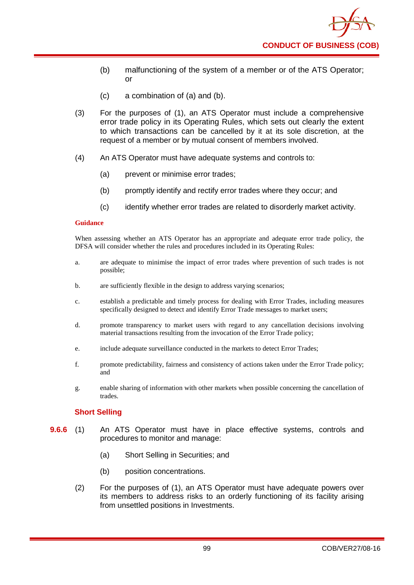- (b) malfunctioning of the system of a member or of the ATS Operator; or
- (c) a combination of (a) and (b).
- (3) For the purposes of (1), an ATS Operator must include a comprehensive error trade policy in its Operating Rules, which sets out clearly the extent to which transactions can be cancelled by it at its sole discretion, at the request of a member or by mutual consent of members involved.
- (4) An ATS Operator must have adequate systems and controls to:
	- (a) prevent or minimise error trades;
	- (b) promptly identify and rectify error trades where they occur; and
	- (c) identify whether error trades are related to disorderly market activity.

When assessing whether an ATS Operator has an appropriate and adequate error trade policy, the DFSA will consider whether the rules and procedures included in its Operating Rules:

- a. are adequate to minimise the impact of error trades where prevention of such trades is not possible;
- b. are sufficiently flexible in the design to address varying scenarios;
- c. establish a predictable and timely process for dealing with Error Trades, including measures specifically designed to detect and identify Error Trade messages to market users;
- d. promote transparency to market users with regard to any cancellation decisions involving material transactions resulting from the invocation of the Error Trade policy;
- e. include adequate surveillance conducted in the markets to detect Error Trades;
- f. promote predictability, fairness and consistency of actions taken under the Error Trade policy; and
- g. enable sharing of information with other markets when possible concerning the cancellation of trades.

# **Short Selling**

- **9.6.6** (1) An ATS Operator must have in place effective systems, controls and procedures to monitor and manage:
	- (a) Short Selling in Securities; and
	- (b) position concentrations.
	- (2) For the purposes of (1), an ATS Operator must have adequate powers over its members to address risks to an orderly functioning of its facility arising from unsettled positions in Investments.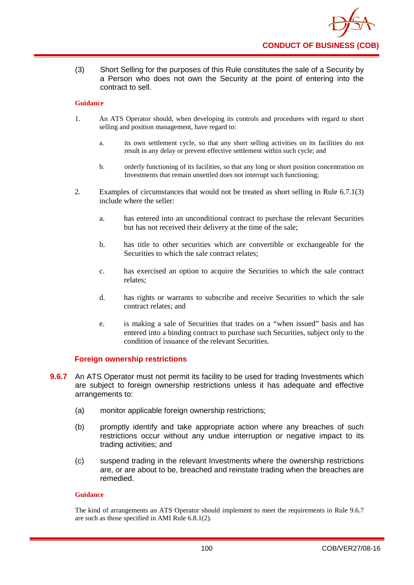

(3) Short Selling for the purposes of this Rule constitutes the sale of a Security by a Person who does not own the Security at the point of entering into the contract to sell.

### **Guidance**

- 1. An ATS Operator should, when developing its controls and procedures with regard to short selling and position management, have regard to:
	- a. its own settlement cycle, so that any short selling activities on its facilities do not result in any delay or prevent effective settlement within such cycle; and
	- b. orderly functioning of its facilities, so that any long or short position concentration on Investments that remain unsettled does not interrupt such functioning;
- 2. Examples of circumstances that would not be treated as short selling in Rule 6.7.1(3) include where the seller:
	- a. has entered into an unconditional contract to purchase the relevant Securities but has not received their delivery at the time of the sale;
	- b. has title to other securities which are convertible or exchangeable for the Securities to which the sale contract relates;
	- c. has exercised an option to acquire the Securities to which the sale contract relates;
	- d. has rights or warrants to subscribe and receive Securities to which the sale contract relates; and
	- e. is making a sale of Securities that trades on a "when issued" basis and has entered into a binding contract to purchase such Securities, subject only to the condition of issuance of the relevant Securities.

## **Foreign ownership restrictions**

- **9.6.7** An ATS Operator must not permit its facility to be used for trading Investments which are subject to foreign ownership restrictions unless it has adequate and effective arrangements to:
	- (a) monitor applicable foreign ownership restrictions;
	- (b) promptly identify and take appropriate action where any breaches of such restrictions occur without any undue interruption or negative impact to its trading activities; and
	- (c) suspend trading in the relevant Investments where the ownership restrictions are, or are about to be, breached and reinstate trading when the breaches are remedied.

### **Guidance**

The kind of arrangements an ATS Operator should implement to meet the requirements in Rule 9.6.7 are such as those specified in AMI Rule 6.8.1(2).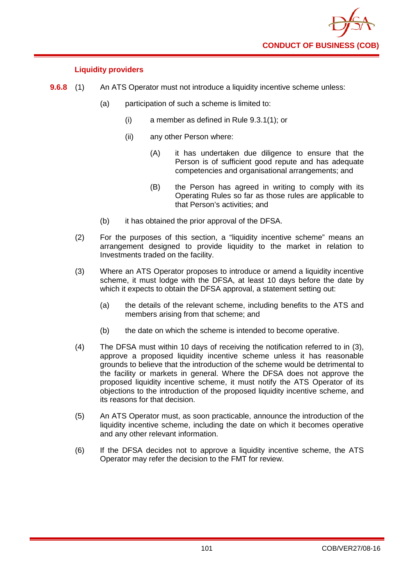

# **Liquidity providers**

- **9.6.8** (1) An ATS Operator must not introduce a liquidity incentive scheme unless:
	- (a) participation of such a scheme is limited to:
		- (i) a member as defined in Rule 9.3.1(1); or
		- (ii) any other Person where:
			- (A) it has undertaken due diligence to ensure that the Person is of sufficient good repute and has adequate competencies and organisational arrangements; and
			- (B) the Person has agreed in writing to comply with its Operating Rules so far as those rules are applicable to that Person's activities; and
	- (b) it has obtained the prior approval of the DFSA.
	- (2) For the purposes of this section, a "liquidity incentive scheme" means an arrangement designed to provide liquidity to the market in relation to Investments traded on the facility.
	- (3) Where an ATS Operator proposes to introduce or amend a liquidity incentive scheme, it must lodge with the DFSA, at least 10 days before the date by which it expects to obtain the DFSA approval, a statement setting out:
		- (a) the details of the relevant scheme, including benefits to the ATS and members arising from that scheme; and
		- (b) the date on which the scheme is intended to become operative.
	- (4) The DFSA must within 10 days of receiving the notification referred to in (3), approve a proposed liquidity incentive scheme unless it has reasonable grounds to believe that the introduction of the scheme would be detrimental to the facility or markets in general. Where the DFSA does not approve the proposed liquidity incentive scheme, it must notify the ATS Operator of its objections to the introduction of the proposed liquidity incentive scheme, and its reasons for that decision.
	- (5) An ATS Operator must, as soon practicable, announce the introduction of the liquidity incentive scheme, including the date on which it becomes operative and any other relevant information.
	- (6) If the DFSA decides not to approve a liquidity incentive scheme, the ATS Operator may refer the decision to the FMT for review.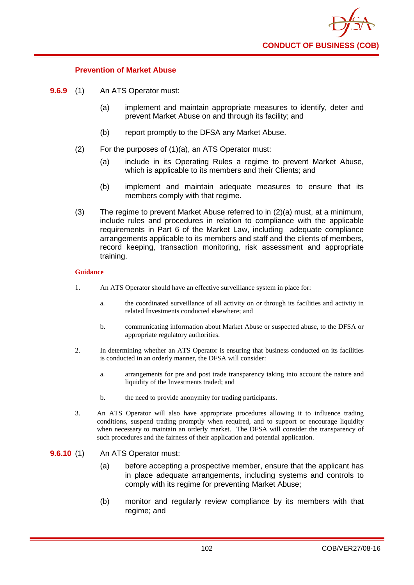

## **Prevention of Market Abuse**

- **9.6.9** (1) An ATS Operator must:
	- (a) implement and maintain appropriate measures to identify, deter and prevent Market Abuse on and through its facility; and
	- (b) report promptly to the DFSA any Market Abuse.
	- (2) For the purposes of (1)(a), an ATS Operator must:
		- (a) include in its Operating Rules a regime to prevent Market Abuse, which is applicable to its members and their Clients; and
		- (b) implement and maintain adequate measures to ensure that its members comply with that regime.
	- (3) The regime to prevent Market Abuse referred to in (2)(a) must, at a minimum, include rules and procedures in relation to compliance with the applicable requirements in Part 6 of the Market Law, including adequate compliance arrangements applicable to its members and staff and the clients of members, record keeping, transaction monitoring, risk assessment and appropriate training.

- 1. An ATS Operator should have an effective surveillance system in place for:
	- a. the coordinated surveillance of all activity on or through its facilities and activity in related Investments conducted elsewhere; and
	- b. communicating information about Market Abuse or suspected abuse, to the DFSA or appropriate regulatory authorities.
- 2. In determining whether an ATS Operator is ensuring that business conducted on its facilities is conducted in an orderly manner, the DFSA will consider:
	- a. arrangements for pre and post trade transparency taking into account the nature and liquidity of the Investments traded; and
	- b. the need to provide anonymity for trading participants.
- 3. An ATS Operator will also have appropriate procedures allowing it to influence trading conditions, suspend trading promptly when required, and to support or encourage liquidity when necessary to maintain an orderly market. The DFSA will consider the transparency of such procedures and the fairness of their application and potential application.
- **9.6.10** (1) An ATS Operator must:
	- (a) before accepting a prospective member, ensure that the applicant has in place adequate arrangements, including systems and controls to comply with its regime for preventing Market Abuse;
	- (b) monitor and regularly review compliance by its members with that regime; and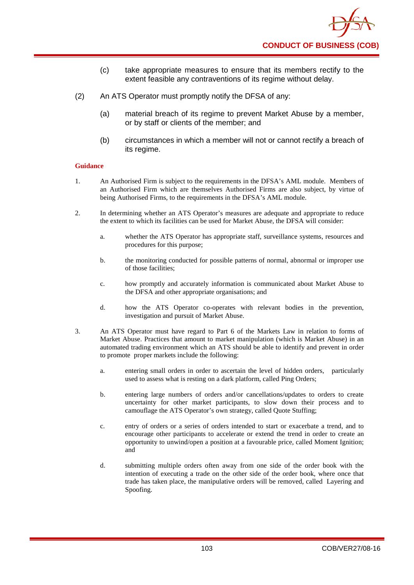- (c) take appropriate measures to ensure that its members rectify to the extent feasible any contraventions of its regime without delay.
- (2) An ATS Operator must promptly notify the DFSA of any:
	- (a) material breach of its regime to prevent Market Abuse by a member, or by staff or clients of the member; and
	- (b) circumstances in which a member will not or cannot rectify a breach of its regime.

- 1. An Authorised Firm is subject to the requirements in the DFSA's AML module. Members of an Authorised Firm which are themselves Authorised Firms are also subject, by virtue of being Authorised Firms, to the requirements in the DFSA's AML module.
- 2. In determining whether an ATS Operator's measures are adequate and appropriate to reduce the extent to which its facilities can be used for Market Abuse, the DFSA will consider:
	- a. whether the ATS Operator has appropriate staff, surveillance systems, resources and procedures for this purpose;
	- b. the monitoring conducted for possible patterns of normal, abnormal or improper use of those facilities;
	- c. how promptly and accurately information is communicated about Market Abuse to the DFSA and other appropriate organisations; and
	- d. how the ATS Operator co-operates with relevant bodies in the prevention, investigation and pursuit of Market Abuse.
- 3. An ATS Operator must have regard to Part 6 of the Markets Law in relation to forms of Market Abuse. Practices that amount to market manipulation (which is Market Abuse) in an automated trading environment which an ATS should be able to identify and prevent in order to promote proper markets include the following:
	- a. entering small orders in order to ascertain the level of hidden orders, particularly used to assess what is resting on a dark platform, called Ping Orders;
	- b. entering large numbers of orders and/or cancellations/updates to orders to create uncertainty for other market participants, to slow down their process and to camouflage the ATS Operator's own strategy, called Quote Stuffing;
	- c. entry of orders or a series of orders intended to start or exacerbate a trend, and to encourage other participants to accelerate or extend the trend in order to create an opportunity to unwind/open a position at a favourable price, called Moment Ignition; and
	- d. submitting multiple orders often away from one side of the order book with the intention of executing a trade on the other side of the order book, where once that trade has taken place, the manipulative orders will be removed, called Layering and Spoofing.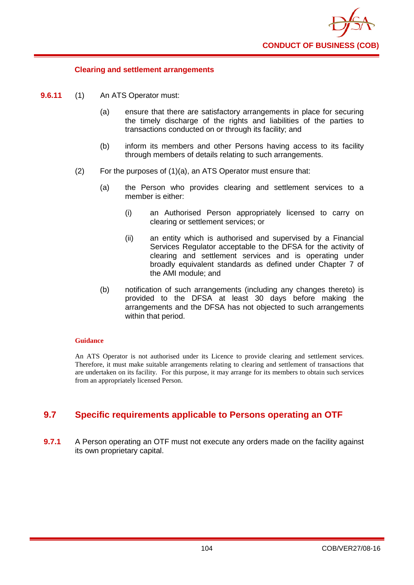

### **Clearing and settlement arrangements**

- **9.6.11** (1) An ATS Operator must:
	- (a) ensure that there are satisfactory arrangements in place for securing the timely discharge of the rights and liabilities of the parties to transactions conducted on or through its facility; and
	- (b) inform its members and other Persons having access to its facility through members of details relating to such arrangements.
	- (2) For the purposes of (1)(a), an ATS Operator must ensure that:
		- (a) the Person who provides clearing and settlement services to a member is either:
			- (i) an Authorised Person appropriately licensed to carry on clearing or settlement services; or
			- (ii) an entity which is authorised and supervised by a Financial Services Regulator acceptable to the DFSA for the activity of clearing and settlement services and is operating under broadly equivalent standards as defined under Chapter 7 of the AMI module; and
		- (b) notification of such arrangements (including any changes thereto) is provided to the DFSA at least 30 days before making the arrangements and the DFSA has not objected to such arrangements within that period.

#### **Guidance**

An ATS Operator is not authorised under its Licence to provide clearing and settlement services. Therefore, it must make suitable arrangements relating to clearing and settlement of transactions that are undertaken on its facility. For this purpose, it may arrange for its members to obtain such services from an appropriately licensed Person.

## **9.7 Specific requirements applicable to Persons operating an OTF**

**9.7.1** A Person operating an OTF must not execute any orders made on the facility against its own proprietary capital.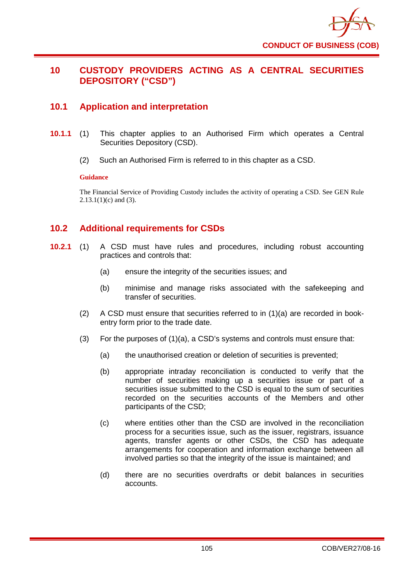

# **10 CUSTODY PROVIDERS ACTING AS A CENTRAL SECURITIES DEPOSITORY ("CSD")**

# **10.1 Application and interpretation**

- **10.1.1** (1) This chapter applies to an Authorised Firm which operates a Central Securities Depository (CSD).
	- (2) Such an Authorised Firm is referred to in this chapter as a CSD.

### **Guidance**

The Financial Service of Providing Custody includes the activity of operating a CSD. See GEN Rule  $2.13.1(1)(c)$  and (3).

## **10.2 Additional requirements for CSDs**

- **10.2.1** (1) A CSD must have rules and procedures, including robust accounting practices and controls that:
	- (a) ensure the integrity of the securities issues; and
	- (b) minimise and manage risks associated with the safekeeping and transfer of securities.
	- (2) A CSD must ensure that securities referred to in (1)(a) are recorded in bookentry form prior to the trade date.
	- (3) For the purposes of (1)(a), a CSD's systems and controls must ensure that:
		- (a) the unauthorised creation or deletion of securities is prevented;
		- (b) appropriate intraday reconciliation is conducted to verify that the number of securities making up a securities issue or part of a securities issue submitted to the CSD is equal to the sum of securities recorded on the securities accounts of the Members and other participants of the CSD;
		- (c) where entities other than the CSD are involved in the reconciliation process for a securities issue, such as the issuer, registrars, issuance agents, transfer agents or other CSDs, the CSD has adequate arrangements for cooperation and information exchange between all involved parties so that the integrity of the issue is maintained; and
		- (d) there are no securities overdrafts or debit balances in securities accounts.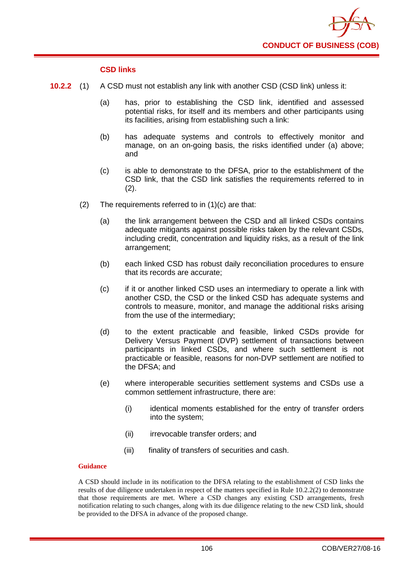

### **CSD links**

- **10.2.2** (1) A CSD must not establish any link with another CSD (CSD link) unless it:
	- (a) has, prior to establishing the CSD link, identified and assessed potential risks, for itself and its members and other participants using its facilities, arising from establishing such a link:
	- (b) has adequate systems and controls to effectively monitor and manage, on an on-going basis, the risks identified under (a) above; and
	- (c) is able to demonstrate to the DFSA, prior to the establishment of the CSD link, that the CSD link satisfies the requirements referred to in (2).
	- (2) The requirements referred to in (1)(c) are that:
		- (a) the link arrangement between the CSD and all linked CSDs contains adequate mitigants against possible risks taken by the relevant CSDs, including credit, concentration and liquidity risks, as a result of the link arrangement;
		- (b) each linked CSD has robust daily reconciliation procedures to ensure that its records are accurate;
		- (c) if it or another linked CSD uses an intermediary to operate a link with another CSD, the CSD or the linked CSD has adequate systems and controls to measure, monitor, and manage the additional risks arising from the use of the intermediary;
		- (d) to the extent practicable and feasible, linked CSDs provide for Delivery Versus Payment (DVP) settlement of transactions between participants in linked CSDs, and where such settlement is not practicable or feasible, reasons for non-DVP settlement are notified to the DFSA; and
		- (e) where interoperable securities settlement systems and CSDs use a common settlement infrastructure, there are:
			- (i) identical moments established for the entry of transfer orders into the system;
			- (ii) irrevocable transfer orders; and
			- (iii) finality of transfers of securities and cash.

### **Guidance**

A CSD should include in its notification to the DFSA relating to the establishment of CSD links the results of due diligence undertaken in respect of the matters specified in Rule 10.2.2(2) to demonstrate that those requirements are met. Where a CSD changes any existing CSD arrangements, fresh notification relating to such changes, along with its due diligence relating to the new CSD link, should be provided to the DFSA in advance of the proposed change.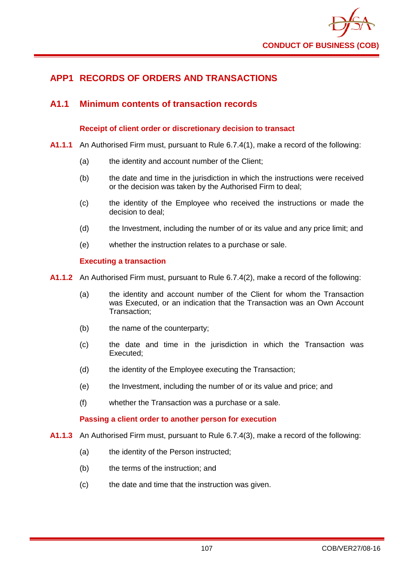

# **APP1 RECORDS OF ORDERS AND TRANSACTIONS**

## **A1.1 Minimum contents of transaction records**

### **Receipt of client order or discretionary decision to transact**

- **A1.1.1** An Authorised Firm must, pursuant to Rule 6.7.4(1), make a record of the following:
	- (a) the identity and account number of the Client;
	- (b) the date and time in the jurisdiction in which the instructions were received or the decision was taken by the Authorised Firm to deal;
	- (c) the identity of the Employee who received the instructions or made the decision to deal;
	- (d) the Investment, including the number of or its value and any price limit; and
	- (e) whether the instruction relates to a purchase or sale.

### **Executing a transaction**

**A1.1.2** An Authorised Firm must, pursuant to Rule 6.7.4(2), make a record of the following:

- (a) the identity and account number of the Client for whom the Transaction was Executed, or an indication that the Transaction was an Own Account Transaction;
- (b) the name of the counterparty;
- (c) the date and time in the jurisdiction in which the Transaction was Executed;
- (d) the identity of the Employee executing the Transaction;
- (e) the Investment, including the number of or its value and price; and
- (f) whether the Transaction was a purchase or a sale.

### **Passing a client order to another person for execution**

- **A1.1.3** An Authorised Firm must, pursuant to Rule 6.7.4(3), make a record of the following:
	- (a) the identity of the Person instructed;
	- (b) the terms of the instruction; and
	- (c) the date and time that the instruction was given.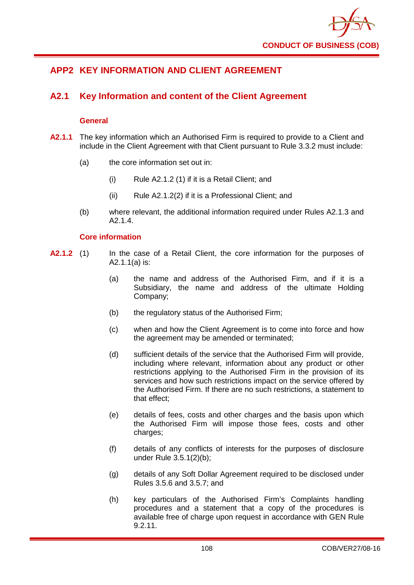

# **APP2 KEY INFORMATION AND CLIENT AGREEMENT**

# **A2.1 Key Information and content of the Client Agreement**

### **General**

- **A2.1.1** The key information which an Authorised Firm is required to provide to a Client and include in the Client Agreement with that Client pursuant to Rule 3.3.2 must include:
	- (a) the core information set out in:
		- (i) Rule A2.1.2 (1) if it is a Retail Client; and
		- (ii) Rule A2.1.2(2) if it is a Professional Client; and
	- (b) where relevant, the additional information required under Rules A2.1.3 and A2.1.4.

### **Core information**

- **A2.1.2** (1) In the case of a Retail Client, the core information for the purposes of A2.1.1(a) is:
	- (a) the name and address of the Authorised Firm, and if it is a Subsidiary, the name and address of the ultimate Holding Company;
	- (b) the regulatory status of the Authorised Firm;
	- (c) when and how the Client Agreement is to come into force and how the agreement may be amended or terminated;
	- (d) sufficient details of the service that the Authorised Firm will provide, including where relevant, information about any product or other restrictions applying to the Authorised Firm in the provision of its services and how such restrictions impact on the service offered by the Authorised Firm. If there are no such restrictions, a statement to that effect;
	- (e) details of fees, costs and other charges and the basis upon which the Authorised Firm will impose those fees, costs and other charges:
	- (f) details of any conflicts of interests for the purposes of disclosure under Rule 3.5.1(2)(b);
	- (g) details of any Soft Dollar Agreement required to be disclosed under Rules 3.5.6 and 3.5.7; and
	- (h) key particulars of the Authorised Firm's Complaints handling procedures and a statement that a copy of the procedures is available free of charge upon request in accordance with GEN Rule 9.2.11.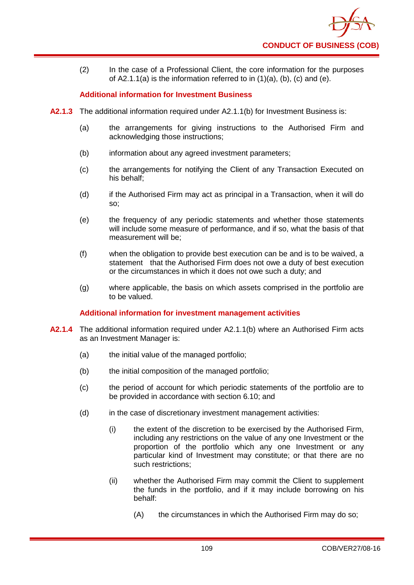

(2) In the case of a Professional Client, the core information for the purposes of  $A2.1.1(a)$  is the information referred to in  $(1)(a)$ ,  $(b)$ ,  $(c)$  and  $(e)$ .

### **Additional information for Investment Business**

- **A2.1.3** The additional information required under A2.1.1(b) for Investment Business is:
	- (a) the arrangements for giving instructions to the Authorised Firm and acknowledging those instructions;
	- (b) information about any agreed investment parameters;
	- (c) the arrangements for notifying the Client of any Transaction Executed on his behalf;
	- (d) if the Authorised Firm may act as principal in a Transaction, when it will do so;
	- (e) the frequency of any periodic statements and whether those statements will include some measure of performance, and if so, what the basis of that measurement will be;
	- (f) when the obligation to provide best execution can be and is to be waived, a statement that the Authorised Firm does not owe a duty of best execution or the circumstances in which it does not owe such a duty; and
	- (g) where applicable, the basis on which assets comprised in the portfolio are to be valued.

### **Additional information for investment management activities**

- **A2.1.4** The additional information required under A2.1.1(b) where an Authorised Firm acts as an Investment Manager is:
	- (a) the initial value of the managed portfolio;
	- (b) the initial composition of the managed portfolio;
	- (c) the period of account for which periodic statements of the portfolio are to be provided in accordance with section 6.10; and
	- (d) in the case of discretionary investment management activities:
		- (i) the extent of the discretion to be exercised by the Authorised Firm, including any restrictions on the value of any one Investment or the proportion of the portfolio which any one Investment or any particular kind of Investment may constitute; or that there are no such restrictions;
		- (ii) whether the Authorised Firm may commit the Client to supplement the funds in the portfolio, and if it may include borrowing on his behalf:
			- (A) the circumstances in which the Authorised Firm may do so;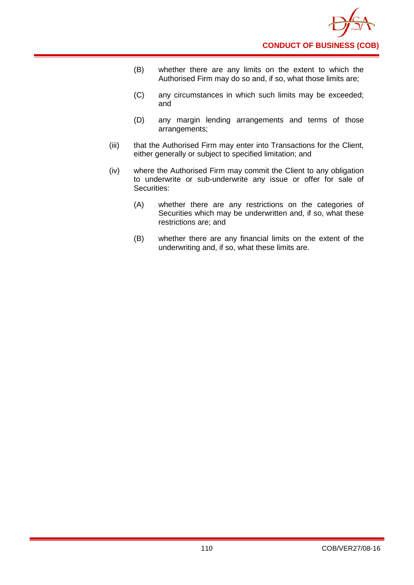- (B) whether there are any limits on the extent to which the Authorised Firm may do so and, if so, what those limits are;
- (C) any circumstances in which such limits may be exceeded; and
- (D) any margin lending arrangements and terms of those arrangements;
- (iii) that the Authorised Firm may enter into Transactions for the Client, either generally or subject to specified limitation; and
- (iv) where the Authorised Firm may commit the Client to any obligation to underwrite or sub-underwrite any issue or offer for sale of Securities:
	- (A) whether there are any restrictions on the categories of Securities which may be underwritten and, if so, what these restrictions are; and
	- (B) whether there are any financial limits on the extent of the underwriting and, if so, what these limits are.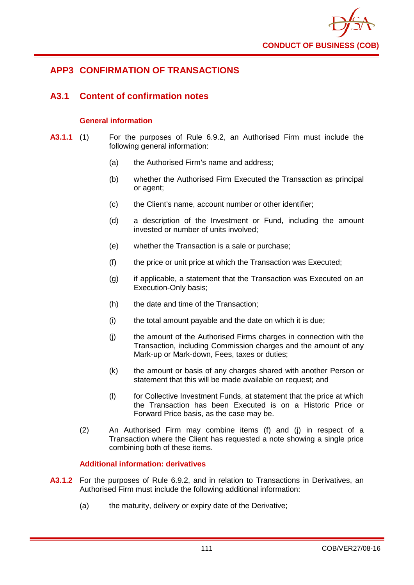

# **APP3 CONFIRMATION OF TRANSACTIONS**

## **A3.1 Content of confirmation notes**

### **General information**

- **A3.1.1** (1) For the purposes of Rule 6.9.2, an Authorised Firm must include the following general information:
	- (a) the Authorised Firm's name and address;
	- (b) whether the Authorised Firm Executed the Transaction as principal or agent;
	- (c) the Client's name, account number or other identifier;
	- (d) a description of the Investment or Fund, including the amount invested or number of units involved;
	- (e) whether the Transaction is a sale or purchase;
	- (f) the price or unit price at which the Transaction was Executed;
	- (g) if applicable, a statement that the Transaction was Executed on an Execution-Only basis;
	- (h) the date and time of the Transaction;
	- (i) the total amount payable and the date on which it is due;
	- (j) the amount of the Authorised Firms charges in connection with the Transaction, including Commission charges and the amount of any Mark-up or Mark-down, Fees, taxes or duties;
	- (k) the amount or basis of any charges shared with another Person or statement that this will be made available on request; and
	- (l) for Collective Investment Funds, at statement that the price at which the Transaction has been Executed is on a Historic Price or Forward Price basis, as the case may be.
	- (2) An Authorised Firm may combine items (f) and (j) in respect of a Transaction where the Client has requested a note showing a single price combining both of these items.

### **Additional information: derivatives**

- **A3.1.2** For the purposes of Rule 6.9.2, and in relation to Transactions in Derivatives, an Authorised Firm must include the following additional information:
	- (a) the maturity, delivery or expiry date of the Derivative;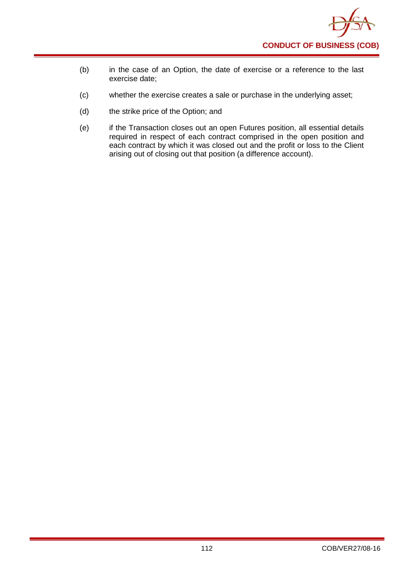

- (b) in the case of an Option, the date of exercise or a reference to the last exercise date;
- (c) whether the exercise creates a sale or purchase in the underlying asset;
- (d) the strike price of the Option; and
- (e) if the Transaction closes out an open Futures position, all essential details required in respect of each contract comprised in the open position and each contract by which it was closed out and the profit or loss to the Client arising out of closing out that position (a difference account).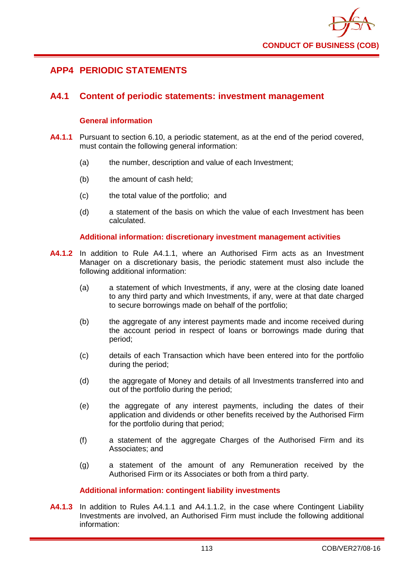

# **APP4 PERIODIC STATEMENTS**

## **A4.1 Content of periodic statements: investment management**

### **General information**

- **A4.1.1** Pursuant to section 6.10, a periodic statement, as at the end of the period covered, must contain the following general information:
	- (a) the number, description and value of each Investment;
	- (b) the amount of cash held;
	- (c) the total value of the portfolio; and
	- (d) a statement of the basis on which the value of each Investment has been calculated.

### **Additional information: discretionary investment management activities**

- **A4.1.2** In addition to Rule A4.1.1, where an Authorised Firm acts as an Investment Manager on a discretionary basis, the periodic statement must also include the following additional information:
	- (a) a statement of which Investments, if any, were at the closing date loaned to any third party and which Investments, if any, were at that date charged to secure borrowings made on behalf of the portfolio;
	- (b) the aggregate of any interest payments made and income received during the account period in respect of loans or borrowings made during that period;
	- (c) details of each Transaction which have been entered into for the portfolio during the period;
	- (d) the aggregate of Money and details of all Investments transferred into and out of the portfolio during the period;
	- (e) the aggregate of any interest payments, including the dates of their application and dividends or other benefits received by the Authorised Firm for the portfolio during that period;
	- (f) a statement of the aggregate Charges of the Authorised Firm and its Associates; and
	- (g) a statement of the amount of any Remuneration received by the Authorised Firm or its Associates or both from a third party.

### **Additional information: contingent liability investments**

**A4.1.3** In addition to Rules A4.1.1 and A4.1.1.2, in the case where Contingent Liability Investments are involved, an Authorised Firm must include the following additional information: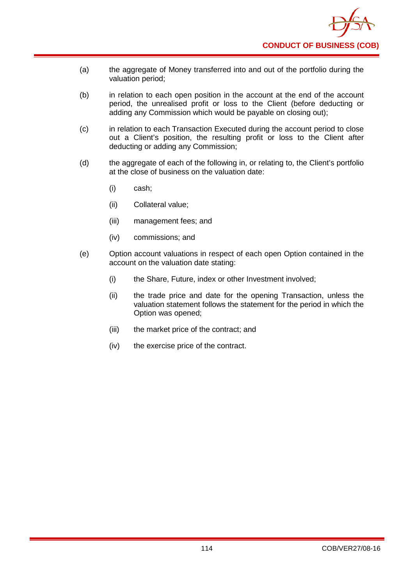

- (a) the aggregate of Money transferred into and out of the portfolio during the valuation period;
- (b) in relation to each open position in the account at the end of the account period, the unrealised profit or loss to the Client (before deducting or adding any Commission which would be payable on closing out);
- (c) in relation to each Transaction Executed during the account period to close out a Client's position, the resulting profit or loss to the Client after deducting or adding any Commission;
- (d) the aggregate of each of the following in, or relating to, the Client's portfolio at the close of business on the valuation date:
	- (i) cash;
	- (ii) Collateral value;
	- (iii) management fees; and
	- (iv) commissions; and
- (e) Option account valuations in respect of each open Option contained in the account on the valuation date stating:
	- (i) the Share, Future, index or other Investment involved;
	- (ii) the trade price and date for the opening Transaction, unless the valuation statement follows the statement for the period in which the Option was opened;
	- (iii) the market price of the contract; and
	- (iv) the exercise price of the contract.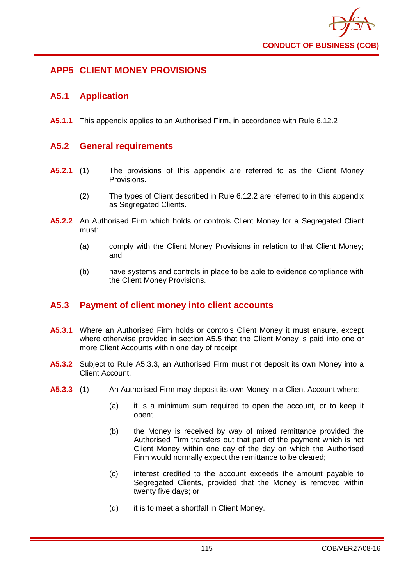

# **APP5 CLIENT MONEY PROVISIONS**

## **A5.1 Application**

**A5.1.1** This appendix applies to an Authorised Firm, in accordance with Rule 6.12.2

## **A5.2 General requirements**

- **A5.2.1** (1) The provisions of this appendix are referred to as the Client Money Provisions.
	- (2) The types of Client described in Rule 6.12.2 are referred to in this appendix as Segregated Clients.
- **A5.2.2** An Authorised Firm which holds or controls Client Money for a Segregated Client must:
	- (a) comply with the Client Money Provisions in relation to that Client Money; and
	- (b) have systems and controls in place to be able to evidence compliance with the Client Money Provisions.

## **A5.3 Payment of client money into client accounts**

- **A5.3.1** Where an Authorised Firm holds or controls Client Money it must ensure, except where otherwise provided in section A5.5 that the Client Money is paid into one or more Client Accounts within one day of receipt.
- **A5.3.2** Subject to Rule A5.3.3, an Authorised Firm must not deposit its own Money into a Client Account.
- **A5.3.3** (1) An Authorised Firm may deposit its own Money in a Client Account where:
	- (a) it is a minimum sum required to open the account, or to keep it open;
	- (b) the Money is received by way of mixed remittance provided the Authorised Firm transfers out that part of the payment which is not Client Money within one day of the day on which the Authorised Firm would normally expect the remittance to be cleared;
	- (c) interest credited to the account exceeds the amount payable to Segregated Clients, provided that the Money is removed within twenty five days; or
	- (d) it is to meet a shortfall in Client Money.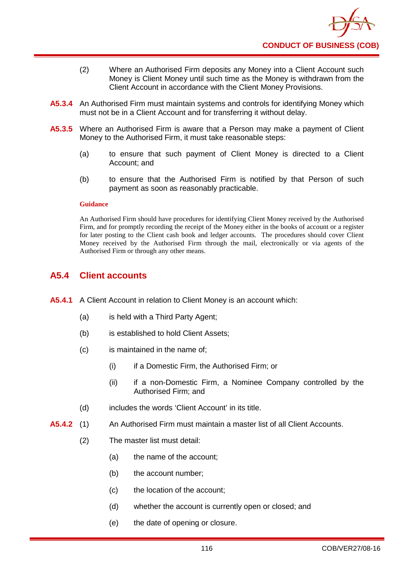- (2) Where an Authorised Firm deposits any Money into a Client Account such Money is Client Money until such time as the Money is withdrawn from the Client Account in accordance with the Client Money Provisions.
- **A5.3.4** An Authorised Firm must maintain systems and controls for identifying Money which must not be in a Client Account and for transferring it without delay.
- **A5.3.5** Where an Authorised Firm is aware that a Person may make a payment of Client Money to the Authorised Firm, it must take reasonable steps:
	- (a) to ensure that such payment of Client Money is directed to a Client Account; and
	- (b) to ensure that the Authorised Firm is notified by that Person of such payment as soon as reasonably practicable.

An Authorised Firm should have procedures for identifying Client Money received by the Authorised Firm, and for promptly recording the receipt of the Money either in the books of account or a register for later posting to the Client cash book and ledger accounts. The procedures should cover Client Money received by the Authorised Firm through the mail, electronically or via agents of the Authorised Firm or through any other means.

## **A5.4 Client accounts**

- **A5.4.1** A Client Account in relation to Client Money is an account which:
	- (a) is held with a Third Party Agent;
	- (b) is established to hold Client Assets;
	- (c) is maintained in the name of;
		- (i) if a Domestic Firm, the Authorised Firm; or
		- (ii) if a non-Domestic Firm, a Nominee Company controlled by the Authorised Firm; and
	- (d) includes the words 'Client Account' in its title.
- **A5.4.2** (1) An Authorised Firm must maintain a master list of all Client Accounts.
	- (2) The master list must detail:
		- (a) the name of the account;
		- (b) the account number;
		- (c) the location of the account;
		- (d) whether the account is currently open or closed; and
		- (e) the date of opening or closure.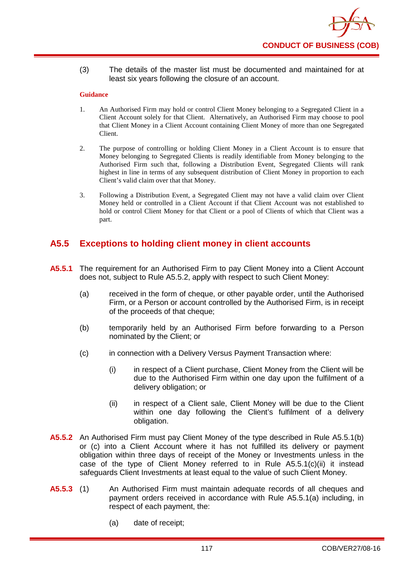(3) The details of the master list must be documented and maintained for at least six years following the closure of an account.

#### **Guidance**

- 1. An Authorised Firm may hold or control Client Money belonging to a Segregated Client in a Client Account solely for that Client. Alternatively, an Authorised Firm may choose to pool that Client Money in a Client Account containing Client Money of more than one Segregated Client.
- 2. The purpose of controlling or holding Client Money in a Client Account is to ensure that Money belonging to Segregated Clients is readily identifiable from Money belonging to the Authorised Firm such that, following a Distribution Event, Segregated Clients will rank highest in line in terms of any subsequent distribution of Client Money in proportion to each Client's valid claim over that that Money.
- 3. Following a Distribution Event, a Segregated Client may not have a valid claim over Client Money held or controlled in a Client Account if that Client Account was not established to hold or control Client Money for that Client or a pool of Clients of which that Client was a part.

## **A5.5 Exceptions to holding client money in client accounts**

- **A5.5.1** The requirement for an Authorised Firm to pay Client Money into a Client Account does not, subject to Rule A5.5.2, apply with respect to such Client Money:
	- (a) received in the form of cheque, or other payable order, until the Authorised Firm, or a Person or account controlled by the Authorised Firm, is in receipt of the proceeds of that cheque;
	- (b) temporarily held by an Authorised Firm before forwarding to a Person nominated by the Client; or
	- (c) in connection with a Delivery Versus Payment Transaction where:
		- (i) in respect of a Client purchase, Client Money from the Client will be due to the Authorised Firm within one day upon the fulfilment of a delivery obligation; or
		- (ii) in respect of a Client sale, Client Money will be due to the Client within one day following the Client's fulfilment of a delivery obligation.
- **A5.5.2** An Authorised Firm must pay Client Money of the type described in Rule A5.5.1(b) or (c) into a Client Account where it has not fulfilled its delivery or payment obligation within three days of receipt of the Money or Investments unless in the case of the type of Client Money referred to in Rule A5.5.1(c)(ii) it instead safeguards Client Investments at least equal to the value of such Client Money.
- **A5.5.3** (1) An Authorised Firm must maintain adequate records of all cheques and payment orders received in accordance with Rule A5.5.1(a) including, in respect of each payment, the:
	- (a) date of receipt;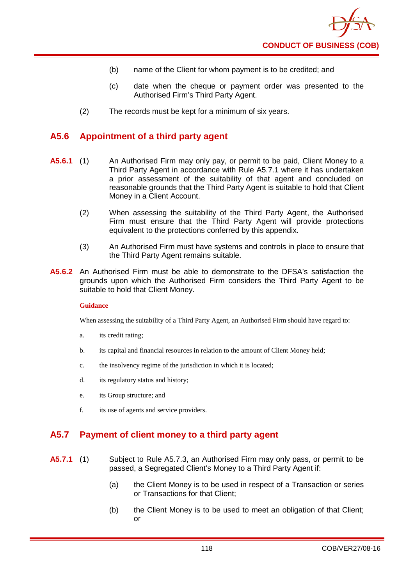- (b) name of the Client for whom payment is to be credited; and
- (c) date when the cheque or payment order was presented to the Authorised Firm's Third Party Agent.
- (2) The records must be kept for a minimum of six years.

## **A5.6 Appointment of a third party agent**

- **A5.6.1** (1) An Authorised Firm may only pay, or permit to be paid, Client Money to a Third Party Agent in accordance with Rule A5.7.1 where it has undertaken a prior assessment of the suitability of that agent and concluded on reasonable grounds that the Third Party Agent is suitable to hold that Client Money in a Client Account.
	- (2) When assessing the suitability of the Third Party Agent, the Authorised Firm must ensure that the Third Party Agent will provide protections equivalent to the protections conferred by this appendix.
	- (3) An Authorised Firm must have systems and controls in place to ensure that the Third Party Agent remains suitable.
- **A5.6.2** An Authorised Firm must be able to demonstrate to the DFSA's satisfaction the grounds upon which the Authorised Firm considers the Third Party Agent to be suitable to hold that Client Money.

#### **Guidance**

When assessing the suitability of a Third Party Agent, an Authorised Firm should have regard to:

- a. its credit rating;
- b. its capital and financial resources in relation to the amount of Client Money held;
- c. the insolvency regime of the jurisdiction in which it is located;
- d. its regulatory status and history;
- e. its Group structure; and
- f. its use of agents and service providers.

## **A5.7 Payment of client money to a third party agent**

- **A5.7.1** (1) Subject to Rule A5.7.3, an Authorised Firm may only pass, or permit to be passed, a Segregated Client's Money to a Third Party Agent if:
	- (a) the Client Money is to be used in respect of a Transaction or series or Transactions for that Client;
	- (b) the Client Money is to be used to meet an obligation of that Client; or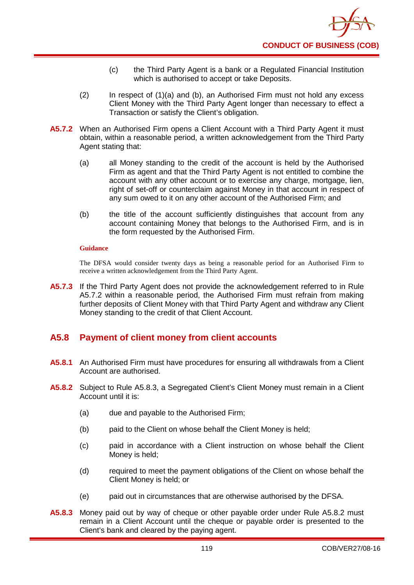- (c) the Third Party Agent is a bank or a Regulated Financial Institution which is authorised to accept or take Deposits.
- (2) In respect of (1)(a) and (b), an Authorised Firm must not hold any excess Client Money with the Third Party Agent longer than necessary to effect a Transaction or satisfy the Client's obligation.
- **A5.7.2** When an Authorised Firm opens a Client Account with a Third Party Agent it must obtain, within a reasonable period, a written acknowledgement from the Third Party Agent stating that:
	- (a) all Money standing to the credit of the account is held by the Authorised Firm as agent and that the Third Party Agent is not entitled to combine the account with any other account or to exercise any charge, mortgage, lien, right of set-off or counterclaim against Money in that account in respect of any sum owed to it on any other account of the Authorised Firm; and
	- (b) the title of the account sufficiently distinguishes that account from any account containing Money that belongs to the Authorised Firm, and is in the form requested by the Authorised Firm.

The DFSA would consider twenty days as being a reasonable period for an Authorised Firm to receive a written acknowledgement from the Third Party Agent.

**A5.7.3** If the Third Party Agent does not provide the acknowledgement referred to in Rule A5.7.2 within a reasonable period, the Authorised Firm must refrain from making further deposits of Client Money with that Third Party Agent and withdraw any Client Money standing to the credit of that Client Account.

## **A5.8 Payment of client money from client accounts**

- **A5.8.1** An Authorised Firm must have procedures for ensuring all withdrawals from a Client Account are authorised.
- **A5.8.2** Subject to Rule A5.8.3, a Segregated Client's Client Money must remain in a Client Account until it is:
	- (a) due and payable to the Authorised Firm;
	- (b) paid to the Client on whose behalf the Client Money is held;
	- (c) paid in accordance with a Client instruction on whose behalf the Client Money is held;
	- (d) required to meet the payment obligations of the Client on whose behalf the Client Money is held; or
	- (e) paid out in circumstances that are otherwise authorised by the DFSA.
- **A5.8.3** Money paid out by way of cheque or other payable order under Rule A5.8.2 must remain in a Client Account until the cheque or payable order is presented to the Client's bank and cleared by the paying agent.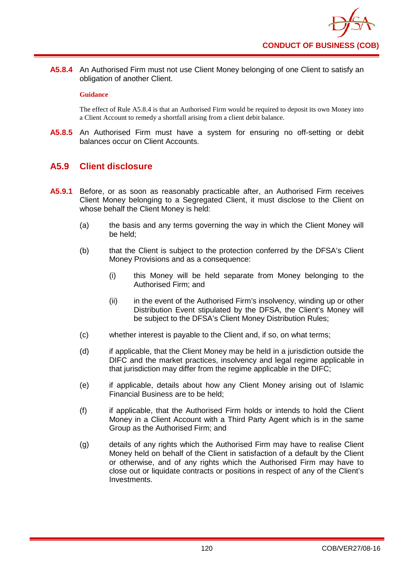**A5.8.4** An Authorised Firm must not use Client Money belonging of one Client to satisfy an obligation of another Client.

### **Guidance**

The effect of Rule A5.8.4 is that an Authorised Firm would be required to deposit its own Money into a Client Account to remedy a shortfall arising from a client debit balance.

**A5.8.5** An Authorised Firm must have a system for ensuring no off-setting or debit balances occur on Client Accounts.

## **A5.9 Client disclosure**

- **A5.9.1** Before, or as soon as reasonably practicable after, an Authorised Firm receives Client Money belonging to a Segregated Client, it must disclose to the Client on whose behalf the Client Money is held:
	- (a) the basis and any terms governing the way in which the Client Money will be held;
	- (b) that the Client is subject to the protection conferred by the DFSA's Client Money Provisions and as a consequence:
		- (i) this Money will be held separate from Money belonging to the Authorised Firm; and
		- (ii) in the event of the Authorised Firm's insolvency, winding up or other Distribution Event stipulated by the DFSA, the Client's Money will be subject to the DFSA's Client Money Distribution Rules;
	- (c) whether interest is payable to the Client and, if so, on what terms;
	- (d) if applicable, that the Client Money may be held in a jurisdiction outside the DIFC and the market practices, insolvency and legal regime applicable in that jurisdiction may differ from the regime applicable in the DIFC;
	- (e) if applicable, details about how any Client Money arising out of Islamic Financial Business are to be held;
	- (f) if applicable, that the Authorised Firm holds or intends to hold the Client Money in a Client Account with a Third Party Agent which is in the same Group as the Authorised Firm; and
	- (g) details of any rights which the Authorised Firm may have to realise Client Money held on behalf of the Client in satisfaction of a default by the Client or otherwise, and of any rights which the Authorised Firm may have to close out or liquidate contracts or positions in respect of any of the Client's Investments.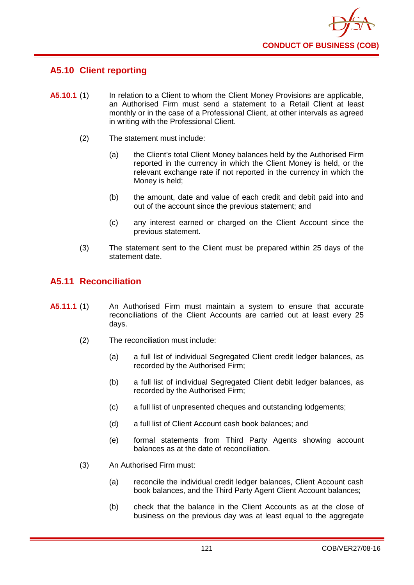

# **A5.10 Client reporting**

- **A5.10.1** (1) In relation to a Client to whom the Client Money Provisions are applicable, an Authorised Firm must send a statement to a Retail Client at least monthly or in the case of a Professional Client, at other intervals as agreed in writing with the Professional Client.
	- (2) The statement must include:
		- (a) the Client's total Client Money balances held by the Authorised Firm reported in the currency in which the Client Money is held, or the relevant exchange rate if not reported in the currency in which the Money is held;
		- (b) the amount, date and value of each credit and debit paid into and out of the account since the previous statement; and
		- (c) any interest earned or charged on the Client Account since the previous statement.
	- (3) The statement sent to the Client must be prepared within 25 days of the statement date.

## **A5.11 Reconciliation**

- **A5.11.1** (1) An Authorised Firm must maintain a system to ensure that accurate reconciliations of the Client Accounts are carried out at least every 25 days.
	- (2) The reconciliation must include:
		- (a) a full list of individual Segregated Client credit ledger balances, as recorded by the Authorised Firm;
		- (b) a full list of individual Segregated Client debit ledger balances, as recorded by the Authorised Firm;
		- (c) a full list of unpresented cheques and outstanding lodgements;
		- (d) a full list of Client Account cash book balances; and
		- (e) formal statements from Third Party Agents showing account balances as at the date of reconciliation.
	- (3) An Authorised Firm must:
		- (a) reconcile the individual credit ledger balances, Client Account cash book balances, and the Third Party Agent Client Account balances;
		- (b) check that the balance in the Client Accounts as at the close of business on the previous day was at least equal to the aggregate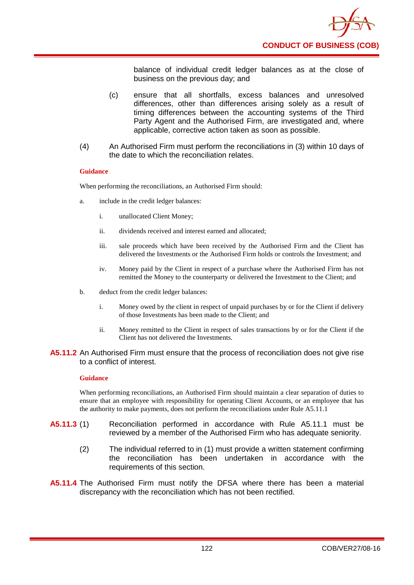balance of individual credit ledger balances as at the close of business on the previous day; and

- (c) ensure that all shortfalls, excess balances and unresolved differences, other than differences arising solely as a result of timing differences between the accounting systems of the Third Party Agent and the Authorised Firm, are investigated and, where applicable, corrective action taken as soon as possible.
- (4) An Authorised Firm must perform the reconciliations in (3) within 10 days of the date to which the reconciliation relates.

### **Guidance**

When performing the reconciliations, an Authorised Firm should:

- a. include in the credit ledger balances:
	- i. unallocated Client Money;
	- ii. dividends received and interest earned and allocated;
	- iii. sale proceeds which have been received by the Authorised Firm and the Client has delivered the Investments or the Authorised Firm holds or controls the Investment; and
	- iv. Money paid by the Client in respect of a purchase where the Authorised Firm has not remitted the Money to the counterparty or delivered the Investment to the Client; and
- b. deduct from the credit ledger balances:
	- i. Money owed by the client in respect of unpaid purchases by or for the Client if delivery of those Investments has been made to the Client; and
	- ii. Money remitted to the Client in respect of sales transactions by or for the Client if the Client has not delivered the Investments.

### **A5.11.2** An Authorised Firm must ensure that the process of reconciliation does not give rise to a conflict of interest.

#### **Guidance**

When performing reconciliations, an Authorised Firm should maintain a clear separation of duties to ensure that an employee with responsibility for operating Client Accounts, or an employee that has the authority to make payments, does not perform the reconciliations under Rule A5.11.1

- **A5.11.3** (1) Reconciliation performed in accordance with Rule A5.11.1 must be reviewed by a member of the Authorised Firm who has adequate seniority.
	- (2) The individual referred to in (1) must provide a written statement confirming the reconciliation has been undertaken in accordance with the requirements of this section.
- **A5.11.4** The Authorised Firm must notify the DFSA where there has been a material discrepancy with the reconciliation which has not been rectified.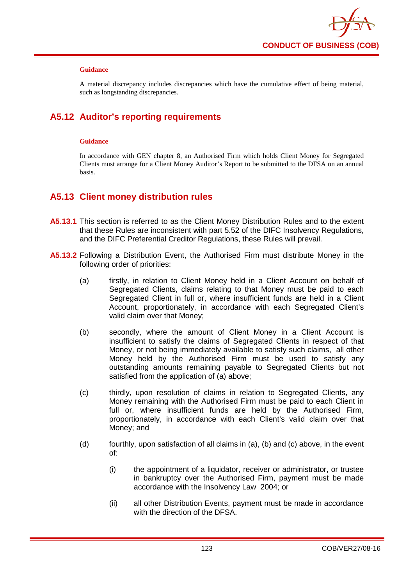

A material discrepancy includes discrepancies which have the cumulative effect of being material, such as longstanding discrepancies.

# **A5.12 Auditor's reporting requirements**

### **Guidance**

In accordance with GEN chapter 8, an Authorised Firm which holds Client Money for Segregated Clients must arrange for a Client Money Auditor's Report to be submitted to the DFSA on an annual basis.

## **A5.13 Client money distribution rules**

- **A5.13.1** This section is referred to as the Client Money Distribution Rules and to the extent that these Rules are inconsistent with part 5.52 of the DIFC Insolvency Regulations, and the DIFC Preferential Creditor Regulations, these Rules will prevail.
- **A5.13.2** Following a Distribution Event, the Authorised Firm must distribute Money in the following order of priorities:
	- (a) firstly, in relation to Client Money held in a Client Account on behalf of Segregated Clients, claims relating to that Money must be paid to each Segregated Client in full or, where insufficient funds are held in a Client Account, proportionately, in accordance with each Segregated Client's valid claim over that Money;
	- (b) secondly, where the amount of Client Money in a Client Account is insufficient to satisfy the claims of Segregated Clients in respect of that Money, or not being immediately available to satisfy such claims, all other Money held by the Authorised Firm must be used to satisfy any outstanding amounts remaining payable to Segregated Clients but not satisfied from the application of (a) above;
	- (c) thirdly, upon resolution of claims in relation to Segregated Clients, any Money remaining with the Authorised Firm must be paid to each Client in full or, where insufficient funds are held by the Authorised Firm, proportionately, in accordance with each Client's valid claim over that Money; and
	- (d) fourthly, upon satisfaction of all claims in (a), (b) and (c) above, in the event of:
		- (i) the appointment of a liquidator, receiver or administrator, or trustee in bankruptcy over the Authorised Firm, payment must be made accordance with the Insolvency Law 2004; or
		- (ii) all other Distribution Events, payment must be made in accordance with the direction of the DFSA.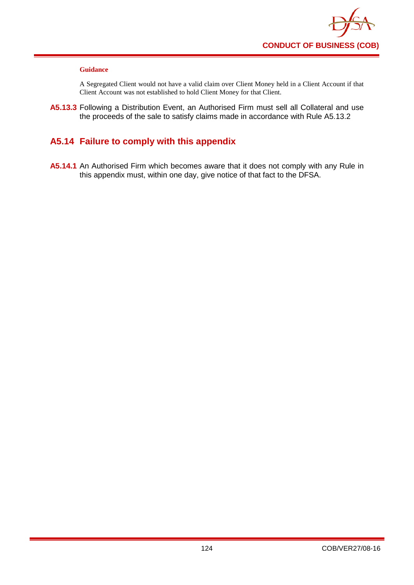

A Segregated Client would not have a valid claim over Client Money held in a Client Account if that Client Account was not established to hold Client Money for that Client.

**A5.13.3** Following a Distribution Event, an Authorised Firm must sell all Collateral and use the proceeds of the sale to satisfy claims made in accordance with Rule A5.13.2

# **A5.14 Failure to comply with this appendix**

**A5.14.1** An Authorised Firm which becomes aware that it does not comply with any Rule in this appendix must, within one day, give notice of that fact to the DFSA.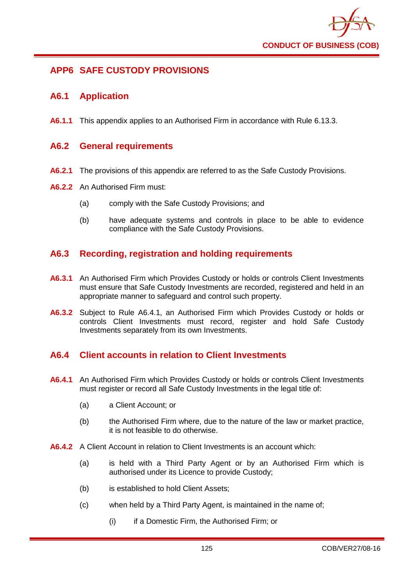

# **APP6 SAFE CUSTODY PROVISIONS**

## **A6.1 Application**

**A6.1.1** This appendix applies to an Authorised Firm in accordance with Rule 6.13.3.

### **A6.2 General requirements**

- **A6.2.1** The provisions of this appendix are referred to as the Safe Custody Provisions.
- **A6.2.2** An Authorised Firm must:
	- (a) comply with the Safe Custody Provisions; and
	- (b) have adequate systems and controls in place to be able to evidence compliance with the Safe Custody Provisions.

## **A6.3 Recording, registration and holding requirements**

- **A6.3.1** An Authorised Firm which Provides Custody or holds or controls Client Investments must ensure that Safe Custody Investments are recorded, registered and held in an appropriate manner to safeguard and control such property.
- **A6.3.2** Subject to Rule A6.4.1, an Authorised Firm which Provides Custody or holds or controls Client Investments must record, register and hold Safe Custody Investments separately from its own Investments.

## **A6.4 Client accounts in relation to Client Investments**

- **A6.4.1** An Authorised Firm which Provides Custody or holds or controls Client Investments must register or record all Safe Custody Investments in the legal title of:
	- (a) a Client Account; or
	- (b) the Authorised Firm where, due to the nature of the law or market practice, it is not feasible to do otherwise.
- **A6.4.2** A Client Account in relation to Client Investments is an account which:
	- (a) is held with a Third Party Agent or by an Authorised Firm which is authorised under its Licence to provide Custody;
	- (b) is established to hold Client Assets;
	- (c) when held by a Third Party Agent, is maintained in the name of;
		- (i) if a Domestic Firm, the Authorised Firm; or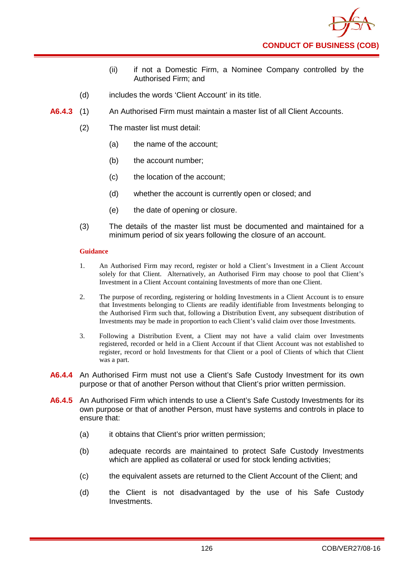

- (ii) if not a Domestic Firm, a Nominee Company controlled by the Authorised Firm; and
- (d) includes the words 'Client Account' in its title.
- **A6.4.3** (1) An Authorised Firm must maintain a master list of all Client Accounts.
	- (2) The master list must detail:
		- (a) the name of the account;
		- (b) the account number;
		- (c) the location of the account;
		- (d) whether the account is currently open or closed; and
		- (e) the date of opening or closure.
	- (3) The details of the master list must be documented and maintained for a minimum period of six years following the closure of an account.

- 1. An Authorised Firm may record, register or hold a Client's Investment in a Client Account solely for that Client. Alternatively, an Authorised Firm may choose to pool that Client's Investment in a Client Account containing Investments of more than one Client.
- 2. The purpose of recording, registering or holding Investments in a Client Account is to ensure that Investments belonging to Clients are readily identifiable from Investments belonging to the Authorised Firm such that, following a Distribution Event, any subsequent distribution of Investments may be made in proportion to each Client's valid claim over those Investments.
- 3. Following a Distribution Event, a Client may not have a valid claim over Investments registered, recorded or held in a Client Account if that Client Account was not established to register, record or hold Investments for that Client or a pool of Clients of which that Client was a part.
- **A6.4.4** An Authorised Firm must not use a Client's Safe Custody Investment for its own purpose or that of another Person without that Client's prior written permission.
- **A6.4.5** An Authorised Firm which intends to use a Client's Safe Custody Investments for its own purpose or that of another Person, must have systems and controls in place to ensure that:
	- (a) it obtains that Client's prior written permission;
	- (b) adequate records are maintained to protect Safe Custody Investments which are applied as collateral or used for stock lending activities;
	- (c) the equivalent assets are returned to the Client Account of the Client; and
	- (d) the Client is not disadvantaged by the use of his Safe Custody Investments.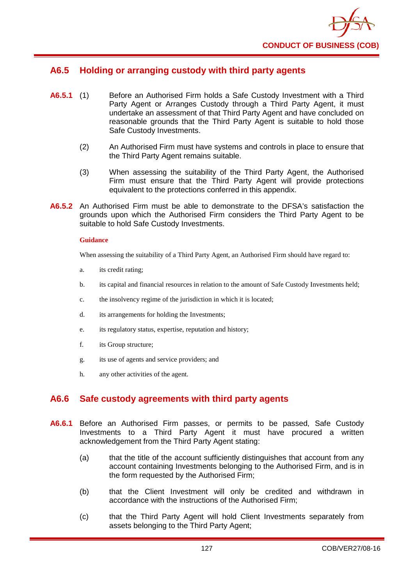

## **A6.5 Holding or arranging custody with third party agents**

- **A6.5.1** (1) Before an Authorised Firm holds a Safe Custody Investment with a Third Party Agent or Arranges Custody through a Third Party Agent, it must undertake an assessment of that Third Party Agent and have concluded on reasonable grounds that the Third Party Agent is suitable to hold those Safe Custody Investments.
	- (2) An Authorised Firm must have systems and controls in place to ensure that the Third Party Agent remains suitable.
	- (3) When assessing the suitability of the Third Party Agent, the Authorised Firm must ensure that the Third Party Agent will provide protections equivalent to the protections conferred in this appendix.
- **A6.5.2** An Authorised Firm must be able to demonstrate to the DFSA's satisfaction the grounds upon which the Authorised Firm considers the Third Party Agent to be suitable to hold Safe Custody Investments.

#### **Guidance**

When assessing the suitability of a Third Party Agent, an Authorised Firm should have regard to:

- a. its credit rating;
- b. its capital and financial resources in relation to the amount of Safe Custody Investments held;
- c. the insolvency regime of the jurisdiction in which it is located;
- d. its arrangements for holding the Investments;
- e. its regulatory status, expertise, reputation and history;
- f. its Group structure;
- g. its use of agents and service providers; and
- h. any other activities of the agent.

## **A6.6 Safe custody agreements with third party agents**

- **A6.6.1** Before an Authorised Firm passes, or permits to be passed, Safe Custody Investments to a Third Party Agent it must have procured a written acknowledgement from the Third Party Agent stating:
	- (a) that the title of the account sufficiently distinguishes that account from any account containing Investments belonging to the Authorised Firm, and is in the form requested by the Authorised Firm;
	- (b) that the Client Investment will only be credited and withdrawn in accordance with the instructions of the Authorised Firm;
	- (c) that the Third Party Agent will hold Client Investments separately from assets belonging to the Third Party Agent;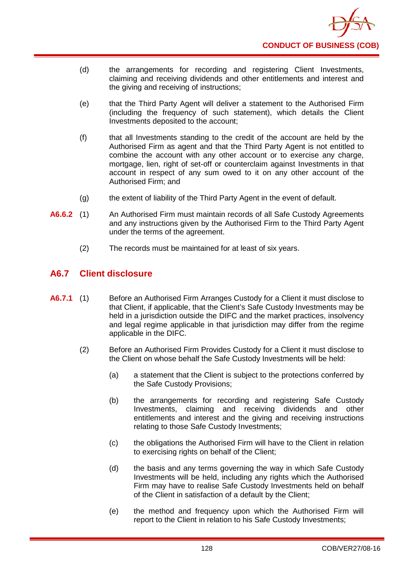

- (d) the arrangements for recording and registering Client Investments, claiming and receiving dividends and other entitlements and interest and the giving and receiving of instructions;
- (e) that the Third Party Agent will deliver a statement to the Authorised Firm (including the frequency of such statement), which details the Client Investments deposited to the account;
- (f) that all Investments standing to the credit of the account are held by the Authorised Firm as agent and that the Third Party Agent is not entitled to combine the account with any other account or to exercise any charge, mortgage, lien, right of set-off or counterclaim against Investments in that account in respect of any sum owed to it on any other account of the Authorised Firm; and
- (g) the extent of liability of the Third Party Agent in the event of default.
- **A6.6.2** (1) An Authorised Firm must maintain records of all Safe Custody Agreements and any instructions given by the Authorised Firm to the Third Party Agent under the terms of the agreement.
	- (2) The records must be maintained for at least of six years.

## **A6.7 Client disclosure**

- **A6.7.1** (1) Before an Authorised Firm Arranges Custody for a Client it must disclose to that Client, if applicable, that the Client's Safe Custody Investments may be held in a jurisdiction outside the DIFC and the market practices, insolvency and legal regime applicable in that jurisdiction may differ from the regime applicable in the DIFC.
	- (2) Before an Authorised Firm Provides Custody for a Client it must disclose to the Client on whose behalf the Safe Custody Investments will be held:
		- (a) a statement that the Client is subject to the protections conferred by the Safe Custody Provisions;
		- (b) the arrangements for recording and registering Safe Custody Investments, claiming and receiving dividends and other entitlements and interest and the giving and receiving instructions relating to those Safe Custody Investments;
		- (c) the obligations the Authorised Firm will have to the Client in relation to exercising rights on behalf of the Client;
		- (d) the basis and any terms governing the way in which Safe Custody Investments will be held, including any rights which the Authorised Firm may have to realise Safe Custody Investments held on behalf of the Client in satisfaction of a default by the Client;
		- (e) the method and frequency upon which the Authorised Firm will report to the Client in relation to his Safe Custody Investments;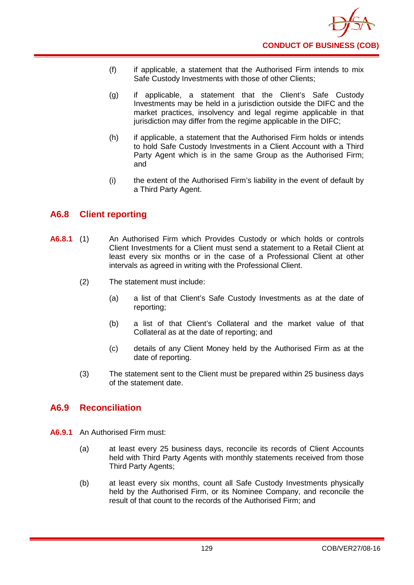- (f) if applicable, a statement that the Authorised Firm intends to mix Safe Custody Investments with those of other Clients;
- (g) if applicable, a statement that the Client's Safe Custody Investments may be held in a jurisdiction outside the DIFC and the market practices, insolvency and legal regime applicable in that jurisdiction may differ from the regime applicable in the DIFC;
- (h) if applicable, a statement that the Authorised Firm holds or intends to hold Safe Custody Investments in a Client Account with a Third Party Agent which is in the same Group as the Authorised Firm; and
- (i) the extent of the Authorised Firm's liability in the event of default by a Third Party Agent.

## **A6.8 Client reporting**

- **A6.8.1** (1) An Authorised Firm which Provides Custody or which holds or controls Client Investments for a Client must send a statement to a Retail Client at least every six months or in the case of a Professional Client at other intervals as agreed in writing with the Professional Client.
	- (2) The statement must include:
		- (a) a list of that Client's Safe Custody Investments as at the date of reporting;
		- (b) a list of that Client's Collateral and the market value of that Collateral as at the date of reporting; and
		- (c) details of any Client Money held by the Authorised Firm as at the date of reporting.
	- (3) The statement sent to the Client must be prepared within 25 business days of the statement date.

## **A6.9 Reconciliation**

- **A6.9.1** An Authorised Firm must:
	- (a) at least every 25 business days, reconcile its records of Client Accounts held with Third Party Agents with monthly statements received from those Third Party Agents;
	- (b) at least every six months, count all Safe Custody Investments physically held by the Authorised Firm, or its Nominee Company, and reconcile the result of that count to the records of the Authorised Firm; and